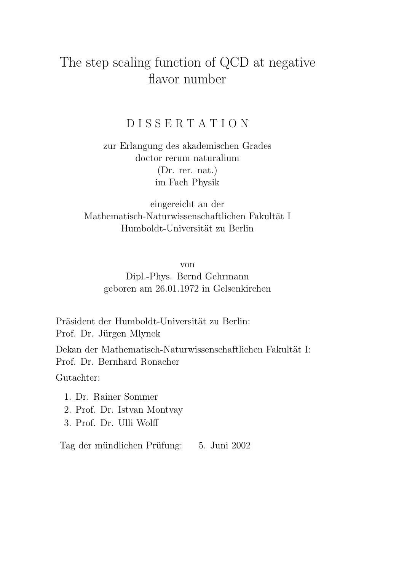### The step scaling function of QCD at negative flavor number

### D I S S E R T A T I O N

zur Erlangung des akademischen Grades doctor rerum naturalium (Dr. rer. nat.) im Fach Physik

eingereicht an der Mathematisch-Naturwissenschaftlichen Fakultät I Humboldt-Universität zu Berlin

von

Dipl.-Phys. Bernd Gehrmann geboren am 26.01.1972 in Gelsenkirchen

Präsident der Humboldt-Universität zu Berlin: Prof. Dr. Jürgen Mlynek

Dekan der Mathematisch-Naturwissenschaftlichen Fakultät I: Prof. Dr. Bernhard Ronacher

Gutachter:

- 1. Dr. Rainer Sommer
- 2. Prof. Dr. Istvan Montvay
- 3. Prof. Dr. Ulli Wolff

Tag der mündlichen Prüfung: 5. Juni 2002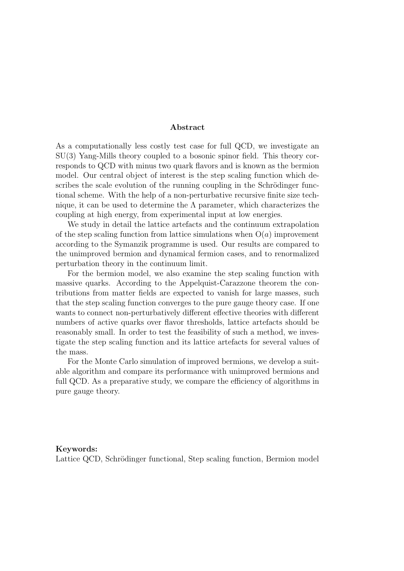#### Abstract

As a computationally less costly test case for full QCD, we investigate an SU(3) Yang-Mills theory coupled to a bosonic spinor field. This theory corresponds to QCD with minus two quark flavors and is known as the bermion model. Our central object of interest is the step scaling function which describes the scale evolution of the running coupling in the Schrödinger functional scheme. With the help of a non-perturbative recursive finite size technique, it can be used to determine the  $\Lambda$  parameter, which characterizes the coupling at high energy, from experimental input at low energies.

We study in detail the lattice artefacts and the continuum extrapolation of the step scaling function from lattice simulations when  $O(a)$  improvement according to the Symanzik programme is used. Our results are compared to the unimproved bermion and dynamical fermion cases, and to renormalized perturbation theory in the continuum limit.

For the bermion model, we also examine the step scaling function with massive quarks. According to the Appelquist-Carazzone theorem the contributions from matter fields are expected to vanish for large masses, such that the step scaling function converges to the pure gauge theory case. If one wants to connect non-perturbatively different effective theories with different numbers of active quarks over flavor thresholds, lattice artefacts should be reasonably small. In order to test the feasibility of such a method, we investigate the step scaling function and its lattice artefacts for several values of the mass.

For the Monte Carlo simulation of improved bermions, we develop a suitable algorithm and compare its performance with unimproved bermions and full QCD. As a preparative study, we compare the efficiency of algorithms in pure gauge theory.

#### Keywords:

Lattice QCD, Schrödinger functional, Step scaling function, Bermion model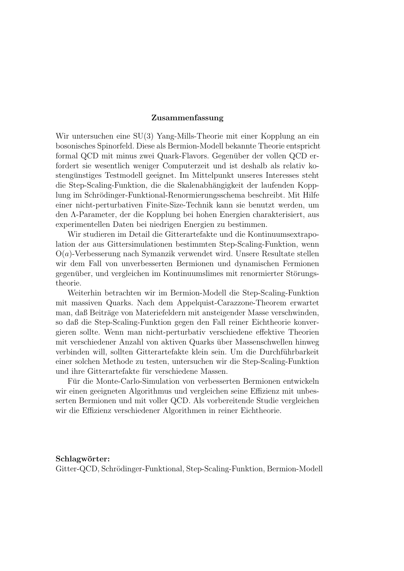#### Zusammenfassung

Wir untersuchen eine SU(3) Yang-Mills-Theorie mit einer Kopplung an ein bosonisches Spinorfeld. Diese als Bermion-Modell bekannte Theorie entspricht formal QCD mit minus zwei Quark-Flavors. Gegenüber der vollen QCD erfordert sie wesentlich weniger Computerzeit und ist deshalb als relativ kostengünstiges Testmodell geeignet. Im Mittelpunkt unseres Interesses steht die Step-Scaling-Funktion, die die Skalenabhängigkeit der laufenden Kopplung im Schrödinger-Funktional-Renormierungsschema beschreibt. Mit Hilfe einer nicht-perturbativen Finite-Size-Technik kann sie benutzt werden, um den Λ-Parameter, der die Kopplung bei hohen Energien charakterisiert, aus experimentellen Daten bei niedrigen Energien zu bestimmen.

Wir studieren im Detail die Gitterartefakte und die Kontinuumsextrapolation der aus Gittersimulationen bestimmten Step-Scaling-Funktion, wenn  $O(a)$ -Verbesserung nach Symanzik verwendet wird. Unsere Resultate stellen wir dem Fall von unverbesserten Bermionen und dynamischen Fermionen gegenüber, und vergleichen im Kontinuumslimes mit renormierter Störungstheorie.

Weiterhin betrachten wir im Bermion-Modell die Step-Scaling-Funktion mit massiven Quarks. Nach dem Appelquist-Carazzone-Theorem erwartet man, daß Beiträge von Materiefeldern mit ansteigender Masse verschwinden, so daß die Step-Scaling-Funktion gegen den Fall reiner Eichtheorie konvergieren sollte. Wenn man nicht-perturbativ verschiedene effektive Theorien mit verschiedener Anzahl von aktiven Quarks über Massenschwellen hinweg verbinden will, sollten Gitterartefakte klein sein. Um die Durchfuhrbarkeit ¨ einer solchen Methode zu testen, untersuchen wir die Step-Scaling-Funktion und ihre Gitterartefakte für verschiedene Massen.

Für die Monte-Carlo-Simulation von verbesserten Bermionen entwickeln wir einen geeigneten Algorithmus und vergleichen seine Effizienz mit unbesserten Bermionen und mit voller QCD. Als vorbereitende Studie vergleichen wir die Effizienz verschiedener Algorithmen in reiner Eichtheorie.

#### Schlagwörter:

Gitter-QCD, Schrödinger-Funktional, Step-Scaling-Funktion, Bermion-Modell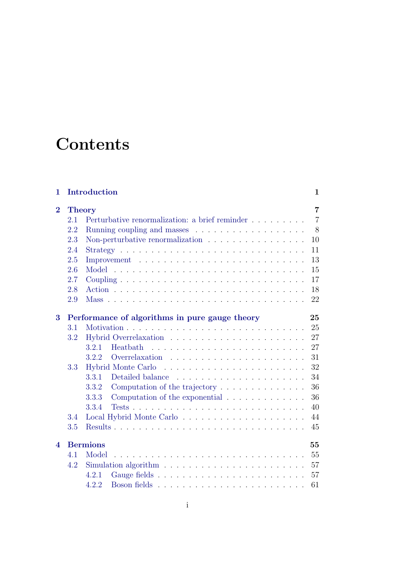## **Contents**

| 1                        |     | Introduction                                                                     | $\mathbf{1}$   |
|--------------------------|-----|----------------------------------------------------------------------------------|----------------|
| $\bf{2}$                 |     | <b>Theory</b>                                                                    | $\overline{7}$ |
|                          | 2.1 | Perturbative renormalization: a brief reminder                                   | $\overline{7}$ |
|                          | 2.2 | Running coupling and masses $\dots \dots \dots \dots \dots \dots$                | 8              |
|                          | 2.3 | Non-perturbative renormalization $\ldots \ldots \ldots \ldots \ldots$            | 10             |
|                          | 2.4 | $Strategy \ldots \ldots \ldots \ldots \ldots \ldots \ldots \ldots \ldots \ldots$ | 11             |
|                          | 2.5 |                                                                                  | 13             |
|                          | 2.6 |                                                                                  | 15             |
|                          | 2.7 |                                                                                  | 17             |
|                          | 2.8 |                                                                                  | 18             |
|                          | 2.9 |                                                                                  | 22             |
|                          |     |                                                                                  |                |
| 3                        |     | Performance of algorithms in pure gauge theory                                   | 25             |
|                          | 3.1 |                                                                                  | 25             |
|                          | 3.2 |                                                                                  | 27             |
|                          |     | 3.2.1<br><b>Heatbath</b>                                                         | 27             |
|                          |     | 3.2.2                                                                            | 31             |
|                          | 3.3 | <b>Hybrid Monte Carlo</b>                                                        | 32             |
|                          |     | 3.3.1                                                                            | 34             |
|                          |     | 3.3.2<br>Computation of the trajectory $\dots \dots \dots \dots$                 | 36             |
|                          |     | Computation of the exponential<br>3.3.3                                          | 36             |
|                          |     | 3.3.4                                                                            | 40             |
|                          | 3.4 |                                                                                  | 44             |
|                          | 3.5 |                                                                                  | 45             |
| $\overline{\mathcal{A}}$ |     | <b>Bermions</b>                                                                  | 55             |
|                          | 4.1 | Model                                                                            | 55             |
|                          | 4.2 | Simulation algorithm $\ldots \ldots \ldots \ldots \ldots \ldots \ldots \ldots$   | 57             |
|                          |     | 4.2.1                                                                            | 57             |
|                          |     |                                                                                  |                |
|                          |     | 4.2.2                                                                            | 61             |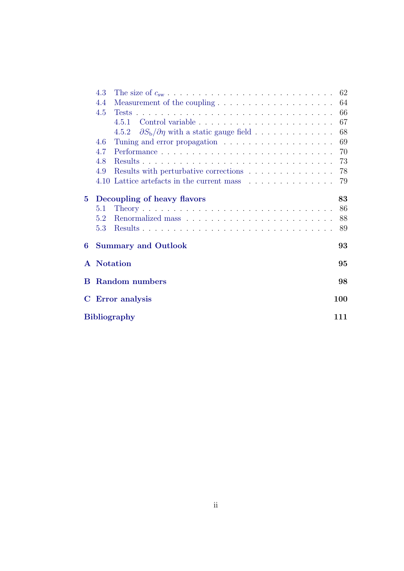|             | 4.3 |                                                                            |     |
|-------------|-----|----------------------------------------------------------------------------|-----|
|             | 4.4 |                                                                            |     |
|             | 4.5 |                                                                            | 66  |
|             |     |                                                                            | 67  |
|             |     | 4.5.2 $\partial S_b/\partial \eta$ with a static gauge field               | 68  |
|             | 4.6 |                                                                            | 69  |
|             | 4.7 |                                                                            | 70  |
|             | 4.8 |                                                                            | 73  |
|             | 4.9 | Results with perturbative corrections $\ldots \ldots \ldots \ldots \ldots$ | 78  |
|             |     | 4.10 Lattice artefacts in the current mass                                 | 79  |
| $5^{\circ}$ |     | Decoupling of heavy flavors                                                | 83  |
|             | 5.1 |                                                                            | 86  |
|             | 5.2 |                                                                            | 88  |
|             | 5.3 |                                                                            | 89  |
| 6           |     | <b>Summary and Outlook</b>                                                 | 93  |
|             |     | <b>A</b> Notation                                                          | 95  |
|             |     | <b>B</b> Random numbers                                                    | 98  |
|             |     | C Error analysis                                                           | 100 |
|             |     | <b>Bibliography</b>                                                        | 111 |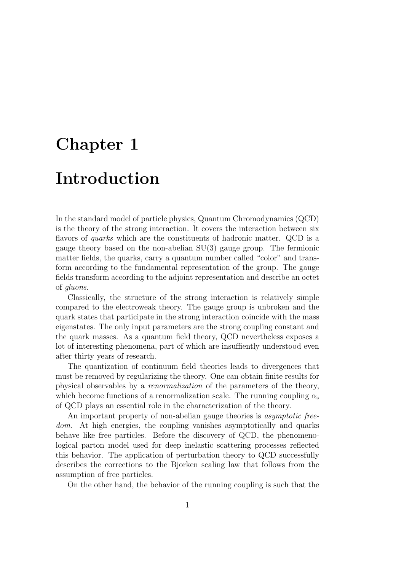# <span id="page-8-0"></span>Chapter 1

## Introduction

In the standard model of particle physics, Quantum Chromodynamics (QCD) is the theory of the strong interaction. It covers the interaction between six flavors of quarks which are the constituents of hadronic matter. QCD is a gauge theory based on the non-abelian SU(3) gauge group. The fermionic matter fields, the quarks, carry a quantum number called "color" and transform according to the fundamental representation of the group. The gauge fields transform according to the adjoint representation and describe an octet of gluons.

Classically, the structure of the strong interaction is relatively simple compared to the electroweak theory. The gauge group is unbroken and the quark states that participate in the strong interaction coincide with the mass eigenstates. The only input parameters are the strong coupling constant and the quark masses. As a quantum field theory, QCD nevertheless exposes a lot of interesting phenomena, part of which are insuffiently understood even after thirty years of research.

The quantization of continuum field theories leads to divergences that must be removed by regularizing the theory. One can obtain finite results for physical observables by a renormalization of the parameters of the theory, which become functions of a renormalization scale. The running coupling  $\alpha_s$ of QCD plays an essential role in the characterization of the theory.

An important property of non-abelian gauge theories is asymptotic freedom. At high energies, the coupling vanishes asymptotically and quarks behave like free particles. Before the discovery of QCD, the phenomenological parton model used for deep inelastic scattering processes reflected this behavior. The application of perturbation theory to QCD successfully describes the corrections to the Bjorken scaling law that follows from the assumption of free particles.

On the other hand, the behavior of the running coupling is such that the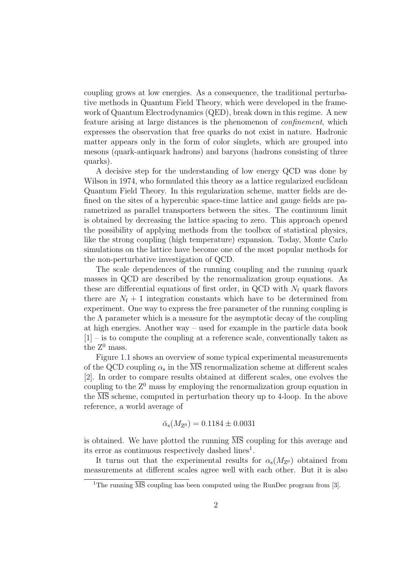coupling grows at low energies. As a consequence, the traditional perturbative methods in Quantum Field Theory, which were developed in the framework of Quantum Electrodynamics (QED), break down in this regime. A new feature arising at large distances is the phenomenon of confinement, which expresses the observation that free quarks do not exist in nature. Hadronic matter appears only in the form of color singlets, which are grouped into mesons (quark-antiquark hadrons) and baryons (hadrons consisting of three quarks).

A decisive step for the understanding of low energy QCD was done by Wilson in 1974, who formulated this theory as a lattice regularized euclidean Quantum Field Theory. In this regularization scheme, matter fields are defined on the sites of a hypercubic space-time lattice and gauge fields are parametrized as parallel transporters between the sites. The continuum limit is obtained by decreasing the lattice spacing to zero. This approach opened the possibility of applying methods from the toolbox of statistical physics, like the strong coupling (high temperature) expansion. Today, Monte Carlo simulations on the lattice have become one of the most popular methods for the non-perturbative investigation of QCD.

The scale dependences of the running coupling and the running quark masses in QCD are described by the renormalization group equations. As these are differential equations of first order, in QCD with  $N_f$  quark flavors there are  $N_f + 1$  integration constants which have to be determined from experiment. One way to express the free parameter of the running coupling is the  $\Lambda$  parameter which is a measure for the asymptotic decay of the coupling at high energies. Another way – used for example in the particle data book [\[1\]](#page-112-1) – is to compute the coupling at a reference scale, conventionally taken as the  $Z^0$  mass.

Figure [1.1](#page-10-0) shows an overview of some typical experimental measurements of the QCD coupling  $\alpha_s$  in the  $\overline{\text{MS}}$  renormalization scheme at different scales [\[2\]](#page-112-2). In order to compare results obtained at different scales, one evolves the coupling to the  $Z^0$  mass by employing the renormalization group equation in the  $\overline{\text{MS}}$  scheme, computed in perturbation theory up to 4-loop. In the above reference, a world average of

$$
\bar{\alpha}_{\rm s}(M_{\rm Z^0}) = 0.1184 \pm 0.0031
$$

is obtained. We have plotted the running  $\overline{\text{MS}}$  coupling for this average and its error as continuous respectively dashed  $lines<sup>1</sup>$  $lines<sup>1</sup>$  $lines<sup>1</sup>$ .

It turns out that the experimental results for  $\alpha_s(M_{Z^0})$  obtained from measurements at different scales agree well with each other. But it is also

<span id="page-9-0"></span><sup>&</sup>lt;sup>1</sup>The running  $\overline{\text{MS}}$  coupling has been computed using the RunDec program from [\[3\]](#page-112-3).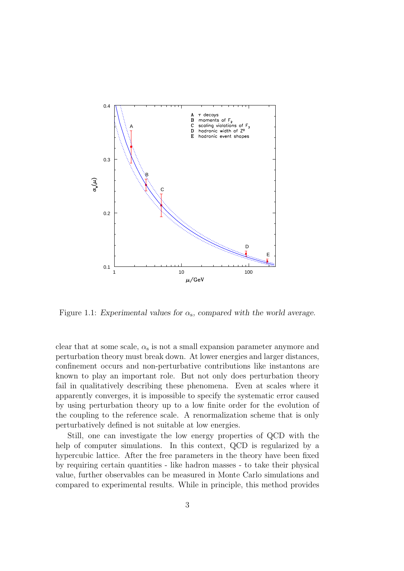

<span id="page-10-0"></span>Figure 1.1: Experimental values for  $\alpha_s$ , compared with the world average.

clear that at some scale,  $\alpha_s$  is not a small expansion parameter anymore and perturbation theory must break down. At lower energies and larger distances, confinement occurs and non-perturbative contributions like instantons are known to play an important role. But not only does perturbation theory fail in qualitatively describing these phenomena. Even at scales where it apparently converges, it is impossible to specify the systematic error caused by using perturbation theory up to a low finite order for the evolution of the coupling to the reference scale. A renormalization scheme that is only perturbatively defined is not suitable at low energies.

Still, one can investigate the low energy properties of QCD with the help of computer simulations. In this context, QCD is regularized by a hypercubic lattice. After the free parameters in the theory have been fixed by requiring certain quantities - like hadron masses - to take their physical value, further observables can be measured in Monte Carlo simulations and compared to experimental results. While in principle, this method provides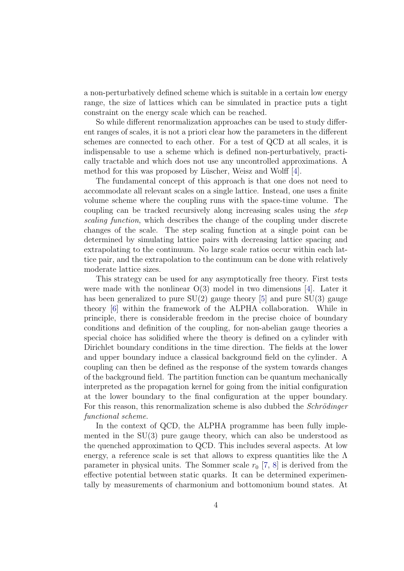a non-perturbatively defined scheme which is suitable in a certain low energy range, the size of lattices which can be simulated in practice puts a tight constraint on the energy scale which can be reached.

So while different renormalization approaches can be used to study different ranges of scales, it is not a priori clear how the parameters in the different schemes are connected to each other. For a test of QCD at all scales, it is indispensable to use a scheme which is defined non-perturbatively, practically tractable and which does not use any uncontrolled approximations. A method for this was proposed by Lüscher, Weisz and Wolff [\[4\]](#page-112-4).

The fundamental concept of this approach is that one does not need to accommodate all relevant scales on a single lattice. Instead, one uses a finite volume scheme where the coupling runs with the space-time volume. The coupling can be tracked recursively along increasing scales using the step scaling function, which describes the change of the coupling under discrete changes of the scale. The step scaling function at a single point can be determined by simulating lattice pairs with decreasing lattice spacing and extrapolating to the continuum. No large scale ratios occur within each lattice pair, and the extrapolation to the continuum can be done with relatively moderate lattice sizes.

This strategy can be used for any asymptotically free theory. First tests were made with the nonlinear  $O(3)$  model in two dimensions [\[4\]](#page-112-4). Later it has been generalized to pure  $SU(2)$  gauge theory [\[5\]](#page-112-5) and pure  $SU(3)$  gauge theory [\[6\]](#page-112-6) within the framework of the ALPHA collaboration. While in principle, there is considerable freedom in the precise choice of boundary conditions and definition of the coupling, for non-abelian gauge theories a special choice has solidified where the theory is defined on a cylinder with Dirichlet boundary conditions in the time direction. The fields at the lower and upper boundary induce a classical background field on the cylinder. A coupling can then be defined as the response of the system towards changes of the background field. The partition function can be quantum mechanically interpreted as the propagation kernel for going from the initial configuration at the lower boundary to the final configuration at the upper boundary. For this reason, this renormalization scheme is also dubbed the *Schrödinger* functional scheme.

In the context of QCD, the ALPHA programme has been fully implemented in the SU(3) pure gauge theory, which can also be understood as the quenched approximation to QCD. This includes several aspects. At low energy, a reference scale is set that allows to express quantities like the  $\Lambda$ parameter in physical units. The Sommer scale  $r_0$  [\[7,](#page-112-7) [8\]](#page-112-8) is derived from the effective potential between static quarks. It can be determined experimentally by measurements of charmonium and bottomonium bound states. At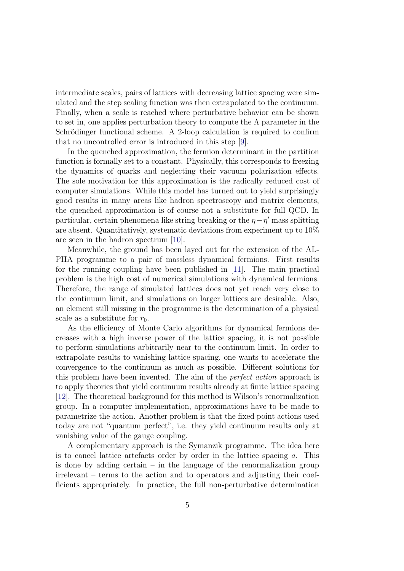intermediate scales, pairs of lattices with decreasing lattice spacing were simulated and the step scaling function was then extrapolated to the continuum. Finally, when a scale is reached where perturbative behavior can be shown to set in, one applies perturbation theory to compute the  $\Lambda$  parameter in the Schrödinger functional scheme. A 2-loop calculation is required to confirm that no uncontrolled error is introduced in this step [\[9\]](#page-112-9).

In the quenched approximation, the fermion determinant in the partition function is formally set to a constant. Physically, this corresponds to freezing the dynamics of quarks and neglecting their vacuum polarization effects. The sole motivation for this approximation is the radically reduced cost of computer simulations. While this model has turned out to yield surprisingly good results in many areas like hadron spectroscopy and matrix elements, the quenched approximation is of course not a substitute for full QCD. In particular, certain phenomena like string breaking or the  $\eta - \eta'$  mass splitting are absent. Quantitatively, systematic deviations from experiment up to  $10\%$ are seen in the hadron spectrum [\[10\]](#page-113-0).

Meanwhile, the ground has been layed out for the extension of the AL-PHA programme to a pair of massless dynamical fermions. First results for the running coupling have been published in [\[11\]](#page-113-1). The main practical problem is the high cost of numerical simulations with dynamical fermions. Therefore, the range of simulated lattices does not yet reach very close to the continuum limit, and simulations on larger lattices are desirable. Also, an element still missing in the programme is the determination of a physical scale as a substitute for  $r_0$ .

As the efficiency of Monte Carlo algorithms for dynamical fermions decreases with a high inverse power of the lattice spacing, it is not possible to perform simulations arbitrarily near to the continuum limit. In order to extrapolate results to vanishing lattice spacing, one wants to accelerate the convergence to the continuum as much as possible. Different solutions for this problem have been invented. The aim of the perfect action approach is to apply theories that yield continuum results already at finite lattice spacing [\[12\]](#page-113-2). The theoretical background for this method is Wilson's renormalization group. In a computer implementation, approximations have to be made to parametrize the action. Another problem is that the fixed point actions used today are not "quantum perfect", i.e. they yield continuum results only at vanishing value of the gauge coupling.

A complementary approach is the Symanzik programme. The idea here is to cancel lattice artefacts order by order in the lattice spacing  $a$ . This is done by adding certain  $-$  in the language of the renormalization group irrelevant – terms to the action and to operators and adjusting their coefficients appropriately. In practice, the full non-perturbative determination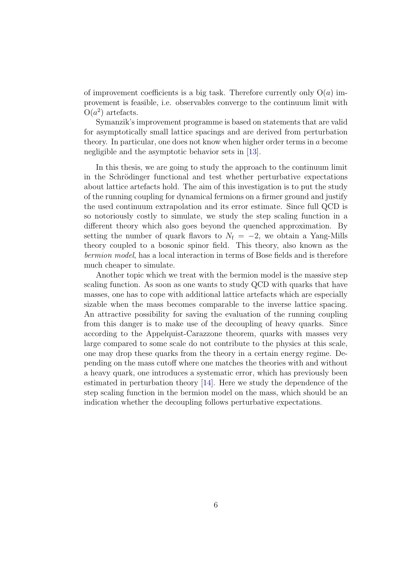of improvement coefficients is a big task. Therefore currently only  $O(a)$  improvement is feasible, i.e. observables converge to the continuum limit with  $O(a^2)$  artefacts.

Symanzik's improvement programme is based on statements that are valid for asymptotically small lattice spacings and are derived from perturbation theory. In particular, one does not know when higher order terms in a become negligible and the asymptotic behavior sets in [\[13\]](#page-113-3).

In this thesis, we are going to study the approach to the continuum limit in the Schrödinger functional and test whether perturbative expectations about lattice artefacts hold. The aim of this investigation is to put the study of the running coupling for dynamical fermions on a firmer ground and justify the used continuum extrapolation and its error estimate. Since full QCD is so notoriously costly to simulate, we study the step scaling function in a different theory which also goes beyond the quenched approximation. By setting the number of quark flavors to  $N_f = -2$ , we obtain a Yang-Mills theory coupled to a bosonic spinor field. This theory, also known as the bermion model, has a local interaction in terms of Bose fields and is therefore much cheaper to simulate.

Another topic which we treat with the bermion model is the massive step scaling function. As soon as one wants to study QCD with quarks that have masses, one has to cope with additional lattice artefacts which are especially sizable when the mass becomes comparable to the inverse lattice spacing. An attractive possibility for saving the evaluation of the running coupling from this danger is to make use of the decoupling of heavy quarks. Since according to the Appelquist-Carazzone theorem, quarks with masses very large compared to some scale do not contribute to the physics at this scale, one may drop these quarks from the theory in a certain energy regime. Depending on the mass cutoff where one matches the theories with and without a heavy quark, one introduces a systematic error, which has previously been estimated in perturbation theory [\[14\]](#page-113-4). Here we study the dependence of the step scaling function in the bermion model on the mass, which should be an indication whether the decoupling follows perturbative expectations.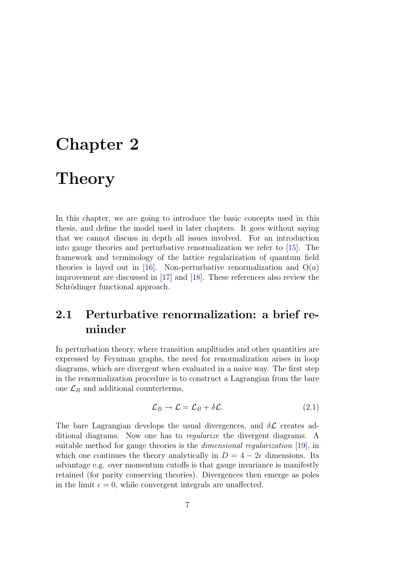## <span id="page-14-0"></span>Chapter 2

## **Theory**

In this chapter, we are going to introduce the basic concepts used in this thesis, and define the model used in later chapters. It goes without saying that we cannot discuss in depth all issues involved. For an introduction into gauge theories and perturbative renormalization we refer to [\[15\]](#page-113-5). The framework and terminology of the lattice regularization of quantum field theories is layed out in [\[16\]](#page-113-6). Non-perturbative renormalization and  $O(a)$ improvement are discussed in [\[17\]](#page-113-7) and [\[18\]](#page-113-8). These references also review the Schrödinger functional approach.

### <span id="page-14-1"></span>2.1 Perturbative renormalization: a brief reminder

In perturbation theory, where transition amplitudes and other quantities are expressed by Feynman graphs, the need for renormalization arises in loop diagrams, which are divergent when evaluated in a naive way. The first step in the renormalization procedure is to construct a Lagrangian from the bare one  $\mathcal{L}_B$  and additional counterterms,

$$
\mathcal{L}_B \to \mathcal{L} = \mathcal{L}_B + \delta \mathcal{L}.\tag{2.1}
$$

The bare Lagrangian develops the usual divergences, and  $\delta \mathcal{L}$  creates additional diagrams. Now one has to regularize the divergent diagrams. A suitable method for gauge theories is the dimensional regularization [\[19\]](#page-113-9), in which one continues the theory analytically in  $D = 4 - 2\epsilon$  dimensions. Its advantage e.g. over momentum cutoffs is that gauge invariance is manifestly retained (for parity conserving theories). Divergences then emerge as poles in the limit  $\epsilon = 0$ , while convergent integrals are unaffected.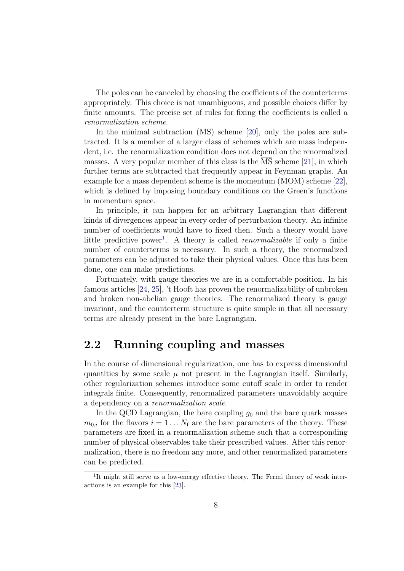The poles can be canceled by choosing the coefficients of the counterterms appropriately. This choice is not unambiguous, and possible choices differ by finite amounts. The precise set of rules for fixing the coefficients is called a renormalization scheme.

In the minimal subtraction (MS) scheme [\[20\]](#page-113-10), only the poles are subtracted. It is a member of a larger class of schemes which are mass independent, i.e. the renormalization condition does not depend on the renormalized masses. A very popular member of this class is the MS scheme [\[21\]](#page-113-11), in which further terms are subtracted that frequently appear in Feynman graphs. An example for a mass dependent scheme is the momentum (MOM) scheme [\[22\]](#page-113-12), which is defined by imposing boundary conditions on the Green's functions in momentum space.

In principle, it can happen for an arbitrary Lagrangian that different kinds of divergences appear in every order of perturbation theory. An infinite number of coefficients would have to fixed then. Such a theory would have little predictive power<sup>[1](#page-15-1)</sup>. A theory is called *renormalizable* if only a finite number of counterterms is necessary. In such a theory, the renormalized parameters can be adjusted to take their physical values. Once this has been done, one can make predictions.

Fortunately, with gauge theories we are in a comfortable position. In his famous articles [\[24,](#page-114-0) [25\]](#page-114-1), 't Hooft has proven the renormalizability of unbroken and broken non-abelian gauge theories. The renormalized theory is gauge invariant, and the counterterm structure is quite simple in that all necessary terms are already present in the bare Lagrangian.

#### <span id="page-15-0"></span>2.2 Running coupling and masses

In the course of dimensional regularization, one has to express dimensionful quantities by some scale  $\mu$  not present in the Lagrangian itself. Similarly, other regularization schemes introduce some cutoff scale in order to render integrals finite. Consequently, renormalized parameters unavoidably acquire a dependency on a renormalization scale.

In the QCD Lagrangian, the bare coupling  $g_0$  and the bare quark masses  $m_{0,i}$  for the flavors  $i = 1 \ldots N_f$  are the bare parameters of the theory. These parameters are fixed in a renormalization scheme such that a corresponding number of physical observables take their prescribed values. After this renormalization, there is no freedom any more, and other renormalized parameters can be predicted.

<span id="page-15-1"></span><sup>&</sup>lt;sup>1</sup>It might still serve as a low-energy effective theory. The Fermi theory of weak interactions is an example for this [\[23\]](#page-113-13).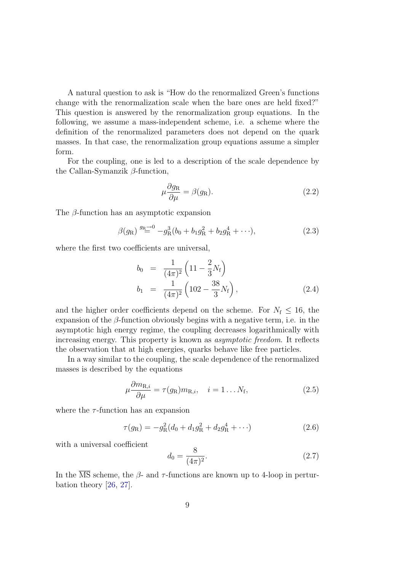A natural question to ask is "How do the renormalized Green's functions change with the renormalization scale when the bare ones are held fixed?" This question is answered by the renormalization group equations. In the following, we assume a mass-independent scheme, i.e. a scheme where the definition of the renormalized parameters does not depend on the quark masses. In that case, the renormalization group equations assume a simpler form.

For the coupling, one is led to a description of the scale dependence by the Callan-Symanzik  $\beta$ -function,

<span id="page-16-0"></span>
$$
\mu \frac{\partial g_{\text{R}}}{\partial \mu} = \beta(g_{\text{R}}). \tag{2.2}
$$

The β-function has an asymptotic expansion

<span id="page-16-1"></span>
$$
\beta(g_{\rm R}) \stackrel{g_{\rm R}\to 0}{=} -g_{\rm R}^3(b_0+b_1g_{\rm R}^2+b_2g_{\rm R}^4+\cdots), \qquad (2.3)
$$

where the first two coefficients are universal,

$$
b_0 = \frac{1}{(4\pi)^2} \left( 11 - \frac{2}{3} N_f \right)
$$
  
\n
$$
b_1 = \frac{1}{(4\pi)^2} \left( 102 - \frac{38}{3} N_f \right),
$$
\n(2.4)

and the higher order coefficients depend on the scheme. For  $N_f \leq 16$ , the expansion of the  $\beta$ -function obviously begins with a negative term, i.e. in the asymptotic high energy regime, the coupling decreases logarithmically with increasing energy. This property is known as asymptotic freedom. It reflects the observation that at high energies, quarks behave like free particles.

In a way similar to the coupling, the scale dependence of the renormalized masses is described by the equations

$$
\mu \frac{\partial m_{\text{R},i}}{\partial \mu} = \tau(g_{\text{R}}) m_{\text{R},i}, \quad i = 1 \dots N_{\text{f}}, \tag{2.5}
$$

where the  $\tau$ -function has an expansion

$$
\tau(g_{\rm R}) = -g_{\rm R}^2 (d_0 + d_1 g_{\rm R}^2 + d_2 g_{\rm R}^4 + \cdots)
$$
\n(2.6)

with a universal coefficient

$$
d_0 = \frac{8}{(4\pi)^2}.\tag{2.7}
$$

In the  $\overline{\text{MS}}$  scheme, the  $\beta$ - and  $\tau$ -functions are known up to 4-loop in perturbation theory [\[26,](#page-114-2) [27\]](#page-114-3).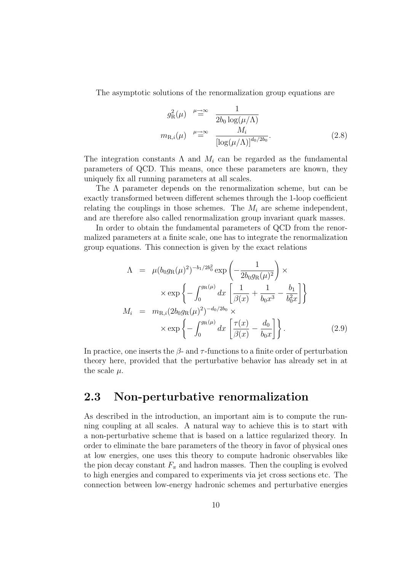The asymptotic solutions of the renormalization group equations are

$$
g_{\mathcal{R}}^2(\mu) \stackrel{\mu \to \infty}{=} \frac{1}{2b_0 \log(\mu/\Lambda)}
$$

$$
m_{\mathcal{R},i}(\mu) \stackrel{\mu \to \infty}{=} \frac{M_i}{\left[\log(\mu/\Lambda)\right]^{d_0/2b_0}}.
$$
(2.8)

The integration constants  $\Lambda$  and  $M_i$  can be regarded as the fundamental parameters of QCD. This means, once these parameters are known, they uniquely fix all running parameters at all scales.

The  $\Lambda$  parameter depends on the renormalization scheme, but can be exactly transformed between different schemes through the 1-loop coefficient relating the couplings in those schemes. The  $M_i$  are scheme independent, and are therefore also called renormalization group invariant quark masses.

In order to obtain the fundamental parameters of QCD from the renormalized parameters at a finite scale, one has to integrate the renormalization group equations. This connection is given by the exact relations

<span id="page-17-1"></span>
$$
\Lambda = \mu (b_0 g_R(\mu)^2)^{-b_1/2b_0^2} \exp\left(-\frac{1}{2b_0 g_R(\mu)^2}\right) \times
$$
  
 
$$
\times \exp\left\{-\int_0^{g_R(\mu)} dx \left[\frac{1}{\beta(x)} + \frac{1}{b_0 x^3} - \frac{b_1}{b_0^2 x}\right]\right\}
$$
  

$$
M_i = m_{R,i} (2b_0 g_R(\mu)^2)^{-d_0/2b_0} \times
$$
  

$$
\times \exp\left\{-\int_0^{g_R(\mu)} dx \left[\frac{\tau(x)}{\beta(x)} - \frac{d_0}{b_0 x}\right]\right\}.
$$
 (2.9)

In practice, one inserts the  $\beta$ - and  $\tau$ -functions to a finite order of perturbation theory here, provided that the perturbative behavior has already set in at the scale  $\mu$ .

#### <span id="page-17-0"></span>2.3 Non-perturbative renormalization

As described in the introduction, an important aim is to compute the running coupling at all scales. A natural way to achieve this is to start with a non-perturbative scheme that is based on a lattice regularized theory. In order to eliminate the bare parameters of the theory in favor of physical ones at low energies, one uses this theory to compute hadronic observables like the pion decay constant  $F_{\pi}$  and hadron masses. Then the coupling is evolved to high energies and compared to experiments via jet cross sections etc. The connection between low-energy hadronic schemes and perturbative energies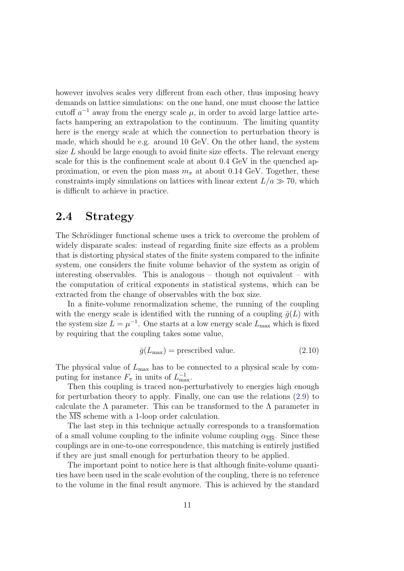however involves scales very different from each other, thus imposing heavy demands on lattice simulations: on the one hand, one must choose the lattice cutoff  $a^{-1}$  away from the energy scale  $\mu$ , in order to avoid large lattice artefacts hampering an extrapolation to the continuum. The limiting quantity here is the energy scale at which the connection to perturbation theory is made, which should be e.g. around 10 GeV. On the other hand, the system size  $L$  should be large enough to avoid finite size effects. The relevant energy scale for this is the confinement scale at about 0.4 GeV in the quenched approximation, or even the pion mass  $m_{\pi}$  at about 0.14 GeV. Together, these constraints imply simulations on lattices with linear extent  $L/a \gg 70$ , which is difficult to achieve in practice.

#### <span id="page-18-0"></span>2.4 Strategy

The Schrödinger functional scheme uses a trick to overcome the problem of widely disparate scales: instead of regarding finite size effects as a problem that is distorting physical states of the finite system compared to the infinite system, one considers the finite volume behavior of the system as origin of interesting observables. This is analogous – though not equivalent – with the computation of critical exponents in statistical systems, which can be extracted from the change of observables with the box size.

In a finite-volume renormalization scheme, the running of the coupling with the energy scale is identified with the running of a coupling  $\bar{g}(L)$  with the system size  $L = \mu^{-1}$ . One starts at a low energy scale  $L_{\text{max}}$  which is fixed by requiring that the coupling takes some value,

$$
\bar{g}(L_{\text{max}}) = \text{prescribed value.} \tag{2.10}
$$

The physical value of  $L_{\text{max}}$  has to be connected to a physical scale by computing for instance  $F_{\pi}$  in units of  $L_{\text{max}}^{-1}$ .

Then this coupling is traced non-perturbatively to energies high enough for perturbation theory to apply. Finally, one can use the relations [\(2.9\)](#page-17-1) to calculate the  $\Lambda$  parameter. This can be transformed to the  $\Lambda$  parameter in the MS scheme with a 1-loop order calculation.

The last step in this technique actually corresponds to a transformation of a small volume coupling to the infinite volume coupling  $\alpha_{\overline{\text{MS}}}$ . Since these couplings are in one-to-one correspondence, this matching is entirely justified if they are just small enough for perturbation theory to be applied.

The important point to notice here is that although finite-volume quantities have been used in the scale evolution of the coupling, there is no reference to the volume in the final result anymore. This is achieved by the standard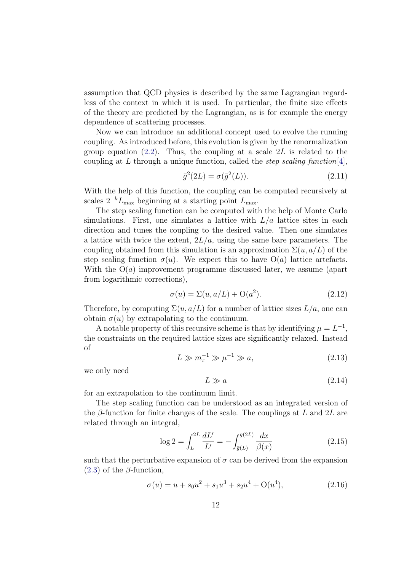assumption that QCD physics is described by the same Lagrangian regardless of the context in which it is used. In particular, the finite size effects of the theory are predicted by the Lagrangian, as is for example the energy dependence of scattering processes.

Now we can introduce an additional concept used to evolve the running coupling. As introduced before, this evolution is given by the renormalization group equation  $(2.2)$ . Thus, the coupling at a scale 2L is related to the coupling at L through a unique function, called the *step scaling function*[\[4\]](#page-112-4),

$$
\bar{g}^2(2L) = \sigma(\bar{g}^2(L)).\tag{2.11}
$$

With the help of this function, the coupling can be computed recursively at scales  $2^{-k}L_{\text{max}}$  beginning at a starting point  $L_{\text{max}}$ .

The step scaling function can be computed with the help of Monte Carlo simulations. First, one simulates a lattice with  $L/a$  lattice sites in each direction and tunes the coupling to the desired value. Then one simulates a lattice with twice the extent,  $2L/a$ , using the same bare parameters. The coupling obtained from this simulation is an approximation  $\Sigma(u, a/L)$  of the step scaling function  $\sigma(u)$ . We expect this to have  $O(a)$  lattice artefacts. With the  $O(a)$  improvement programme discussed later, we assume (apart from logarithmic corrections),

$$
\sigma(u) = \Sigma(u, a/L) + \mathcal{O}(a^2). \tag{2.12}
$$

Therefore, by computing  $\Sigma(u, a/L)$  for a number of lattice sizes  $L/a$ , one can obtain  $\sigma(u)$  by extrapolating to the continuum.

A notable property of this recursive scheme is that by identifying  $\mu = L^{-1}$ , the constraints on the required lattice sizes are significantly relaxed. Instead of

$$
L \gg m_{\pi}^{-1} \gg \mu^{-1} \gg a,\tag{2.13}
$$

we only need

$$
L \gg a \tag{2.14}
$$

for an extrapolation to the continuum limit.

The step scaling function can be understood as an integrated version of the  $\beta$ -function for finite changes of the scale. The couplings at L and 2L are related through an integral,

<span id="page-19-0"></span>
$$
\log 2 = \int_{L}^{2L} \frac{dL'}{L'} = -\int_{\bar{g}(L)}^{\bar{g}(2L)} \frac{dx}{\beta(x)}
$$
(2.15)

such that the perturbative expansion of  $\sigma$  can be derived from the expansion  $(2.3)$  of the  $\beta$ -function,

$$
\sigma(u) = u + s_0 u^2 + s_1 u^3 + s_2 u^4 + O(u^4), \tag{2.16}
$$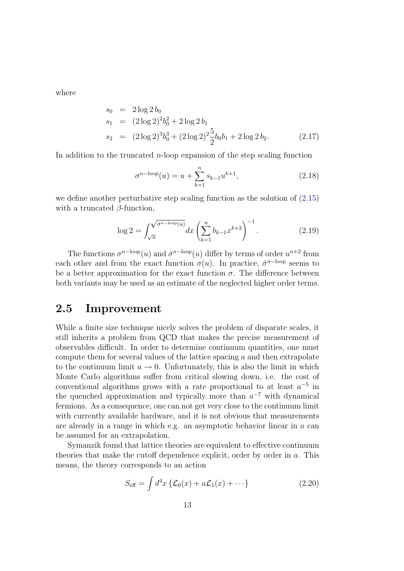where

$$
s_0 = 2 \log 2 b_0
$$
  
\n
$$
s_1 = (2 \log 2)^2 b_0^2 + 2 \log 2 b_1
$$
  
\n
$$
s_2 = (2 \log 2)^3 b_0^3 + (2 \log 2)^2 \frac{5}{2} b_0 b_1 + 2 \log 2 b_2.
$$
\n(2.17)

In addition to the truncated  $n$ -loop expansion of the step scaling function

$$
\sigma^{n-\text{loop}}(u) = u + \sum_{k=1}^{n} s_{k-1} u^{k+1},\tag{2.18}
$$

we define another perturbative step scaling function as the solution of (2.[15\)](#page-19-0) with a truncated  $\beta$ -function,

$$
\log 2 = \int_{\sqrt{u}}^{\sqrt{\hat{\sigma}^{n-\text{loop}}(u)}} dx \left(\sum_{k=1}^{n} b_{k-1} x^{k+2}\right)^{-1}.
$$
 (2.19)

The functions  $\sigma^{n-\text{loop}}(u)$  and  $\hat{\sigma}^{n-\text{loop}}(u)$  differ by terms of order  $u^{n+2}$  from each other and from the exact function  $\sigma(u)$ . In practice,  $\hat{\sigma}^{n-loop}$  seems to be a better approximation for the exact function  $\sigma$ . The difference between both variants may be used as an estimate of the neglected higher order terms.

### <span id="page-20-0"></span>2.5 Improvement

While a finite size technique nicely solves the problem of disparate scales, it still inherits a problem from QCD that makes the precise measurement of observables difficult. In order to determine continuum quantities, one must compute them for several values of the lattice spacing  $a$  and then extrapolate to the continuum limit  $a \to 0$ . Unfortunately, this is also the limit in which Monte Carlo algorithms suffer from critical slowing down, i.e. the cost of conventional algorithms grows with a rate proportional to at least  $a^{-5}$  in the quenched approximation and typically more than  $a^{-7}$  with dynamical fermions. As a consequence, one can not get very close to the continuum limit with currently available hardware, and it is not obvious that measurements are already in a range in which e.g. an asymptotic behavior linear in a can be assumed for an extrapolation.

Symanzik found that lattice theories are equivalent to effective continuum theories that make the cutoff dependence explicit, order by order in a. This means, the theory corresponds to an action

$$
S_{\text{eff}} = \int d^4x \left\{ \mathcal{L}_0(x) + a\mathcal{L}_1(x) + \cdots \right\} \tag{2.20}
$$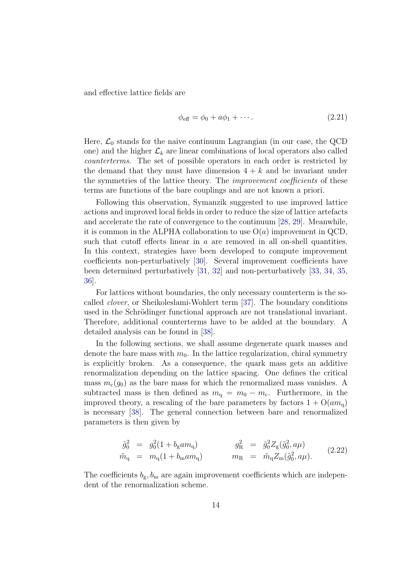and effective lattice fields are

$$
\phi_{\text{eff}} = \phi_0 + a\phi_1 + \cdots. \tag{2.21}
$$

Here,  $\mathcal{L}_0$  stands for the naive continuum Lagrangian (in our case, the QCD one) and the higher  $\mathcal{L}_k$  are linear combinations of local operators also called counterterms. The set of possible operators in each order is restricted by the demand that they must have dimension  $4 + k$  and be invariant under the symmetries of the lattice theory. The *improvement coefficients* of these terms are functions of the bare couplings and are not known a priori.

Following this observation, Symanzik suggested to use improved lattice actions and improved local fields in order to reduce the size of lattice artefacts and accelerate the rate of convergence to the continuum [\[28,](#page-114-4) [29\]](#page-114-5). Meanwhile, it is common in the ALPHA collaboration to use  $O(a)$  improvement in QCD, such that cutoff effects linear in  $a$  are removed in all on-shell quantities. In this context, strategies have been developed to compute improvement coefficients non-perturbatively [\[30\]](#page-114-6). Several improvement coefficients have been determined perturbatively [\[31,](#page-114-7) [32\]](#page-114-8) and non-perturbatively [\[33,](#page-114-9) [34,](#page-114-10) [35,](#page-114-11) [36\]](#page-114-12).

For lattices without boundaries, the only necessary counterterm is the socalled clover, or Sheikoleslami-Wohlert term [\[37\]](#page-115-0). The boundary conditions used in the Schrödinger functional approach are not translational invariant. Therefore, additional counterterms have to be added at the boundary. A detailed analysis can be found in [\[38\]](#page-115-1).

In the following sections, we shall assume degenerate quark masses and denote the bare mass with  $m_0$ . In the lattice regularization, chiral symmetry is explicitly broken. As a consequence, the quark mass gets an additive renormalization depending on the lattice spacing. One defines the critical mass  $m_c(g_0)$  as the bare mass for which the renormalized mass vanishes. A subtracted mass is then defined as  $m_q = m_0 - m_c$ . Furthermore, in the improved theory, a rescaling of the bare parameters by factors  $1 + O(am_0)$ is necessary [\[38\]](#page-115-1). The general connection between bare and renormalized parameters is then given by

$$
\tilde{g}_0^2 = g_0^2 (1 + b_g a m_q) \qquad \qquad g_R^2 = \tilde{g}_0^2 Z_g(\tilde{g}_0^2, a\mu) \n\tilde{m}_q = m_q (1 + b_m a m_q) \qquad m_R = \tilde{m}_q Z_m(\tilde{g}_0^2, a\mu).
$$
\n(2.22)

The coefficients  $b_{\rm g}, b_{\rm m}$  are again improvement coefficients which are independent of the renormalization scheme.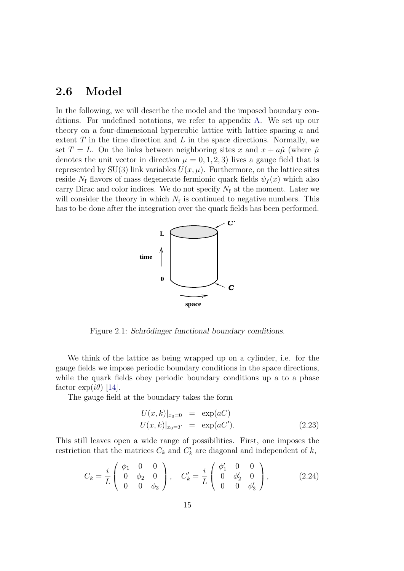#### <span id="page-22-0"></span>2.6 Model

In the following, we will describe the model and the imposed boundary conditions. For undefined notations, we refer to appendix [A.](#page-102-0) We set up our theory on a four-dimensional hypercubic lattice with lattice spacing a and extent  $T$  in the time direction and  $L$  in the space directions. Normally, we set  $T = L$ . On the links between neighboring sites x and  $x + a\hat{\mu}$  (where  $\hat{\mu}$ denotes the unit vector in direction  $\mu = 0, 1, 2, 3$  lives a gauge field that is represented by SU(3) link variables  $U(x, \mu)$ . Furthermore, on the lattice sites reside  $N_f$  flavors of mass degenerate fermionic quark fields  $\psi_f(x)$  which also carry Dirac and color indices. We do not specify  $N_f$  at the moment. Later we will consider the theory in which  $N_f$  is continued to negative numbers. This has to be done after the integration over the quark fields has been performed.



Figure 2.1: Schrödinger functional boundary conditions.

We think of the lattice as being wrapped up on a cylinder, i.e. for the gauge fields we impose periodic boundary conditions in the space directions, while the quark fields obey periodic boundary conditions up a to a phase factor  $\exp(i\theta)$  [\[14\]](#page-113-4).

The gauge field at the boundary takes the form

$$
U(x,k)|_{x_0=0} = \exp(aC)
$$
  
 
$$
U(x,k)|_{x_0=T} = \exp(aC').
$$
 (2.23)

This still leaves open a wide range of possibilities. First, one imposes the restriction that the matrices  $C_k$  and  $C'_k$  are diagonal and independent of  $k$ ,

$$
C_k = \frac{i}{L} \begin{pmatrix} \phi_1 & 0 & 0 \\ 0 & \phi_2 & 0 \\ 0 & 0 & \phi_3 \end{pmatrix}, \quad C'_k = \frac{i}{L} \begin{pmatrix} \phi'_1 & 0 & 0 \\ 0 & \phi'_2 & 0 \\ 0 & 0 & \phi'_3 \end{pmatrix}, \tag{2.24}
$$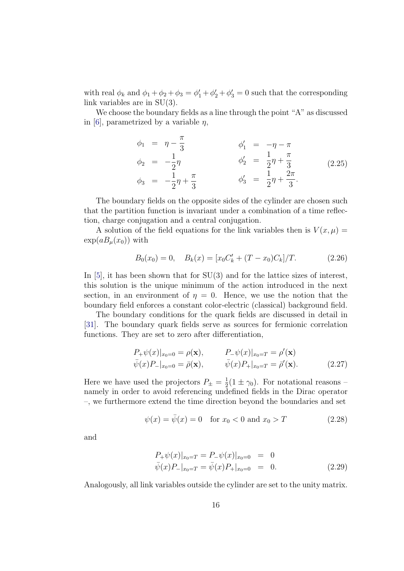with real  $\phi_k$  and  $\phi_1 + \phi_2 + \phi_3 = \phi'_1 + \phi'_2 + \phi'_3 = 0$  such that the corresponding link variables are in SU(3).

We choose the boundary fields as a line through the point "A" as discussed in [\[6\]](#page-112-6), parametrized by a variable  $\eta$ ,

$$
\begin{aligned}\n\phi_1 &= \eta - \frac{\pi}{3} & \phi'_1 &= -\eta - \pi \\
\phi_2 &= -\frac{1}{2}\eta & \phi'_2 &= \frac{1}{2}\eta + \frac{\pi}{3} \\
\phi_3 &= -\frac{1}{2}\eta + \frac{\pi}{3} & \phi'_3 &= \frac{1}{2}\eta + \frac{2\pi}{3}.\n\end{aligned}
$$
\n(2.25)

The boundary fields on the opposite sides of the cylinder are chosen such that the partition function is invariant under a combination of a time reflection, charge conjugation and a central conjugation.

A solution of the field equations for the link variables then is  $V(x, \mu) =$  $\exp(aB_u(x_0))$  with

$$
B_0(x_0) = 0, \quad B_k(x) = [x_0 C'_k + (T - x_0)C_k]/T.
$$
 (2.26)

In  $[5]$ , it has been shown that for  $SU(3)$  and for the lattice sizes of interest, this solution is the unique minimum of the action introduced in the next section, in an environment of  $\eta = 0$ . Hence, we use the notion that the boundary field enforces a constant color-electric (classical) background field.

The boundary conditions for the quark fields are discussed in detail in [\[31\]](#page-114-7). The boundary quark fields serve as sources for fermionic correlation functions. They are set to zero after differentiation,

$$
P_{+}\psi(x)|_{x_{0}=0} = \rho(\mathbf{x}), \qquad P_{-}\psi(x)|_{x_{0}=T} = \rho'(\mathbf{x})
$$
  

$$
\bar{\psi}(x)P_{-}|_{x_{0}=0} = \bar{\rho}(\mathbf{x}), \qquad \bar{\psi}(x)P_{+}|_{x_{0}=T} = \bar{\rho}'(\mathbf{x}). \qquad (2.27)
$$

Here we have used the projectors  $P_{\pm} = \frac{1}{2}$  $\frac{1}{2}(1 \pm \gamma_0)$ . For notational reasons – namely in order to avoid referencing undefined fields in the Dirac operator –, we furthermore extend the time direction beyond the boundaries and set

$$
\psi(x) = \bar{\psi}(x) = 0
$$
 for  $x_0 < 0$  and  $x_0 > T$  (2.28)

and

$$
P_{+}\psi(x)|_{x_{0}=T} = P_{-}\psi(x)|_{x_{0}=0} = 0
$$
  

$$
\bar{\psi}(x)P_{-}|_{x_{0}=T} = \bar{\psi}(x)P_{+}|_{x_{0}=0} = 0.
$$
 (2.29)

Analogously, all link variables outside the cylinder are set to the unity matrix.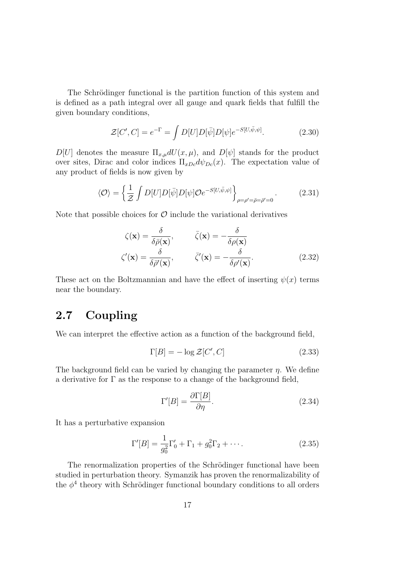The Schrödinger functional is the partition function of this system and is defined as a path integral over all gauge and quark fields that fulfill the given boundary conditions,

$$
\mathcal{Z}[C',C] = e^{-\Gamma} = \int D[U]D[\bar{\psi}]D[\psi]e^{-S[U,\bar{\psi},\psi]}.\tag{2.30}
$$

 $D[U]$  denotes the measure  $\Pi_{x,\mu}dU(x,\mu)$ , and  $D[\psi]$  stands for the product over sites, Dirac and color indices  $\Pi_{xDc}d\psi_{Dc}(x)$ . The expectation value of any product of fields is now given by

$$
\langle \mathcal{O} \rangle = \left\{ \frac{1}{\mathcal{Z}} \int D[U] D[\bar{\psi}] D[\psi] \mathcal{O} e^{-S[U,\bar{\psi},\psi]} \right\}_{\rho=\rho'=\bar{\rho}=\bar{\rho}'=0}.
$$
 (2.31)

Note that possible choices for  $\mathcal O$  include the variational derivatives

$$
\zeta(\mathbf{x}) = \frac{\delta}{\delta \bar{\rho}(\mathbf{x})}, \qquad \bar{\zeta}(\mathbf{x}) = -\frac{\delta}{\delta \rho(\mathbf{x})}
$$

$$
\zeta'(\mathbf{x}) = \frac{\delta}{\delta \bar{\rho}'(\mathbf{x})}, \qquad \bar{\zeta}'(\mathbf{x}) = -\frac{\delta}{\delta \rho'(\mathbf{x})}. \tag{2.32}
$$

These act on the Boltzmannian and have the effect of inserting  $\psi(x)$  terms near the boundary.

### <span id="page-24-0"></span>2.7 Coupling

We can interpret the effective action as a function of the background field,

$$
\Gamma[B] = -\log \mathcal{Z}[C', C] \tag{2.33}
$$

The background field can be varied by changing the parameter  $\eta$ . We define a derivative for  $\Gamma$  as the response to a change of the background field,

$$
\Gamma'[B] = \frac{\partial \Gamma[B]}{\partial \eta}.\tag{2.34}
$$

It has a perturbative expansion

$$
\Gamma'[B] = \frac{1}{g_0^2} \Gamma'_0 + \Gamma_1 + g_0^2 \Gamma_2 + \cdots
$$
 (2.35)

The renormalization properties of the Schrödinger functional have been studied in perturbation theory. Symanzik has proven the renormalizability of the  $\phi^4$  theory with Schrödinger functional boundary conditions to all orders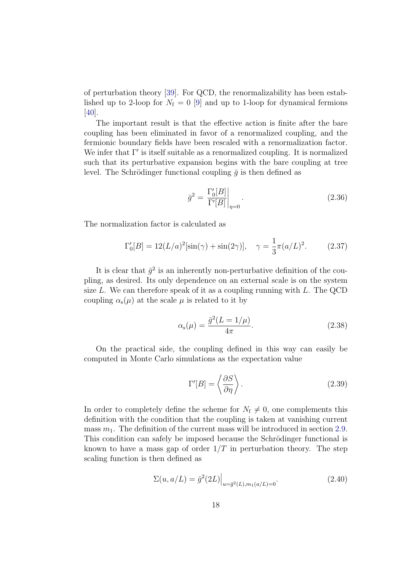of perturbation theory [\[39\]](#page-115-2). For QCD, the renormalizability has been established up to 2-loop for  $N_f = 0$  [\[9\]](#page-112-9) and up to 1-loop for dynamical fermions [\[40\]](#page-115-3).

The important result is that the effective action is finite after the bare coupling has been eliminated in favor of a renormalized coupling, and the fermionic boundary fields have been rescaled with a renormalization factor. We infer that  $\Gamma'$  is itself suitable as a renormalized coupling. It is normalized such that its perturbative expansion begins with the bare coupling at tree level. The Schrödinger functional coupling  $\bar{g}$  is then defined as

$$
\bar{g}^2 = \left. \frac{\Gamma_0'[B]}{\Gamma'[B]} \right|_{\eta=0}.\tag{2.36}
$$

The normalization factor is calculated as

$$
\Gamma_0'[B] = 12(L/a)^2[\sin(\gamma) + \sin(2\gamma)], \quad \gamma = \frac{1}{3}\pi(a/L)^2. \tag{2.37}
$$

It is clear that  $\bar{g}^2$  is an inherently non-perturbative definition of the coupling, as desired. Its only dependence on an external scale is on the system size  $L$ . We can therefore speak of it as a coupling running with  $L$ . The QCD coupling  $\alpha_{s}(\mu)$  at the scale  $\mu$  is related to it by

$$
\alpha_{\rm s}(\mu) = \frac{\bar{g}^2 (L = 1/\mu)}{4\pi}.
$$
\n(2.38)

On the practical side, the coupling defined in this way can easily be computed in Monte Carlo simulations as the expectation value

$$
\Gamma'[B] = \left\langle \frac{\partial S}{\partial \eta} \right\rangle. \tag{2.39}
$$

In order to completely define the scheme for  $N_f \neq 0$ , one complements this definition with the condition that the coupling is taken at vanishing current mass  $m_1$ . The definition of the current mass will be introduced in section [2.9.](#page-29-0) This condition can safely be imposed because the Schrödinger functional is known to have a mass gap of order  $1/T$  in perturbation theory. The step scaling function is then defined as

$$
\Sigma(u, a/L) = \bar{g}^2(2L)\Big|_{u = \bar{g}^2(L), m_1(a/L) = 0}.
$$
\n(2.40)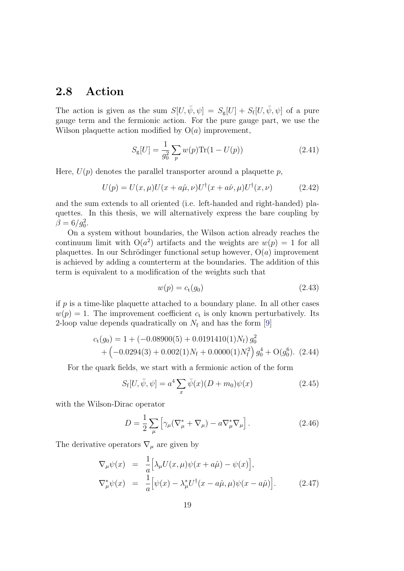### <span id="page-26-0"></span>2.8 Action

The action is given as the sum  $S[U, \bar{\psi}, \psi] = S_{g}[U] + S_{f}[U, \bar{\psi}, \psi]$  of a pure gauge term and the fermionic action. For the pure gauge part, we use the Wilson plaquette action modified by  $O(a)$  improvement,

$$
S_{\rm g}[U] = \frac{1}{g_0^2} \sum_{p} w(p) \text{Tr}(1 - U(p)) \tag{2.41}
$$

Here,  $U(p)$  denotes the parallel transporter around a plaquette p,

$$
U(p) = U(x, \mu)U(x + a\hat{\mu}, \nu)U^{\dagger}(x + a\hat{\nu}, \mu)U^{\dagger}(x, \nu) \tag{2.42}
$$

and the sum extends to all oriented (i.e. left-handed and right-handed) plaquettes. In this thesis, we will alternatively express the bare coupling by  $\beta = 6/g_0^2$ .

On a system without boundaries, the Wilson action already reaches the continuum limit with  $O(a^2)$  artifacts and the weights are  $w(p) = 1$  for all plaquettes. In our Schrödinger functional setup however,  $O(a)$  improvement is achieved by adding a counterterm at the boundaries. The addition of this term is equivalent to a modification of the weights such that

$$
w(p) = ct(g0)
$$
\n
$$
(2.43)
$$

if  $p$  is a time-like plaquette attached to a boundary plane. In all other cases  $w(p) = 1$ . The improvement coefficient  $c_t$  is only known perturbatively. Its 2-loop value depends quadratically on  $N_f$  and has the form [\[9\]](#page-112-9)

$$
c_{t}(g_{0}) = 1 + (-0.08900(5) + 0.0191410(1)N_{f}) g_{0}^{2}
$$
  
+ 
$$
(-0.0294(3) + 0.002(1)N_{f} + 0.0000(1)N_{f}^{2}) g_{0}^{4} + O(g_{0}^{6}).
$$
 (2.44)

For the quark fields, we start with a fermionic action of the form

$$
S_{\rm f}[U, \bar{\psi}, \psi] = a^4 \sum_{x} \bar{\psi}(x) (D + m_0) \psi(x)
$$
 (2.45)

with the Wilson-Dirac operator

$$
D = \frac{1}{2} \sum_{\mu} \left[ \gamma_{\mu} (\nabla_{\mu}^* + \nabla_{\mu}) - a \nabla_{\mu}^* \nabla_{\mu} \right]. \tag{2.46}
$$

The derivative operators  $\nabla_{\mu}$  are given by

$$
\nabla_{\mu}\psi(x) = \frac{1}{a} \Big[ \lambda_{\mu} U(x, \mu)\psi(x + a\hat{\mu}) - \psi(x) \Big],
$$
  
\n
$$
\nabla_{\mu}^{*}\psi(x) = \frac{1}{a} \Big[ \psi(x) - \lambda_{\mu}^{*}U^{\dagger}(x - a\hat{\mu}, \mu)\psi(x - a\hat{\mu}) \Big].
$$
 (2.47)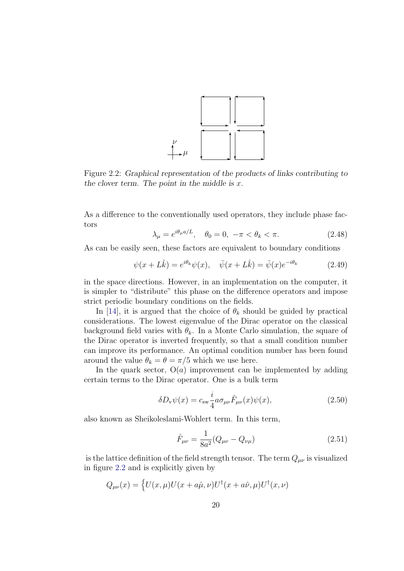

<span id="page-27-0"></span>Figure 2.2: Graphical representation of the products of links contributing to the clover term. The point in the middle is  $x$ .

As a difference to the conventionally used operators, they include phase factors

$$
\lambda_{\mu} = e^{i\theta_{\mu}a/L}, \quad \theta_0 = 0, \ -\pi < \theta_k < \pi. \tag{2.48}
$$

As can be easily seen, these factors are equivalent to boundary conditions

$$
\psi(x+L\hat{k}) = e^{i\theta_k}\psi(x), \quad \bar{\psi}(x+L\hat{k}) = \bar{\psi}(x)e^{-i\theta_k} \tag{2.49}
$$

in the space directions. However, in an implementation on the computer, it is simpler to "distribute" this phase on the difference operators and impose strict periodic boundary conditions on the fields.

In [\[14\]](#page-113-4), it is argued that the choice of  $\theta_k$  should be guided by practical considerations. The lowest eigenvalue of the Dirac operator on the classical background field varies with  $\theta_k$ . In a Monte Carlo simulation, the square of the Dirac operator is inverted frequently, so that a small condition number can improve its performance. An optimal condition number has been found around the value  $\theta_k = \theta = \pi/5$  which we use here.

In the quark sector,  $O(a)$  improvement can be implemented by adding certain terms to the Dirac operator. One is a bulk term

$$
\delta D_{\rm v}\psi(x) = c_{\rm sw}\frac{i}{4}a\sigma_{\mu\nu}\hat{F}_{\mu\nu}(x)\psi(x),\tag{2.50}
$$

also known as Sheikoleslami-Wohlert term. In this term,

$$
\hat{F}_{\mu\nu} = \frac{1}{8a^2} (Q_{\mu\nu} - Q_{\nu\mu})
$$
\n(2.51)

is the lattice definition of the field strength tensor. The term  $Q_{\mu\nu}$  is visualized in figure [2.2](#page-27-0) and is explicitly given by

$$
Q_{\mu\nu}(x) = \left\{ U(x,\mu)U(x+a\hat{\mu},\nu)U^{\dagger}(x+a\hat{\nu},\mu)U^{\dagger}(x,\nu) \right\}
$$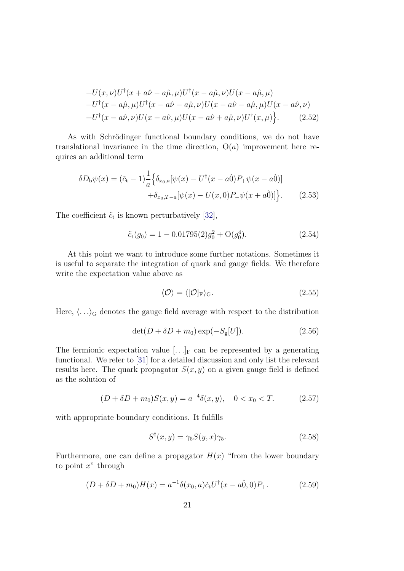$$
+U(x,\nu)U^{\dagger}(x+a\hat{\nu}-a\hat{\mu},\mu)U^{\dagger}(x-a\hat{\mu},\nu)U(x-a\hat{\mu},\mu) +U^{\dagger}(x-a\hat{\mu},\mu)U^{\dagger}(x-a\hat{\nu}-a\hat{\mu},\nu)U(x-a\hat{\nu}-a\hat{\mu},\mu)U(x-a\hat{\nu},\nu) +U^{\dagger}(x-a\hat{\nu},\nu)U(x-a\hat{\nu},\mu)U(x-a\hat{\nu}+a\hat{\mu},\nu)U^{\dagger}(x,\mu) \}. \tag{2.52}
$$

As with Schrödinger functional boundary conditions, we do not have translational invariance in the time direction,  $O(a)$  improvement here requires an additional term

$$
\delta D_{\rm b}\psi(x) = (\tilde{c}_{\rm t} - 1)\frac{1}{a}\Big\{\delta_{x_0,a}[\psi(x) - U^{\dagger}(x - a\hat{0})P_+\psi(x - a\hat{0})] + \delta_{x_0,T-a}[\psi(x) - U(x,0)P_-\psi(x + a\hat{0})]\Big\}.
$$
 (2.53)

The coefficient  $\tilde{c}_t$  is known perturbatively [\[32\]](#page-114-8),

$$
\tilde{c}_t(g_0) = 1 - 0.01795(2)g_0^2 + \mathcal{O}(g_0^4). \tag{2.54}
$$

At this point we want to introduce some further notations. Sometimes it is useful to separate the integration of quark and gauge fields. We therefore write the expectation value above as

$$
\langle \mathcal{O} \rangle = \langle [\mathcal{O}]_{\mathrm{F}} \rangle_{\mathrm{G}}.\tag{2.55}
$$

Here,  $\langle \ldots \rangle_G$  denotes the gauge field average with respect to the distribution

$$
\det(D + \delta D + m_0) \exp(-S_g[U]). \tag{2.56}
$$

The fermionic expectation value  $[\ldots]_F$  can be represented by a generating functional. We refer to [\[31\]](#page-114-7) for a detailed discussion and only list the relevant results here. The quark propagator  $S(x, y)$  on a given gauge field is defined as the solution of

$$
(D + \delta D + m_0)S(x, y) = a^{-4}\delta(x, y), \quad 0 < x_0 < T. \tag{2.57}
$$

with appropriate boundary conditions. It fulfills

<span id="page-28-0"></span>
$$
S^{\dagger}(x,y) = \gamma_5 S(y,x)\gamma_5. \tag{2.58}
$$

Furthermore, one can define a propagator  $H(x)$  "from the lower boundary" to point  $x^"$  through

<span id="page-28-1"></span>
$$
(D + \delta D + m_0)H(x) = a^{-1}\delta(x_0, a)\tilde{c}_t U^{\dagger}(x - a\hat{0}, 0)P_+.
$$
 (2.59)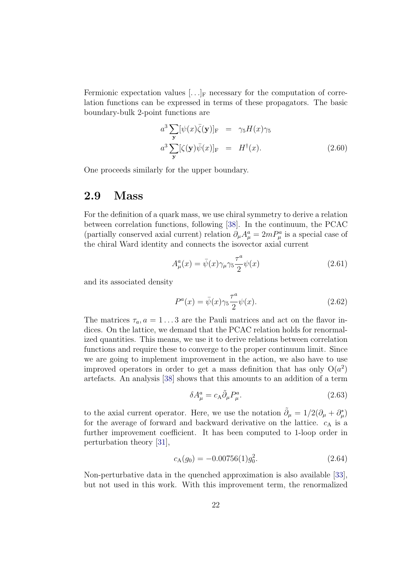Fermionic expectation values  $[\ldots]_F$  necessary for the computation of correlation functions can be expressed in terms of these propagators. The basic boundary-bulk 2-point functions are

<span id="page-29-1"></span>
$$
a^3 \sum_{\mathbf{y}} [\psi(x)\overline{\zeta}(\mathbf{y})]_{\mathrm{F}} = \gamma_5 H(x)\gamma_5
$$
  

$$
a^3 \sum_{\mathbf{y}} [\zeta(\mathbf{y})\overline{\psi}(x)]_{\mathrm{F}} = H^{\dagger}(x).
$$
 (2.60)

One proceeds similarly for the upper boundary.

#### <span id="page-29-0"></span>2.9 Mass

For the definition of a quark mass, we use chiral symmetry to derive a relation between correlation functions, following [\[38\]](#page-115-1). In the continuum, the PCAC (partially conserved axial current) relation  $\partial_{\mu}A_{\mu}^{a} = 2mP_{\mu}^{a}$  is a special case of the chiral Ward identity and connects the isovector axial current

$$
A_{\mu}^{a}(x) = \bar{\psi}(x)\gamma_{\mu}\gamma_{5}\frac{\tau^{a}}{2}\psi(x)
$$
\n(2.61)

and its associated density

$$
P^{a}(x) = \bar{\psi}(x)\gamma_5 \frac{\tau^{a}}{2} \psi(x). \qquad (2.62)
$$

The matrices  $\tau_a$ ,  $a = 1...3$  are the Pauli matrices and act on the flavor indices. On the lattice, we demand that the PCAC relation holds for renormalized quantities. This means, we use it to derive relations between correlation functions and require these to converge to the proper continuum limit. Since we are going to implement improvement in the action, we also have to use improved operators in order to get a mass definition that has only  $O(a^2)$ artefacts. An analysis [\[38\]](#page-115-1) shows that this amounts to an addition of a term

$$
\delta A^a_\mu = c_A \tilde{\partial}_\mu P^a_\mu. \tag{2.63}
$$

to the axial current operator. Here, we use the notation  $\tilde{\partial}_{\mu} = 1/2(\partial_{\mu} + \partial_{\mu}^{*})$ for the average of forward and backward derivative on the lattice.  $c_A$  is a further improvement coefficient. It has been computed to 1-loop order in perturbation theory [\[31\]](#page-114-7),

$$
c_{A}(g_{0}) = -0.00756(1)g_{0}^{2}.
$$
\n(2.64)

Non-perturbative data in the quenched approximation is also available [\[33\]](#page-114-9), but not used in this work. With this improvement term, the renormalized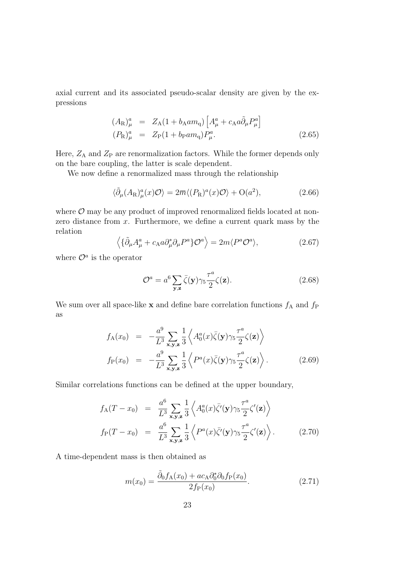axial current and its associated pseudo-scalar density are given by the expressions

$$
(A_{\rm R})_{\mu}^{a} = Z_{\rm A}(1 + b_{\rm A}am_{\rm q}) \left[ A_{\mu}^{a} + c_{\rm A}a\tilde{\partial}_{\mu}P_{\mu}^{a} \right]
$$
  
\n
$$
(P_{\rm R})_{\mu}^{a} = Z_{\rm P}(1 + b_{\rm P}am_{\rm q})P_{\mu}^{a}.
$$
\n(2.65)

Here,  $Z_A$  and  $Z_P$  are renormalization factors. While the former depends only on the bare coupling, the latter is scale dependent.

We now define a renormalized mass through the relationship

<span id="page-30-0"></span>
$$
\langle \tilde{\partial}_{\mu}(A_{\rm R})_{\mu}^{a}(x) \mathcal{O} \rangle = 2\overline{m} \langle (P_{\rm R})^{a}(x) \mathcal{O} \rangle + \mathcal{O}(a^{2}), \qquad (2.66)
$$

where  $\mathcal{O}$  may be any product of improved renormalized fields located at nonzero distance from x. Furthermore, we define a current quark mass by the relation

<span id="page-30-1"></span>
$$
\left\langle \{\tilde{\partial}_{\mu}A_{\mu}^{a} + c_{A}a\partial_{\mu}^{*}\partial_{\mu}P^{a}\}\mathcal{O}^{a} \right\rangle = 2m\langle P^{a}\mathcal{O}^{a} \rangle, \tag{2.67}
$$

where  $\mathcal{O}^a$  is the operator

$$
\mathcal{O}^a = a^6 \sum_{\mathbf{y}, \mathbf{z}} \bar{\zeta}(\mathbf{y}) \gamma_5 \frac{\tau^a}{2} \zeta(\mathbf{z}). \tag{2.68}
$$

We sum over all space-like **x** and define bare correlation functions  $f_A$  and  $f_P$ as

$$
f_{A}(x_{0}) = -\frac{a^{9}}{L^{3}} \sum_{\mathbf{x}, \mathbf{y}, \mathbf{z}} \frac{1}{3} \left\langle A_{0}^{a}(x) \bar{\zeta}(\mathbf{y}) \gamma_{5} \frac{\tau^{a}}{2} \zeta(\mathbf{z}) \right\rangle
$$
  
\n
$$
f_{P}(x_{0}) = -\frac{a^{9}}{L^{3}} \sum_{\mathbf{x}, \mathbf{y}, \mathbf{z}} \frac{1}{3} \left\langle P^{a}(x) \bar{\zeta}(\mathbf{y}) \gamma_{5} \frac{\tau^{a}}{2} \zeta(\mathbf{z}) \right\rangle.
$$
 (2.69)

Similar correlations functions can be defined at the upper boundary,

$$
f_{\mathcal{A}}(T - x_0) = \frac{a^6}{L^3} \sum_{\mathbf{x}, \mathbf{y}, \mathbf{z}} \frac{1}{3} \left\langle A_0^a(x) \overline{\zeta}'(\mathbf{y}) \gamma_5 \frac{\tau^a}{2} \zeta'(\mathbf{z}) \right\rangle
$$
  
\n
$$
f_{\mathcal{P}}(T - x_0) = \frac{a^6}{L^3} \sum_{\mathbf{x}, \mathbf{y}, \mathbf{z}} \frac{1}{3} \left\langle P^a(x) \overline{\zeta}'(\mathbf{y}) \gamma_5 \frac{\tau^a}{2} \zeta'(\mathbf{z}) \right\rangle.
$$
 (2.70)

A time-dependent mass is then obtained as

$$
m(x_0) = \frac{\tilde{\partial}_0 f_A(x_0) + ac_A \partial_0^* \partial_0 f_P(x_0)}{2f_P(x_0)}.
$$
\n(2.71)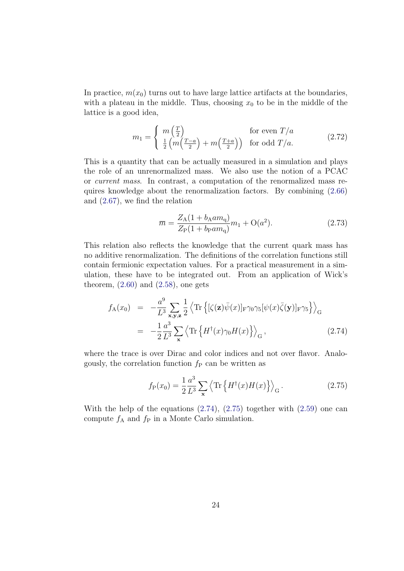In practice,  $m(x_0)$  turns out to have large lattice artifacts at the boundaries, with a plateau in the middle. Thus, choosing  $x_0$  to be in the middle of the lattice is a good idea,

$$
m_1 = \begin{cases} m\left(\frac{T}{2}\right) & \text{for even } T/a\\ \frac{1}{2}\left(m\left(\frac{T-a}{2}\right) + m\left(\frac{T+a}{2}\right)\right) & \text{for odd } T/a. \end{cases}
$$
(2.72)

This is a quantity that can be actually measured in a simulation and plays the role of an unrenormalized mass. We also use the notion of a PCAC or current mass. In contrast, a computation of the renormalized mass requires knowledge about the renormalization factors. By combining [\(2.66\)](#page-30-0) and [\(2.67\)](#page-30-1), we find the relation

$$
\overline{m} = \frac{Z_{\rm A}(1 + b_{\rm A} a m_{\rm q})}{Z_{\rm P}(1 + b_{\rm P} a m_{\rm q})} m_1 + O(a^2). \tag{2.73}
$$

This relation also reflects the knowledge that the current quark mass has no additive renormalization. The definitions of the correlation functions still contain fermionic expectation values. For a practical measurement in a simulation, these have to be integrated out. From an application of Wick's theorem,  $(2.60)$  and  $(2.58)$ , one gets

<span id="page-31-0"></span>
$$
f_{A}(x_{0}) = -\frac{a^{9}}{L^{3}} \sum_{\mathbf{x}, \mathbf{y}, \mathbf{z}} \frac{1}{2} \left\langle \operatorname{Tr} \left\{ [\zeta(\mathbf{z}) \bar{\psi}(x)]_{\mathrm{F}} \gamma_{0} \gamma_{5} [\psi(x) \bar{\zeta}(\mathbf{y})]_{\mathrm{F}} \gamma_{5} \right\} \right\rangle_{\mathrm{G}}
$$
  

$$
= -\frac{1}{2} \frac{a^{3}}{L^{3}} \sum_{\mathbf{x}} \left\langle \operatorname{Tr} \left\{ H^{\dagger}(x) \gamma_{0} H(x) \right\} \right\rangle_{\mathrm{G}}, \tag{2.74}
$$

where the trace is over Dirac and color indices and not over flavor. Analogously, the correlation function  $f<sub>P</sub>$  can be written as

<span id="page-31-1"></span>
$$
f_{\mathcal{P}}(x_0) = \frac{1}{2} \frac{a^3}{L^3} \sum_{\mathbf{x}} \left\langle \text{Tr} \left\{ H^\dagger(x) H(x) \right\} \right\rangle_{\mathcal{G}} . \tag{2.75}
$$

With the help of the equations  $(2.74)$ ,  $(2.75)$  together with  $(2.59)$  one can compute  $f_A$  and  $f_P$  in a Monte Carlo simulation.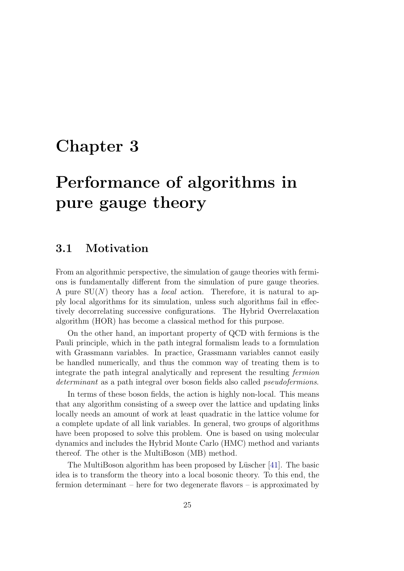## <span id="page-32-0"></span>Chapter 3

## Performance of algorithms in pure gauge theory

#### <span id="page-32-1"></span>3.1 Motivation

From an algorithmic perspective, the simulation of gauge theories with fermions is fundamentally different from the simulation of pure gauge theories. A pure  $SU(N)$  theory has a *local* action. Therefore, it is natural to apply local algorithms for its simulation, unless such algorithms fail in effectively decorrelating successive configurations. The Hybrid Overrelaxation algorithm (HOR) has become a classical method for this purpose.

On the other hand, an important property of QCD with fermions is the Pauli principle, which in the path integral formalism leads to a formulation with Grassmann variables. In practice, Grassmann variables cannot easily be handled numerically, and thus the common way of treating them is to integrate the path integral analytically and represent the resulting fermion determinant as a path integral over boson fields also called *pseudofermions*.

In terms of these boson fields, the action is highly non-local. This means that any algorithm consisting of a sweep over the lattice and updating links locally needs an amount of work at least quadratic in the lattice volume for a complete update of all link variables. In general, two groups of algorithms have been proposed to solve this problem. One is based on using molecular dynamics and includes the Hybrid Monte Carlo (HMC) method and variants thereof. The other is the MultiBoson (MB) method.

The MultiBoson algorithm has been proposed by Lüscher [\[41\]](#page-115-4). The basic idea is to transform the theory into a local bosonic theory. To this end, the fermion determinant – here for two degenerate flavors – is approximated by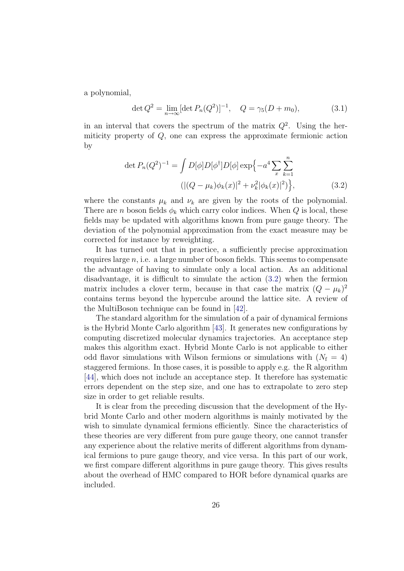a polynomial,

$$
\det Q^2 = \lim_{n \to \infty} [\det P_n(Q^2)]^{-1}, \quad Q = \gamma_5(D + m_0), \tag{3.1}
$$

in an interval that covers the spectrum of the matrix  $Q^2$ . Using the hermiticity property of Q, one can express the approximate fermionic action by

<span id="page-33-0"></span>
$$
\det P_n(Q^2)^{-1} = \int D[\phi]D[\phi^\dagger]D[\phi] \exp\{-a^4 \sum_x \sum_{k=1}^n (|(Q - \mu_k)\phi_k(x)|^2 + \nu_k^2 |\phi_k(x)|^2)\},\tag{3.2}
$$

where the constants  $\mu_k$  and  $\nu_k$  are given by the roots of the polynomial. There are *n* boson fields  $\phi_k$  which carry color indices. When Q is local, these fields may be updated with algorithms known from pure gauge theory. The deviation of the polynomial approximation from the exact measure may be corrected for instance by reweighting.

It has turned out that in practice, a sufficiently precise approximation requires large  $n$ , i.e. a large number of boson fields. This seems to compensate the advantage of having to simulate only a local action. As an additional disadvantage, it is difficult to simulate the action [\(3.2\)](#page-33-0) when the fermion matrix includes a clover term, because in that case the matrix  $(Q - \mu_k)^2$ contains terms beyond the hypercube around the lattice site. A review of the MultiBoson technique can be found in [\[42\]](#page-115-5).

The standard algorithm for the simulation of a pair of dynamical fermions is the Hybrid Monte Carlo algorithm [\[43\]](#page-115-6). It generates new configurations by computing discretized molecular dynamics trajectories. An acceptance step makes this algorithm exact. Hybrid Monte Carlo is not applicable to either odd flavor simulations with Wilson fermions or simulations with  $(N_f = 4)$ staggered fermions. In those cases, it is possible to apply e.g. the R algorithm [\[44\]](#page-115-7), which does not include an acceptance step. It therefore has systematic errors dependent on the step size, and one has to extrapolate to zero step size in order to get reliable results.

It is clear from the preceding discussion that the development of the Hybrid Monte Carlo and other modern algorithms is mainly motivated by the wish to simulate dynamical fermions efficiently. Since the characteristics of these theories are very different from pure gauge theory, one cannot transfer any experience about the relative merits of different algorithms from dynamical fermions to pure gauge theory, and vice versa. In this part of our work, we first compare different algorithms in pure gauge theory. This gives results about the overhead of HMC compared to HOR before dynamical quarks are included.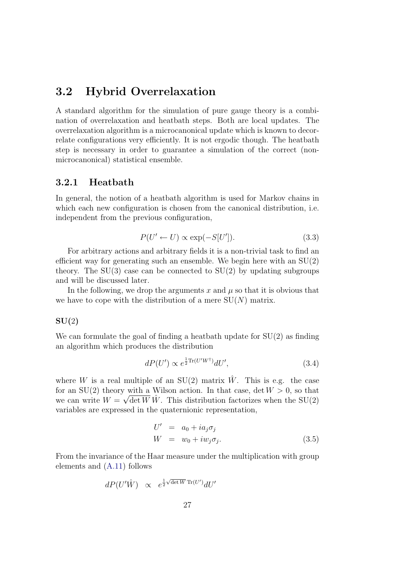### <span id="page-34-0"></span>3.2 Hybrid Overrelaxation

A standard algorithm for the simulation of pure gauge theory is a combination of overrelaxation and heatbath steps. Both are local updates. The overrelaxation algorithm is a microcanonical update which is known to decorrelate configurations very efficiently. It is not ergodic though. The heatbath step is necessary in order to guarantee a simulation of the correct (nonmicrocanonical) statistical ensemble.

#### <span id="page-34-1"></span>3.2.1 Heatbath

In general, the notion of a heatbath algorithm is used for Markov chains in which each new configuration is chosen from the canonical distribution, i.e. independent from the previous configuration,

$$
P(U' \leftarrow U) \propto \exp(-S[U'])
$$
 (3.3)

For arbitrary actions and arbitrary fields it is a non-trivial task to find an efficient way for generating such an ensemble. We begin here with an SU(2) theory. The  $SU(3)$  case can be connected to  $SU(2)$  by updating subgroups and will be discussed later.

In the following, we drop the arguments x and  $\mu$  so that it is obvious that we have to cope with the distribution of a mere  $SU(N)$  matrix.

#### $SU(2)$

We can formulate the goal of finding a heatbath update for  $SU(2)$  as finding an algorithm which produces the distribution

$$
dP(U') \propto e^{\frac{1}{2}\text{Tr}(U'W^{\dagger})}dU',\tag{3.4}
$$

where W is a real multiple of an  $SU(2)$  matrix W. This is e.g. the case for an SU(2) theory with a Wilson action. In that case, det  $W > 0$ , so that we can write  $W = \sqrt{\det W} \hat{W}$ . This distribution factorizes when the SU(2) variables are expressed in the quaternionic representation,

$$
U' = a_0 + ia_j \sigma_j
$$
  
\n
$$
W = w_0 + i w_j \sigma_j.
$$
\n(3.5)

From the invariance of the Haar measure under the multiplication with group elements and [\(A.11\)](#page-103-0) follows

<span id="page-34-2"></span>
$$
dP(U'\hat{W}) \propto e^{\frac{1}{2}\sqrt{\det W}\operatorname{Tr}(U')}dU'
$$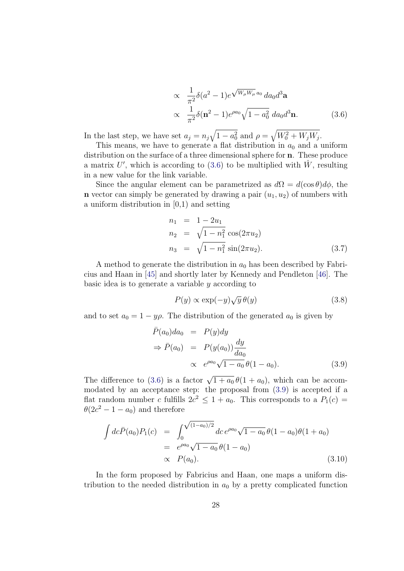$$
\propto \frac{1}{\pi^2} \delta(a^2 - 1) e^{\sqrt{W_\mu W_\mu} a_0} da_0 d^3 \mathbf{a}
$$
  
 
$$
\propto \frac{1}{\pi^2} \delta(\mathbf{n}^2 - 1) e^{\rho a_0} \sqrt{1 - a_0^2} da_0 d^3 \mathbf{n}.
$$
 (3.6)

In the last step, we have set  $a_j = n_j \sqrt{1 - a_0^2}$  and  $\rho = \sqrt{W_0^2 + W_j W_j}$ .

This means, we have to generate a flat distribution in  $a_0$  and a uniform distribution on the surface of a three dimensional sphere for **n**. These produce a matrix U', which is according to [\(3.6\)](#page-34-2) to be multiplied with  $\hat{W}$ , resulting in a new value for the link variable.

Since the angular element can be parametrized as  $d\Omega = d(\cos \theta) d\phi$ , the **n** vector can simply be generated by drawing a pair  $(u_1, u_2)$  of numbers with a uniform distribution in [0,1) and setting

$$
n_1 = 1 - 2u_1
$$
  
\n
$$
n_2 = \sqrt{1 - n_1^2} \cos(2\pi u_2)
$$
  
\n
$$
n_3 = \sqrt{1 - n_1^2} \sin(2\pi u_2).
$$
\n(3.7)

A method to generate the distribution in  $a_0$  has been described by Fabricius and Haan in [\[45\]](#page-115-8) and shortly later by Kennedy and Pendleton [\[46\]](#page-115-9). The basic idea is to generate a variable y according to

$$
P(y) \propto \exp(-y)\sqrt{y}\,\theta(y) \tag{3.8}
$$

and to set  $a_0 = 1 - y\rho$ . The distribution of the generated  $a_0$  is given by

<span id="page-35-0"></span>
$$
\begin{aligned}\n\bar{P}(a_0)da_0 &= P(y)dy \\
\Rightarrow \bar{P}(a_0) &= P(y(a_0))\frac{dy}{da_0} \\
&\propto e^{\rho a_0}\sqrt{1-a_0}\theta(1-a_0).\n\end{aligned} \tag{3.9}
$$

The difference to [\(3.6\)](#page-34-2) is a factor  $\sqrt{1+a_0} \theta(1+a_0)$ , which can be accommodated by an acceptance step: the proposal from [\(3.9\)](#page-35-0) is accepted if a flat random number c fulfills  $2c^2 \leq 1 + a_0$ . This corresponds to a  $P_1(c)$  =  $\theta(2c^2 - 1 - a_0)$  and therefore

$$
\int dc \bar{P}(a_0) P_1(c) = \int_0^{\sqrt{(1-a_0)/2}} dc e^{\rho a_0} \sqrt{1-a_0} \theta (1-a_0) \theta (1+a_0)
$$
  
=  $e^{\rho a_0} \sqrt{1-a_0} \theta (1-a_0)$   
  $\propto P(a_0).$  (3.10)

In the form proposed by Fabricius and Haan, one maps a uniform distribution to the needed distribution in  $a_0$  by a pretty complicated function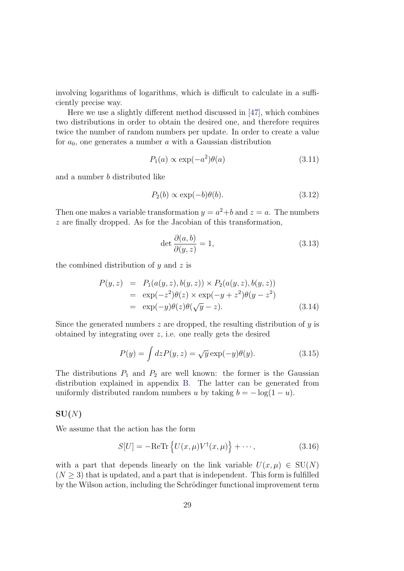involving logarithms of logarithms, which is difficult to calculate in a sufficiently precise way.

Here we use a slightly different method discussed in [\[47\]](#page-115-0), which combines two distributions in order to obtain the desired one, and therefore requires twice the number of random numbers per update. In order to create a value for  $a_0$ , one generates a number  $a$  with a Gaussian distribution

$$
P_1(a) \propto \exp(-a^2)\theta(a) \tag{3.11}
$$

and a number b distributed like

$$
P_2(b) \propto \exp(-b)\theta(b). \tag{3.12}
$$

Then one makes a variable transformation  $y = a^2 + b$  and  $z = a$ . The numbers z are finally dropped. As for the Jacobian of this transformation,

$$
\det \frac{\partial(a,b)}{\partial(y,z)} = 1,
$$
\n(3.13)

the combined distribution of  $y$  and  $z$  is

$$
P(y, z) = P_1(a(y, z), b(y, z)) \times P_2(a(y, z), b(y, z))
$$
  
=  $\exp(-z^2)\theta(z) \times \exp(-y + z^2)\theta(y - z^2)$   
=  $\exp(-y)\theta(z)\theta(\sqrt{y} - z).$  (3.14)

Since the generated numbers  $z$  are dropped, the resulting distribution of  $y$  is obtained by integrating over z, i.e. one really gets the desired

$$
P(y) = \int dz P(y, z) = \sqrt{y} \exp(-y)\theta(y).
$$
 (3.15)

The distributions  $P_1$  and  $P_2$  are well known: the former is the Gaussian distribution explained in appendix [B.](#page-105-0) The latter can be generated from uniformly distributed random numbers u by taking  $b = -\log(1 - u)$ .

#### $SU(N)$

We assume that the action has the form

<span id="page-36-0"></span>
$$
S[U] = -\text{ReTr}\left\{U(x,\mu)V^{\dagger}(x,\mu)\right\} + \cdots,
$$
\n(3.16)

with a part that depends linearly on the link variable  $U(x, \mu) \in SU(N)$  $(N \geq 3)$  that is updated, and a part that is independent. This form is fulfilled by the Wilson action, including the Schrödinger functional improvement term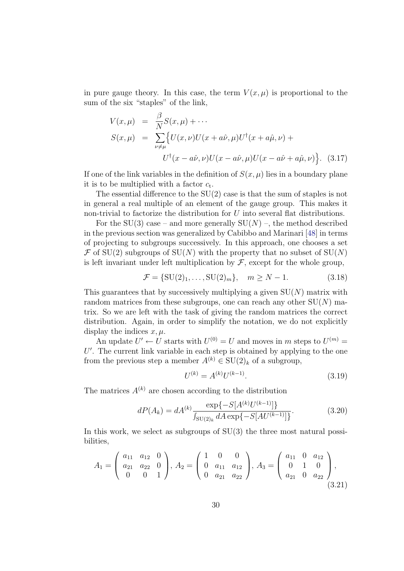in pure gauge theory. In this case, the term  $V(x, \mu)$  is proportional to the sum of the six "staples" of the link,

<span id="page-37-2"></span>
$$
V(x,\mu) = \frac{\beta}{N} S(x,\mu) + \cdots
$$
  
\n
$$
S(x,\mu) = \sum_{\nu \neq \mu} \{ U(x,\nu)U(x+a\hat{\nu},\mu)U^{\dagger}(x+a\hat{\mu},\nu) + U^{\dagger}(x-a\hat{\nu},\nu)U(x-a\hat{\nu},\mu)U(x-a\hat{\nu}+a\hat{\mu},\nu) \}.
$$
 (3.17)

If one of the link variables in the definition of  $S(x, \mu)$  lies in a boundary plane it is to be multiplied with a factor  $c_t$ .

The essential difference to the SU(2) case is that the sum of staples is not in general a real multiple of an element of the gauge group. This makes it non-trivial to factorize the distribution for U into several flat distributions.

For the  $SU(3)$  case – and more generally  $SU(N)$  –, the method described in the previous section was generalized by Cabibbo and Marinari [\[48\]](#page-115-1) in terms of projecting to subgroups successively. In this approach, one chooses a set  $\mathcal F$  of SU(2) subgroups of SU(N) with the property that no subset of SU(N) is left invariant under left multiplication by  $\mathcal{F}$ , except for the whole group,

$$
\mathcal{F} = \{SU(2)_1, \dots, SU(2)_m\}, \quad m \ge N - 1. \tag{3.18}
$$

This guarantees that by successively multiplying a given  $SU(N)$  matrix with random matrices from these subgroups, one can reach any other  $SU(N)$  matrix. So we are left with the task of giving the random matrices the correct distribution. Again, in order to simplify the notation, we do not explicitly display the indices  $x, \mu$ .

An update  $U' \leftarrow U$  starts with  $U^{(0)} = U$  and moves in m steps to  $U^{(m)} =$  $U'$ . The current link variable in each step is obtained by applying to the one from the previous step a member  $A^{(k)} \in SU(2)_k$  of a subgroup,

$$
U^{(k)} = A^{(k)} U^{(k-1)}.
$$
\n(3.19)

The matrices  $A^{(k)}$  are chosen according to the distribution

<span id="page-37-0"></span>
$$
dP(A_k) = dA^{(k)} \frac{\exp\{-S[A^{(k)}U^{(k-1)}]\}}{\int_{\text{SU}(2)_k} dA \exp\{-S[AU^{(k-1)}]\}}.
$$
(3.20)

In this work, we select as subgroups of SU(3) the three most natural possibilities,

<span id="page-37-1"></span>
$$
A_1 = \begin{pmatrix} a_{11} & a_{12} & 0 \\ a_{21} & a_{22} & 0 \\ 0 & 0 & 1 \end{pmatrix}, A_2 = \begin{pmatrix} 1 & 0 & 0 \\ 0 & a_{11} & a_{12} \\ 0 & a_{21} & a_{22} \end{pmatrix}, A_3 = \begin{pmatrix} a_{11} & 0 & a_{12} \\ 0 & 1 & 0 \\ a_{21} & 0 & a_{22} \end{pmatrix},
$$
\n(3.21)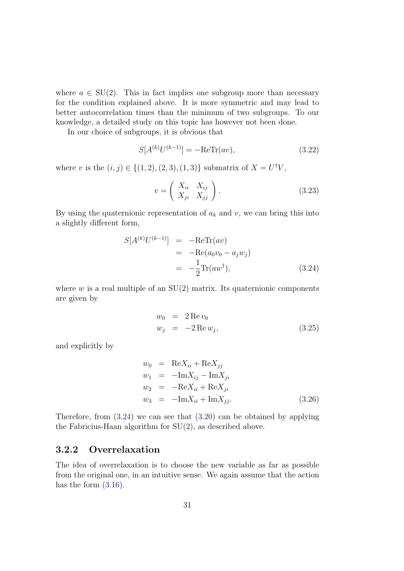where  $a \in SU(2)$ . This in fact implies one subgroup more than necessary for the condition explained above. It is more symmetric and may lead to better autocorrelation times than the minimum of two subgroups. To our knowledge, a detailed study on this topic has however not been done.

In our choice of subgroups, it is obvious that

$$
S[A^{(k)}U^{(k-1)}] = -\text{ReTr}(av),\tag{3.22}
$$

where v is the  $(i, j) \in \{(1, 2), (2, 3), (1, 3)\}\$  submatrix of  $X = U^{\dagger}V$ ,

$$
v = \left(\begin{array}{cc} X_{ii} & X_{ij} \\ X_{ji} & X_{jj} \end{array}\right). \tag{3.23}
$$

By using the quaternionic representation of  $a_k$  and v, we can bring this into a slightly different form,

<span id="page-38-0"></span>
$$
S[A^{(k)}U^{(k-1)}] = -\text{ReTr}(av)
$$
  
= -\text{Re}(a\_0v\_0 - a\_jw\_j)  
= -\frac{1}{2}\text{Tr}(aw<sup>†</sup>), \t(3.24)

where  $w$  is a real multiple of an  $SU(2)$  matrix. Its quaternionic components are given by

$$
w_0 = 2 \operatorname{Re} v_0
$$
  
\n
$$
w_j = -2 \operatorname{Re} w_j,
$$
\n(3.25)

and explicitly by

$$
w_0 = \text{Re}X_{ii} + \text{Re}X_{jj}
$$
  
\n
$$
w_1 = -\text{Im}X_{ij} - \text{Im}X_{ji}
$$
  
\n
$$
w_2 = -\text{Re}X_{ii} + \text{Re}X_{ji}
$$
  
\n
$$
w_3 = -\text{Im}X_{ii} + \text{Im}X_{jj}.
$$
\n(3.26)

Therefore, from [\(3.24\)](#page-38-0) we can see that [\(3.20\)](#page-37-0) can be obtained by applying the Fabricius-Haan algorithm for SU(2), as described above.

## <span id="page-38-1"></span>3.2.2 Overrelaxation

The idea of overrelaxation is to choose the new variable as far as possible from the original one, in an intuitive sense. We again assume that the action has the form  $(3.16)$ .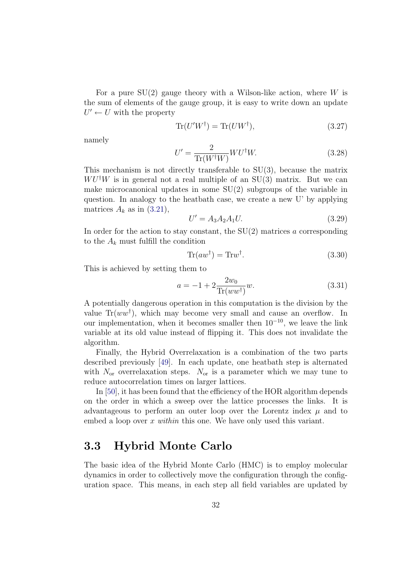For a pure  $SU(2)$  gauge theory with a Wilson-like action, where W is the sum of elements of the gauge group, it is easy to write down an update  $U' \leftarrow U$  with the property

$$
\text{Tr}(U'W^{\dagger}) = \text{Tr}(UW^{\dagger}),\tag{3.27}
$$

namely

$$
U' = \frac{2}{\text{Tr}(W^{\dagger}W)} W U^{\dagger}W.
$$
\n(3.28)

This mechanism is not directly transferable to  $SU(3)$ , because the matrix  $W U^{\dagger} W$  is in general not a real multiple of an SU(3) matrix. But we can make microcanonical updates in some SU(2) subgroups of the variable in question. In analogy to the heatbath case, we create a new U' by applying matrices  $A_k$  as in [\(3.21\)](#page-37-1),

<span id="page-39-0"></span>
$$
U' = A_3 A_2 A_1 U.
$$
\n(3.29)

In order for the action to stay constant, the  $SU(2)$  matrices a corresponding to the  $A_k$  must fulfill the condition

$$
Tr(a w^{\dagger}) = Tr w^{\dagger}.
$$
\n(3.30)

This is achieved by setting them to

$$
a = -1 + 2\frac{2w_0}{\text{Tr}(ww^{\dagger})}w.
$$
\n(3.31)

A potentially dangerous operation in this computation is the division by the value  $Tr(ww^{\dagger})$ , which may become very small and cause an overflow. In our implementation, when it becomes smaller then  $10^{-10}$ , we leave the link variable at its old value instead of flipping it. This does not invalidate the algorithm.

Finally, the Hybrid Overrelaxation is a combination of the two parts described previously [\[49\]](#page-115-2). In each update, one heatbath step is alternated with  $N_{\rm or}$  overrelaxation steps.  $N_{\rm or}$  is a parameter which we may tune to reduce autocorrelation times on larger lattices.

In [\[50\]](#page-115-3), it has been found that the efficiency of the HOR algorithm depends on the order in which a sweep over the lattice processes the links. It is advantageous to perform an outer loop over the Lorentz index  $\mu$  and to embed a loop over x within this one. We have only used this variant.

# 3.3 Hybrid Monte Carlo

The basic idea of the Hybrid Monte Carlo (HMC) is to employ molecular dynamics in order to collectively move the configuration through the configuration space. This means, in each step all field variables are updated by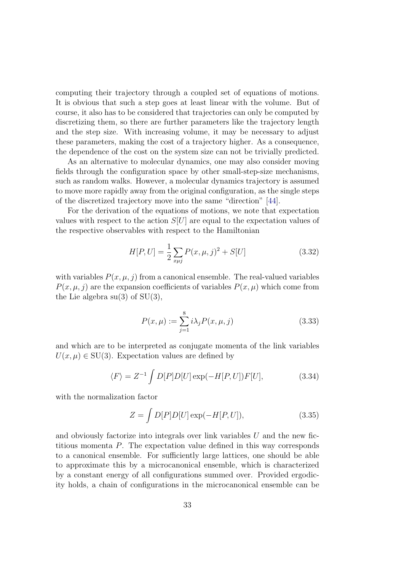computing their trajectory through a coupled set of equations of motions. It is obvious that such a step goes at least linear with the volume. But of course, it also has to be considered that trajectories can only be computed by discretizing them, so there are further parameters like the trajectory length and the step size. With increasing volume, it may be necessary to adjust these parameters, making the cost of a trajectory higher. As a consequence, the dependence of the cost on the system size can not be trivially predicted.

As an alternative to molecular dynamics, one may also consider moving fields through the configuration space by other small-step-size mechanisms, such as random walks. However, a molecular dynamics trajectory is assumed to move more rapidly away from the original configuration, as the single steps of the discretized trajectory move into the same "direction" [\[44\]](#page-115-4).

For the derivation of the equations of motions, we note that expectation values with respect to the action  $S[U]$  are equal to the expectation values of the respective observables with respect to the Hamiltonian

<span id="page-40-0"></span>
$$
H[P, U] = \frac{1}{2} \sum_{x \mu j} P(x, \mu, j)^2 + S[U] \tag{3.32}
$$

with variables  $P(x, \mu, j)$  from a canonical ensemble. The real-valued variables  $P(x, \mu, i)$  are the expansion coefficients of variables  $P(x, \mu)$  which come from the Lie algebra  $su(3)$  of  $SU(3)$ ,

$$
P(x,\mu) := \sum_{j=1}^{8} i\lambda_j P(x,\mu,j)
$$
 (3.33)

and which are to be interpreted as conjugate momenta of the link variables  $U(x, \mu) \in SU(3)$ . Expectation values are defined by

$$
\langle F \rangle = Z^{-1} \int D[P]D[U] \exp(-H[P,U])F[U], \qquad (3.34)
$$

with the normalization factor

$$
Z = \int D[P]D[U] \exp(-H[P, U]), \qquad (3.35)
$$

and obviously factorize into integrals over link variables  $U$  and the new fictitious momenta P. The expectation value defined in this way corresponds to a canonical ensemble. For sufficiently large lattices, one should be able to approximate this by a microcanonical ensemble, which is characterized by a constant energy of all configurations summed over. Provided ergodicity holds, a chain of configurations in the microcanonical ensemble can be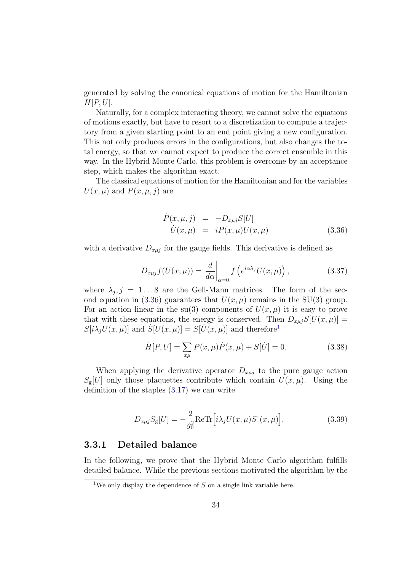generated by solving the canonical equations of motion for the Hamiltonian  $H[P, U].$ 

Naturally, for a complex interacting theory, we cannot solve the equations of motions exactly, but have to resort to a discretization to compute a trajectory from a given starting point to an end point giving a new configuration. This not only produces errors in the configurations, but also changes the total energy, so that we cannot expect to produce the correct ensemble in this way. In the Hybrid Monte Carlo, this problem is overcome by an acceptance step, which makes the algorithm exact.

The classical equations of motion for the Hamiltonian and for the variables  $U(x, \mu)$  and  $P(x, \mu, j)$  are

<span id="page-41-0"></span>
$$
\dot{P}(x,\mu,j) = -D_{x\mu j}S[U] \n\dot{U}(x,\mu) = iP(x,\mu)U(x,\mu)
$$
\n(3.36)

with a derivative  $D_{x\mu j}$  for the gauge fields. This derivative is defined as

$$
D_{x\mu j}f(U(x,\mu)) = \frac{d}{d\alpha}\bigg|_{\alpha=0} f\left(e^{i\alpha\lambda_j}U(x,\mu)\right),\tag{3.37}
$$

where  $\lambda_j$ ,  $j = 1...8$  are the Gell-Mann matrices. The form of the sec-ond equation in [\(3.36\)](#page-41-0) guarantees that  $U(x, \mu)$  remains in the SU(3) group. For an action linear in the su(3) components of  $U(x, \mu)$  it is easy to prove that with these equations, the energy is conserved. Then  $D_{x\mu i}S[U(x,\mu)] =$  $S[i\lambda_j U(x,\mu)]$  and  $S[U(x,\mu)] = S[\dot{U}(x,\mu)]$  and therefore<sup>[1](#page-41-1)</sup>

$$
\dot{H}[P,U] = \sum_{x\mu} P(x,\mu)\dot{P}(x,\mu) + S[\dot{U}] = 0.
$$
 (3.38)

When applying the derivative operator  $D_{x\mu j}$  to the pure gauge action  $S_g[U]$  only those plaquettes contribute which contain  $U(x,\mu)$ . Using the definition of the staples [\(3.17\)](#page-37-2) we can write

$$
D_{x\mu j} S_{\rm g}[U] = -\frac{2}{g_0^2} \text{Re} \text{Tr} \left[ i\lambda_j U(x,\mu) S^{\dagger}(x,\mu) \right]. \tag{3.39}
$$

### 3.3.1 Detailed balance

In the following, we prove that the Hybrid Monte Carlo algorithm fulfills detailed balance. While the previous sections motivated the algorithm by the

<span id="page-41-1"></span><sup>&</sup>lt;sup>1</sup>We only display the dependence of  $S$  on a single link variable here.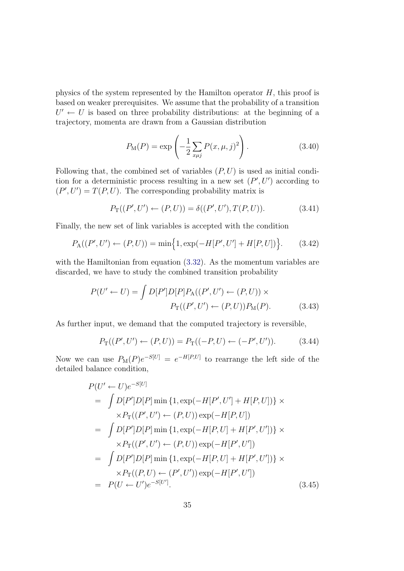physics of the system represented by the Hamilton operator H, this proof is based on weaker prerequisites. We assume that the probability of a transition  $U' \leftarrow U$  is based on three probability distributions: at the beginning of a trajectory, momenta are drawn from a Gaussian distribution

$$
P_{\rm M}(P) = \exp\left(-\frac{1}{2} \sum_{x\mu j} P(x,\mu,j)^2\right).
$$
 (3.40)

Following that, the combined set of variables  $(P, U)$  is used as initial condition for a deterministic process resulting in a new set  $(P', U')$  according to  $(P', U') = T(P, U)$ . The corresponding probability matrix is

$$
P_{\mathcal{T}}((P', U') \leftarrow (P, U)) = \delta((P', U'), T(P, U)). \tag{3.41}
$$

Finally, the new set of link variables is accepted with the condition

$$
P_{\mathcal{A}}((P', U') \leftarrow (P, U)) = \min\Big\{1, \exp(-H[P', U'] + H[P, U])\Big\}.
$$
 (3.42)

with the Hamiltonian from equation [\(3.32\)](#page-40-0). As the momentum variables are discarded, we have to study the combined transition probability

$$
P(U' \leftarrow U) = \int D[P']D[P]P_{\mathcal{A}}((P', U') \leftarrow (P, U)) \times
$$

$$
P_{\mathcal{T}}((P', U') \leftarrow (P, U))P_{\mathcal{M}}(P). \tag{3.43}
$$

As further input, we demand that the computed trajectory is reversible,

<span id="page-42-0"></span>
$$
P_{\rm T}((P',U') \leftarrow (P,U)) = P_{\rm T}((-P,U) \leftarrow (-P',U')). \tag{3.44}
$$

Now we can use  $P_M(P)e^{-S[U]} = e^{-H[P,U]}$  to rearrange the left side of the detailed balance condition,

$$
P(U' \leftarrow U)e^{-S[U]}
$$
  
=  $\int D[P']D[P] \min \{1, \exp(-H[P', U'] + H[P, U])\} \times$   
 $\times P_{\text{T}}((P', U') \leftarrow (P, U)) \exp(-H[P, U])$   
=  $\int D[P']D[P] \min \{1, \exp(-H[P, U] + H[P', U'])\} \times$   
 $\times P_{\text{T}}((P', U') \leftarrow (P, U)) \exp(-H[P', U'])$   
=  $\int D[P']D[P] \min \{1, \exp(-H[P, U] + H[P', U'])\} \times$   
 $\times P_{\text{T}}((P, U) \leftarrow (P', U')) \exp(-H[P', U'])$   
=  $P(U \leftarrow U')e^{-S[U']}. \tag{3.45}$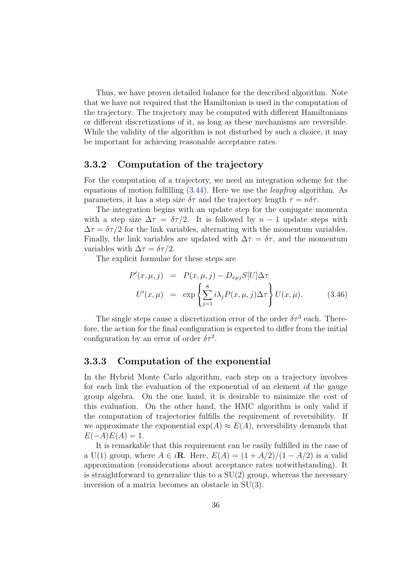Thus, we have proven detailed balance for the described algorithm. Note that we have not required that the Hamiltonian is used in the computation of the trajectory. The trajectory may be computed with different Hamiltonians or different discretizations of it, as long as these mechanisms are reversible. While the validity of the algorithm is not disturbed by such a choice, it may be important for achieving reasonable acceptance rates.

## 3.3.2 Computation of the trajectory

For the computation of a trajectory, we need an integration scheme for the equations of motion fulfilling  $(3.44)$ . Here we use the *leapfroq* algorithm. As parameters, it has a step size  $\delta\tau$  and the trajectory length  $\tau = n\delta\tau$ .

The integration begins with an update step for the conjugate momenta with a step size  $\Delta \tau = \delta \tau / 2$ . It is followed by  $n - 1$  update steps with  $\Delta \tau = \delta \tau / 2$  for the link variables, alternating with the momentum variables. Finally, the link variables are updated with  $\Delta \tau = \delta \tau$ , and the momentum variables with  $\Delta \tau = \delta \tau / 2$ .

The explicit formulae for these steps are

$$
P'(x, \mu, j) = P(x, \mu, j) - D_{x\mu j} S[U] \Delta \tau
$$
  

$$
U'(x, \mu) = \exp \left\{ \sum_{j=1}^{8} i\lambda_j P(x, \mu, j) \Delta \tau \right\} U(x, \mu).
$$
 (3.46)

The single steps cause a discretization error of the order  $\delta\tau^3$  each. Therefore, the action for the final configuration is expected to differ from the initial configuration by an error of order  $\delta \tau^2$ .

## 3.3.3 Computation of the exponential

In the Hybrid Monte Carlo algorithm, each step on a trajectory involves for each link the evaluation of the exponential of an element of the gauge group algebra. On the one hand, it is desirable to minimize the cost of this evaluation. On the other hand, the HMC algorithm is only valid if the computation of trajectories fulfills the requirement of reversibility. If we approximate the exponential  $\exp(A) \approx E(A)$ , reversibility demands that  $E(-A)E(A) = 1.$ 

It is remarkable that this requirement can be easily fulfilled in the case of a U(1) group, where  $A \in i\mathbb{R}$ . Here,  $E(A) = (1 + A/2)/(1 - A/2)$  is a valid approximation (considerations about acceptance rates notwithstanding). It is straightforward to generalize this to a  $SU(2)$  group, whereas the necessary inversion of a matrix becomes an obstacle in SU(3).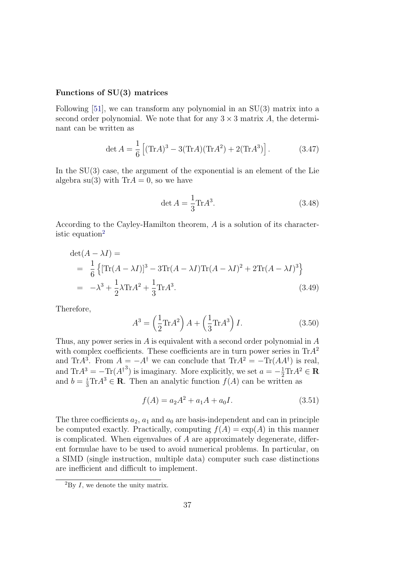#### Functions of SU(3) matrices

Following [\[51\]](#page-116-0), we can transform any polynomial in an SU(3) matrix into a second order polynomial. We note that for any  $3 \times 3$  matrix A, the determinant can be written as

$$
\det A = \frac{1}{6} \left[ (\text{Tr}A)^3 - 3(\text{Tr}A)(\text{Tr}A^2) + 2(\text{Tr}A^3) \right]. \tag{3.47}
$$

In the  $SU(3)$  case, the argument of the exponential is an element of the Lie algebra su(3) with  $Tr A = 0$ , so we have

$$
\det A = \frac{1}{3} \text{Tr} A^3. \tag{3.48}
$$

According to the Cayley-Hamilton theorem, A is a solution of its character-istic equation<sup>[2](#page-44-0)</sup>

$$
\det(A - \lambda I) =
$$
  
=  $\frac{1}{6}$  {[Tr(A - \lambda I)]<sup>3</sup> – 3Tr(A – \lambda I)Tr(A – \lambda I)<sup>2</sup> + 2Tr(A – \lambda I)<sup>3</sup>}  
=  $-\lambda^3 + \frac{1}{2}\lambda Tr A^2 + \frac{1}{3}Tr A^3.$  (3.49)

Therefore,

$$
A3 = \left(\frac{1}{2}\text{Tr}A2\right)A + \left(\frac{1}{3}\text{Tr}A3\right)I.
$$
 (3.50)

Thus, any power series in  $A$  is equivalent with a second order polynomial in  $A$ with complex coefficients. These coefficients are in turn power series in  $Tr A<sup>2</sup>$ and Tr $A^3$ . From  $A = -A^{\dagger}$  we can conclude that  $Tr A^2 = -Tr(A A^{\dagger})$  is real, and  $\text{Tr}A^3 = -\text{Tr}(A^{\dagger 3})$  is imaginary. More explicitly, we set  $a = -\frac{1}{2}\text{Tr}A^2 \in \mathbf{R}$ and  $b = \frac{i}{3} \text{Tr} A^3 \in \mathbf{R}$ . Then an analytic function  $f(A)$  can be written as

$$
f(A) = a_2 A^2 + a_1 A + a_0 I.
$$
 (3.51)

The three coefficients  $a_2$ ,  $a_1$  and  $a_0$  are basis-independent and can in principle be computed exactly. Practically, computing  $f(A) = \exp(A)$  in this manner is complicated. When eigenvalues of  $A$  are approximately degenerate, different formulae have to be used to avoid numerical problems. In particular, on a SIMD (single instruction, multiple data) computer such case distinctions are inefficient and difficult to implement.

<span id="page-44-0"></span> ${}^{2}_{2}$ By *I*, we denote the unity matrix.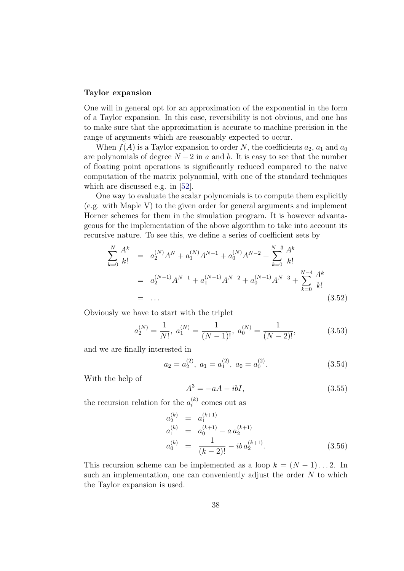#### Taylor expansion

One will in general opt for an approximation of the exponential in the form of a Taylor expansion. In this case, reversibility is not obvious, and one has to make sure that the approximation is accurate to machine precision in the range of arguments which are reasonably expected to occur.

When  $f(A)$  is a Taylor expansion to order N, the coefficients  $a_2$ ,  $a_1$  and  $a_0$ are polynomials of degree  $N-2$  in a and b. It is easy to see that the number of floating point operations is significantly reduced compared to the naive computation of the matrix polynomial, with one of the standard techniques which are discussed e.g. in [\[52\]](#page-116-1).

One way to evaluate the scalar polynomials is to compute them explicitly (e.g. with Maple V) to the given order for general arguments and implement Horner schemes for them in the simulation program. It is however advantageous for the implementation of the above algorithm to take into account its recursive nature. To see this, we define a series of coefficient sets by

$$
\sum_{k=0}^{N} \frac{A^{k}}{k!} = a_{2}^{(N)} A^{N} + a_{1}^{(N)} A^{N-1} + a_{0}^{(N)} A^{N-2} + \sum_{k=0}^{N-3} \frac{A^{k}}{k!}
$$
  
=  $a_{2}^{(N-1)} A^{N-1} + a_{1}^{(N-1)} A^{N-2} + a_{0}^{(N-1)} A^{N-3} + \sum_{k=0}^{N-4} \frac{A^{k}}{k!}$   
= ... (3.52)

Obviously we have to start with the triplet

$$
a_2^{(N)} = \frac{1}{N!}, \ a_1^{(N)} = \frac{1}{(N-1)!}, \ a_0^{(N)} = \frac{1}{(N-2)!}, \tag{3.53}
$$

and we are finally interested in

$$
a_2 = a_2^{(2)}, \ a_1 = a_1^{(2)}, \ a_0 = a_0^{(2)}.
$$
\n
$$
(3.54)
$$

With the help of

$$
A^3 = -aA - ibI,
$$
\n
$$
(3.55)
$$

the recursion relation for the  $a_i^{(k)}$  $i^{(\kappa)}$  comes out as

$$
a_2^{(k)} = a_1^{(k+1)}
$$
  
\n
$$
a_1^{(k)} = a_0^{(k+1)} - a a_2^{(k+1)}
$$
  
\n
$$
a_0^{(k)} = \frac{1}{(k-2)!} - ib a_2^{(k+1)}.
$$
\n(3.56)

This recursion scheme can be implemented as a loop  $k = (N - 1) \dots 2$ . In such an implementation, one can conveniently adjust the order  $N$  to which the Taylor expansion is used.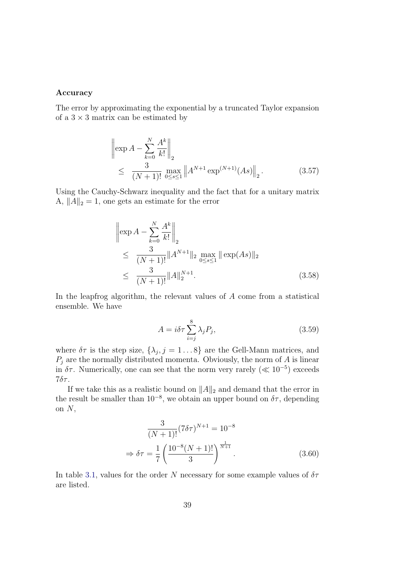#### Accuracy

The error by approximating the exponential by a truncated Taylor expansion of a  $3 \times 3$  matrix can be estimated by

$$
\left\| \exp A - \sum_{k=0}^{N} \frac{A^k}{k!} \right\|_2
$$
  
 
$$
\leq \frac{3}{(N+1)!} \max_{0 \leq s \leq 1} \left\| A^{N+1} \exp^{(N+1)} (As) \right\|_2.
$$
 (3.57)

Using the Cauchy-Schwarz inequality and the fact that for a unitary matrix A,  $||A||_2 = 1$ , one gets an estimate for the error

$$
\begin{aligned}\n\left\|\exp A - \sum_{k=0}^{N} \frac{A^k}{k!} \right\|_2 \\
&\leq \frac{3}{(N+1)!} \|A^{N+1}\|_2 \max_{0 \leq s \leq 1} \|\exp(As)\|_2 \\
&\leq \frac{3}{(N+1)!} \|A\|_2^{N+1}.\n\end{aligned} \tag{3.58}
$$

In the leapfrog algorithm, the relevant values of A come from a statistical ensemble. We have

$$
A = i\delta\tau \sum_{i=j}^{8} \lambda_j P_j,
$$
\n(3.59)

where  $\delta\tau$  is the step size,  $\{\lambda_j, j = 1 \dots 8\}$  are the Gell-Mann matrices, and  $P_j$  are the normally distributed momenta. Obviously, the norm of A is linear in  $\delta \tau$ . Numerically, one can see that the norm very rarely ( $\ll 10^{-5}$ ) exceeds  $7\delta\tau$ .

If we take this as a realistic bound on  $||A||_2$  and demand that the error in the result be smaller than  $10^{-8}$ , we obtain an upper bound on  $\delta\tau$ , depending on  $N$ ,

$$
\frac{3}{(N+1)!} (7\delta\tau)^{N+1} = 10^{-8}
$$

$$
\Rightarrow \delta\tau = \frac{1}{7} \left(\frac{10^{-8}(N+1)!}{3}\right)^{\frac{1}{N+1}}.
$$
(3.60)

In table [3.1,](#page-47-0) values for the order N necessary for some example values of  $\delta\tau$ are listed.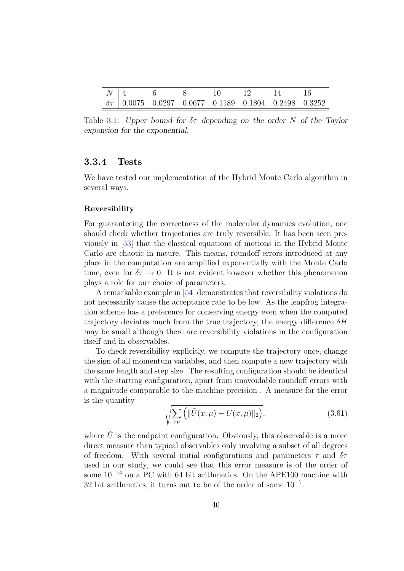|  | $N\mid 4$ 6 8 | $\sim$ 10 | 12 14 16 |                                                               |
|--|---------------|-----------|----------|---------------------------------------------------------------|
|  |               |           |          | $\delta\tau$ 0.0075 0.0297 0.0677 0.1189 0.1804 0.2498 0.3252 |

<span id="page-47-0"></span>Table 3.1: Upper bound for  $\delta\tau$  depending on the order N of the Taylor expansion for the exponential.

## 3.3.4 Tests

We have tested our implementation of the Hybrid Monte Carlo algorithm in several ways.

#### Reversibility

For guaranteeing the correctness of the molecular dynamics evolution, one should check whether trajectories are truly reversible. It has been seen previously in [\[53\]](#page-116-2) that the classical equations of motions in the Hybrid Monte Carlo are chaotic in nature. This means, roundoff errors introduced at any place in the computation are amplified exponentially with the Monte Carlo time, even for  $\delta \tau \to 0$ . It is not evident however whether this phenomenon plays a role for our choice of parameters.

A remarkable example in [\[54\]](#page-116-3) demonstrates that reversibility violations do not necessarily cause the acceptance rate to be low. As the leapfrog integration scheme has a preference for conserving energy even when the computed trajectory deviates much from the true trajectory, the energy difference  $\delta H$ may be small although there are reversibility violations in the configuration itself and in observables.

To check reversibility explicitly, we compute the trajectory once, change the sign of all momentum variables, and then compute a new trajectory with the same length and step size. The resulting configuration should be identical with the starting configuration, apart from unavoidable roundoff errors with a magnitude comparable to the machine precision . A measure for the error is the quantity

$$
\sqrt{\sum_{x\mu} \left( \|\tilde{U}(x,\mu) - U(x,\mu)\|_2 \right)},\tag{3.61}
$$

where  $\tilde{U}$  is the endpoint configuration. Obviously, this observable is a more direct measure than typical observables only involving a subset of all degrees of freedom. With several initial configurations and parameters  $\tau$  and  $\delta \tau$ used in our study, we could see that this error measure is of the order of some  $10^{-14}$  on a PC with 64 bit arithmetics. On the APE100 machine with 32 bit arithmetics, it turns out to be of the order of some 10<sup>−</sup><sup>7</sup> .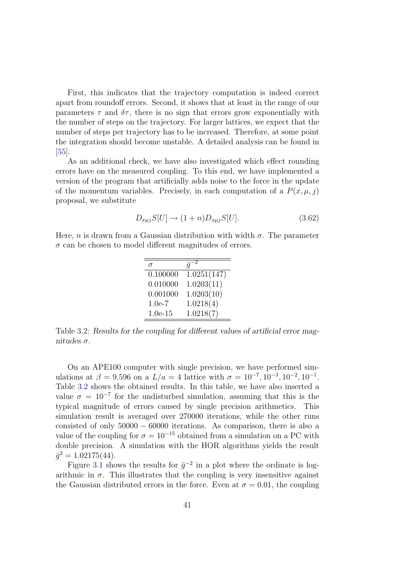First, this indicates that the trajectory computation is indeed correct apart from roundoff errors. Second, it shows that at least in the range of our parameters  $\tau$  and  $\delta\tau$ , there is no sign that errors grow exponentially with the number of steps on the trajectory. For larger lattices, we expect that the number of steps per trajectory has to be increased. Therefore, at some point the integration should become unstable. A detailed analysis can be found in [\[55\]](#page-116-4).

As an additional check, we have also investigated which effect rounding errors have on the measured coupling. To this end, we have implemented a version of the program that artificially adds noise to the force in the update of the momentum variables. Precisely, in each computation of a  $P(x, \mu, j)$ proposal, we substitute

$$
D_{x\mu j}S[U] \to (1+n)D_{x\mu j}S[U]. \tag{3.62}
$$

Here, n is drawn from a Gaussian distribution with width  $\sigma$ . The parameter  $\sigma$  can be chosen to model different magnitudes of errors.

|           | $\bar{q}$   |
|-----------|-------------|
| 0.100000  | 1.0251(147) |
| 0.010000  | 1.0203(11)  |
| 0.001000  | 1.0203(10)  |
| $1.0e-7$  | 1.0218(4)   |
| $1.0e-15$ | 1.0218(7)   |

<span id="page-48-0"></span>Table 3.2: Results for the coupling for different values of artificial error magnitudes  $\sigma$ .

On an APE100 computer with single precision, we have performed simulations at  $\beta = 9.596$  on a  $L/a = 4$  lattice with  $\sigma = 10^{-7}, 10^{-3}, 10^{-2}, 10^{-1}$ . Table [3.2](#page-48-0) shows the obtained results. In this table, we have also inserted a value  $\sigma = 10^{-7}$  for the undisturbed simulation, assuming that this is the typical magnitude of errors caused by single precision arithmetics. This simulation result is averaged over 270000 iterations, while the other runs consisted of only  $50000 - 60000$  iterations. As comparison, there is also a value of the coupling for  $\sigma = 10^{-15}$  obtained from a simulation on a PC with double precision. A simulation with the HOR algorithms yields the result  $\bar{g}^2 = 1.02175(44).$ 

Figure [3.1](#page-49-0) shows the results for  $\bar{g}^{-2}$  in a plot where the ordinate is logarithmic in  $\sigma$ . This illustrates that the coupling is very insensitive against the Gaussian distributed errors in the force. Even at  $\sigma = 0.01$ , the coupling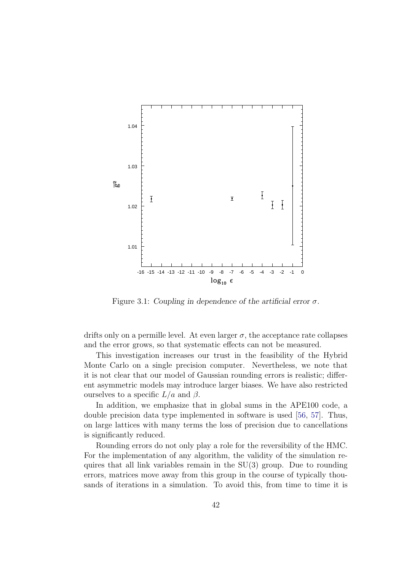

<span id="page-49-0"></span>Figure 3.1: Coupling in dependence of the artificial error  $\sigma$ .

drifts only on a permille level. At even larger  $\sigma$ , the acceptance rate collapses and the error grows, so that systematic effects can not be measured.

This investigation increases our trust in the feasibility of the Hybrid Monte Carlo on a single precision computer. Nevertheless, we note that it is not clear that our model of Gaussian rounding errors is realistic; different asymmetric models may introduce larger biases. We have also restricted ourselves to a specific  $L/a$  and  $\beta$ .

In addition, we emphasize that in global sums in the APE100 code, a double precision data type implemented in software is used [\[56,](#page-116-5) [57\]](#page-116-6). Thus, on large lattices with many terms the loss of precision due to cancellations is significantly reduced.

Rounding errors do not only play a role for the reversibility of the HMC. For the implementation of any algorithm, the validity of the simulation requires that all link variables remain in the SU(3) group. Due to rounding errors, matrices move away from this group in the course of typically thousands of iterations in a simulation. To avoid this, from time to time it is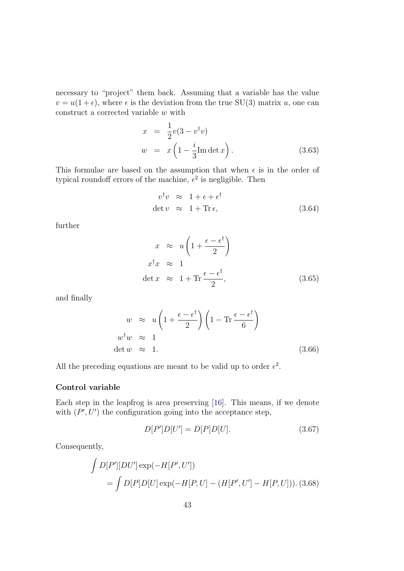necessary to "project" them back. Assuming that a variable has the value  $v = u(1 + \epsilon)$ , where  $\epsilon$  is the deviation from the true SU(3) matrix u, one can construct a corrected variable  $w$  with

$$
x = \frac{1}{2}v(3 - v^{\dagger}v)
$$
  
\n
$$
w = x\left(1 - \frac{i}{3}\text{Im}\det x\right).
$$
\n(3.63)

This formulae are based on the assumption that when  $\epsilon$  is in the order of typical roundoff errors of the machine,  $\epsilon^2$  is negligible. Then

$$
v^{\dagger}v \approx 1 + \epsilon + \epsilon^{\dagger}
$$
  
det  $v \approx 1 + \text{Tr}\,\epsilon,$  (3.64)

further

$$
x \approx u \left( 1 + \frac{\epsilon - \epsilon^{\dagger}}{2} \right)
$$
  

$$
x^{\dagger} x \approx 1
$$
  

$$
\det x \approx 1 + \text{Tr} \frac{\epsilon - \epsilon^{\dagger}}{2},
$$
 (3.65)

and finally

$$
w \approx u \left( 1 + \frac{\epsilon - \epsilon^{\dagger}}{2} \right) \left( 1 - \text{Tr} \frac{\epsilon - \epsilon^{\dagger}}{6} \right)
$$
  

$$
w^{\dagger} w \approx 1
$$
  
det  $w \approx 1$ . (3.66)

All the preceding equations are meant to be valid up to order  $\epsilon^2$ .

#### Control variable

Each step in the leapfrog is area preserving [\[16\]](#page-113-0). This means, if we denote with  $(P', U')$  the configuration going into the acceptance step,

$$
D[P']D[U'] = D[P]D[U].
$$
\n(3.67)

Consequently,

$$
\int D[P'] [DU'] \exp(-H[P', U'])
$$
  
= 
$$
\int D[P] D[U] \exp(-H[P, U] - (H[P', U'] - H[P, U])). (3.68)
$$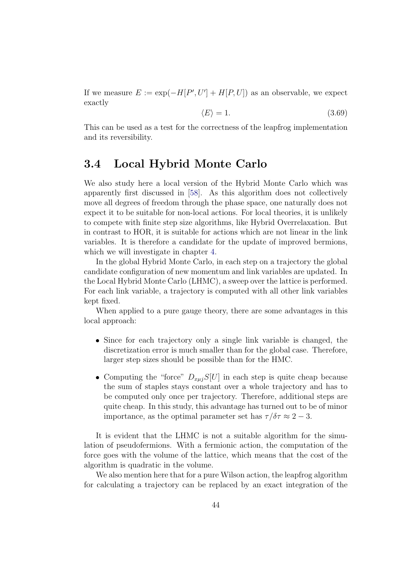If we measure  $E := \exp(-H[P', U'] + H[P, U])$  as an observable, we expect exactly

$$
\langle E \rangle = 1. \tag{3.69}
$$

This can be used as a test for the correctness of the leapfrog implementation and its reversibility.

# <span id="page-51-0"></span>3.4 Local Hybrid Monte Carlo

We also study here a local version of the Hybrid Monte Carlo which was apparently first discussed in [\[58\]](#page-116-7). As this algorithm does not collectively move all degrees of freedom through the phase space, one naturally does not expect it to be suitable for non-local actions. For local theories, it is unlikely to compete with finite step size algorithms, like Hybrid Overrelaxation. But in contrast to HOR, it is suitable for actions which are not linear in the link variables. It is therefore a candidate for the update of improved bermions, which we will investigate in chapter [4.](#page-62-0)

In the global Hybrid Monte Carlo, in each step on a trajectory the global candidate configuration of new momentum and link variables are updated. In the Local Hybrid Monte Carlo (LHMC), a sweep over the lattice is performed. For each link variable, a trajectory is computed with all other link variables kept fixed.

When applied to a pure gauge theory, there are some advantages in this local approach:

- Since for each trajectory only a single link variable is changed, the discretization error is much smaller than for the global case. Therefore, larger step sizes should be possible than for the HMC.
- Computing the "force"  $D_{x\mu i}S[U]$  in each step is quite cheap because the sum of staples stays constant over a whole trajectory and has to be computed only once per trajectory. Therefore, additional steps are quite cheap. In this study, this advantage has turned out to be of minor importance, as the optimal parameter set has  $\tau/\delta\tau \approx 2-3$ .

It is evident that the LHMC is not a suitable algorithm for the simulation of pseudofermions. With a fermionic action, the computation of the force goes with the volume of the lattice, which means that the cost of the algorithm is quadratic in the volume.

We also mention here that for a pure Wilson action, the leapfrog algorithm for calculating a trajectory can be replaced by an exact integration of the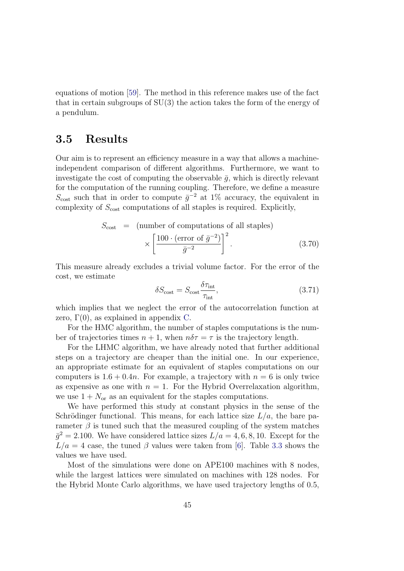equations of motion [\[59\]](#page-116-8). The method in this reference makes use of the fact that in certain subgroups of SU(3) the action takes the form of the energy of a pendulum.

# 3.5 Results

Our aim is to represent an efficiency measure in a way that allows a machineindependent comparison of different algorithms. Furthermore, we want to investigate the cost of computing the observable  $\bar{q}$ , which is directly relevant for the computation of the running coupling. Therefore, we define a measure  $S_{\text{cost}}$  such that in order to compute  $\bar{g}^{-2}$  at 1% accuracy, the equivalent in complexity of  $S_{\text{cost}}$  computations of all staples is required. Explicitly,

$$
S_{\text{cost}} = \left(\text{number of computations of all staples}\right) \times \left[\frac{100 \cdot (\text{error of } \bar{g}^{-2})}{\bar{g}^{-2}}\right]^2. \tag{3.70}
$$

This measure already excludes a trivial volume factor. For the error of the cost, we estimate

$$
\delta S_{\text{cost}} = S_{\text{cost}} \frac{\delta \tau_{\text{int}}}{\tau_{\text{int}}},\tag{3.71}
$$

which implies that we neglect the error of the autocorrelation function at zero,  $\Gamma(0)$ , as explained in appendix [C.](#page-107-0)

For the HMC algorithm, the number of staples computations is the number of trajectories times  $n + 1$ , when  $n\delta\tau = \tau$  is the trajectory length.

For the LHMC algorithm, we have already noted that further additional steps on a trajectory are cheaper than the initial one. In our experience, an appropriate estimate for an equivalent of staples computations on our computers is  $1.6 + 0.4n$ . For example, a trajectory with  $n = 6$  is only twice as expensive as one with  $n = 1$ . For the Hybrid Overrelaxation algorithm, we use  $1 + N_{\text{or}}$  as an equivalent for the staples computations.

We have performed this study at constant physics in the sense of the Schrödinger functional. This means, for each lattice size  $L/a$ , the bare parameter  $\beta$  is tuned such that the measured coupling of the system matches  $\bar{g}^2 = 2.100$ . We have considered lattice sizes  $L/a = 4, 6, 8, 10$ . Except for the  $L/a = 4$  case, the tuned  $\beta$  values were taken from [\[6\]](#page-112-0). Table [3.3](#page-53-0) shows the values we have used.

Most of the simulations were done on APE100 machines with 8 nodes, while the largest lattices were simulated on machines with 128 nodes. For the Hybrid Monte Carlo algorithms, we have used trajectory lengths of 0.5,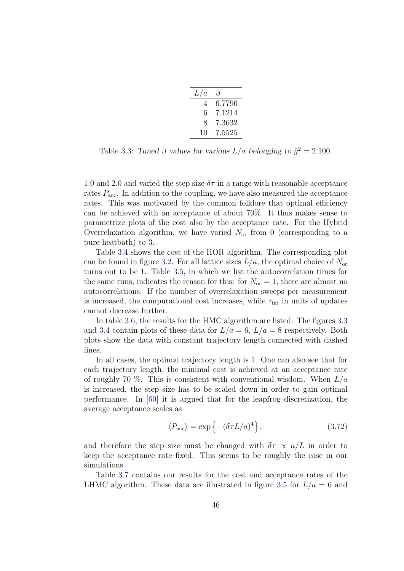| L/a |        |
|-----|--------|
| 4   | 6.7796 |
| 6   | 7.1214 |
| 8   | 7.3632 |
| 10  | 7.5525 |

<span id="page-53-0"></span>Table 3.3: Tuned  $\beta$  values for various  $L/a$  belonging to  $\bar{g}^2 = 2.100$ .

1.0 and 2.0 and varied the step size  $\delta\tau$  in a range with reasonable acceptance rates  $P_{\text{acc}}$ . In addition to the coupling, we have also measured the acceptance rates. This was motivated by the common folklore that optimal efficiency can be achieved with an acceptance of about 70%. It thus makes sense to parametrize plots of the cost also by the acceptance rate. For the Hybrid Overrelaxation algorithm, we have varied  $N_{\rm or}$  from 0 (corresponding to a pure heatbath) to 3.

Table [3.4](#page-54-0) shows the cost of the HOR algorithm. The corresponding plot can be found in figure [3.2.](#page-54-1) For all lattice sizes  $L/a$ , the optimal choice of  $N_{\text{or}}$ turns out to be 1. Table [3.5,](#page-54-2) in which we list the autocorrelation times for the same runs, indicates the reason for this: for  $N_{\text{or}} = 1$ , there are almost no autocorrelations. If the number of overrelaxation sweeps per measurement is increased, the computational cost increases, while  $\tau_{\text{int}}$  in units of updates cannot decrease further.

In table [3.6,](#page-55-0) the results for the HMC algorithm are listed. The figures [3.3](#page-56-0) and [3.4](#page-56-1) contain plots of these data for  $L/a = 6$ ,  $L/a = 8$  respectively. Both plots show the data with constant trajectory length connected with dashed lines.

In all cases, the optimal trajectory length is 1. One can also see that for each trajectory length, the minimal cost is achieved at an acceptance rate of roughly 70 %. This is consistent with conventional wisdom. When  $L/a$ is increased, the step size has to be scaled down in order to gain optimal performance. In [\[60\]](#page-116-9) it is argued that for the leapfrog discretization, the average acceptance scales as

$$
\langle P_{\rm acc} \rangle = \exp\left\{ -(\delta \tau L/a)^4 \right\},\tag{3.72}
$$

and therefore the step size must be changed with  $\delta \tau \propto a/L$  in order to keep the acceptance rate fixed. This seems to be roughly the case in our simulations.

Table [3.7](#page-57-0) contains our results for the cost and acceptance rates of the LHMC algorithm. These data are illustrated in figure [3.5](#page-58-0) for  $L/a = 6$  and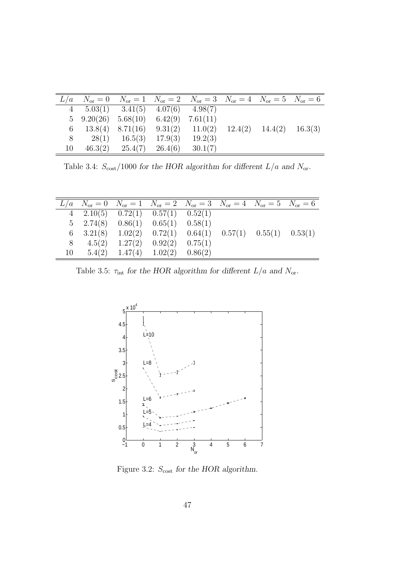|    | $L/a$ $N_{or} = 0$ $N_{or} = 1$ $N_{or} = 2$ $N_{or} = 3$ $N_{or} = 4$ $N_{or} = 5$ $N_{or} = 6$ |                                                                        |         |  |  |
|----|--------------------------------------------------------------------------------------------------|------------------------------------------------------------------------|---------|--|--|
|    | 4 $5.03(1)$ $3.41(5)$ $4.07(6)$ $4.98(7)$                                                        |                                                                        |         |  |  |
|    | $5\quad 9.20(26) \quad 5.68(10) \quad 6.42(9) \quad 7.61(11)$                                    |                                                                        |         |  |  |
| 6  |                                                                                                  | $13.8(4)$ $8.71(16)$ $9.31(2)$ $11.0(2)$ $12.4(2)$ $14.4(2)$ $16.3(3)$ |         |  |  |
| 8  |                                                                                                  | $28(1)$ $16.5(3)$ $17.9(3)$                                            | 19.2(3) |  |  |
| 10 |                                                                                                  | $46.3(2)$ $25.4(7)$ $26.4(6)$                                          | 30.1(7) |  |  |

<span id="page-54-0"></span>Table 3.4:  $S_{\rm cost}/1000$  for the HOR algorithm for different  $L/a$  and  $N_{\rm or}.$ 

|    |  | $L/a$ $N_{or} = 0$ $N_{or} = 1$ $N_{or} = 2$ $N_{or} = 3$ $N_{or} = 4$ $N_{or} = 5$ $N_{or} = 6$     |  |  |
|----|--|------------------------------------------------------------------------------------------------------|--|--|
|    |  | 4 2.10(5) $0.72(1)$ $0.57(1)$ $0.52(1)$                                                              |  |  |
|    |  | $5\quad 2.74(8) \quad 0.86(1) \quad 0.65(1) \quad 0.58(1)$                                           |  |  |
|    |  | $6\quad 3.21(8) \quad 1.02(2) \quad 0.72(1) \quad 0.64(1) \quad 0.57(1) \quad 0.55(1) \quad 0.53(1)$ |  |  |
| 8  |  | $4.5(2)$ $1.27(2)$ $0.92(2)$ $0.75(1)$                                                               |  |  |
| 10 |  | $5.4(2)$ $1.47(4)$ $1.02(2)$ $0.86(2)$                                                               |  |  |

Table 3.5:  $\tau_{\rm int}$  for the HOR algorithm for different  $L/a$  and  $N_{\rm or}.$ 

<span id="page-54-2"></span>

<span id="page-54-1"></span>Figure 3.2:  $S_{\text{cost}}$  for the HOR algorithm.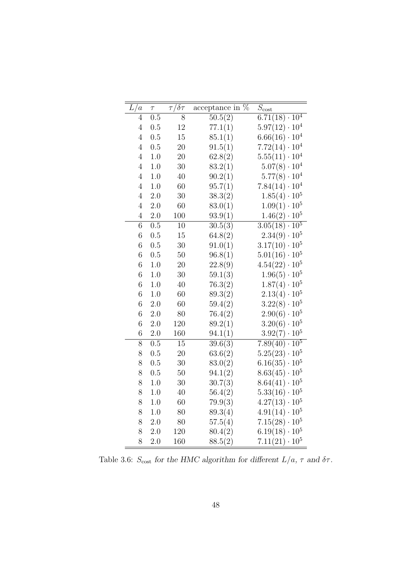| $\overline{L}/$<br>$\alpha$ | $\tau$  | $\overline{\tau/\delta\tau}$ | acceptance in $\%$ | $\overline{S}_{\rm cost}$      |
|-----------------------------|---------|------------------------------|--------------------|--------------------------------|
| $\overline{4}$              | 0.5     | 8                            | 50.5(2)            | $6.71(18)\cdot 10^4$           |
| $\overline{4}$              | 0.5     | 12                           | 77.1(1)            | $5.97(12)\cdot 10^4$           |
| $\overline{4}$              | 0.5     | 15                           | 85.1(1)            | $6.66(16) \cdot 10^{4}$        |
| $\overline{4}$              | 0.5     | 20                           | 91.5(1)            | $7.72(14)\cdot 10^4$           |
| $\overline{4}$              | $1.0\,$ | 20                           | 62.8(2)            | $5.55(11)\cdot 10^4$           |
| $\overline{4}$              | $1.0\,$ | 30                           | 83.2(1)            | $5.07(8) \cdot 10^4$           |
| $\overline{4}$              | $1.0\,$ | 40                           | 90.2(1)            | $5.77(8) \cdot 10^4$           |
| $\overline{4}$              | $1.0\,$ | 60                           | 95.7(1)            | $7.84(14)\cdot 10^4$           |
| $\overline{4}$              | 2.0     | 30                           | 38.3(2)            | $1.85(4)\cdot 10^5$            |
| $\overline{4}$              | 2.0     | 60                           | 83.0(1)            | $1.09(1)\cdot 10^5$            |
| $\overline{4}$              | $2.0\,$ | 100                          | 93.9(1)            | $1.46(2)\cdot 10^5$            |
| $\!6\,$                     | 0.5     | 10                           | 30.5(3)            | $3.05(18)\cdot 10^5$           |
| $\sqrt{6}$                  | 0.5     | 15                           | 64.8(2)            | 10 <sup>5</sup><br>$2.34(9)$ . |
| $\boldsymbol{6}$            | 0.5     | 30                           | 91.0(1)            | $3.17(10) \cdot 10^5$          |
| $\boldsymbol{6}$            | 0.5     | 50                           | 96.8(1)            | $5.01(16)\cdot 10^5$           |
| 6                           | 1.0     | 20                           | 22.8(9)            | $4.54(22)\cdot 10^5$           |
| 6                           | $1.0\,$ | 30                           | 59.1(3)            | $1.96(5)\cdot 10^5$            |
| $\overline{6}$              | 1.0     | 40                           | 76.3(2)            | $1.87(4) \cdot 10^5$           |
| $\overline{6}$              | $1.0\,$ | $60\,$                       | 89.3(2)            | $2.13(4)\cdot 10^5$            |
| $\overline{6}$              | 2.0     | 60                           | 59.4(2)            | $3.22(8) \cdot 10^5$           |
| $\sqrt{6}$                  | $2.0\,$ | 80                           | 76.4(2)            | $2.90(6)\cdot 10^5$            |
| $\boldsymbol{6}$            | 2.0     | 120                          | 89.2(1)            | $3.20(6) \cdot 10^5$           |
| $\boldsymbol{6}$            | $2.0\,$ | 160                          | 94.1(1)            | $3.92(7)\cdot10^5$             |
| 8                           | 0.5     | 15                           | 39.6(3)            | $7.89(40)\cdot\overline{10^5}$ |
| 8                           | 0.5     | $20\,$                       | 63.6(2)            | $5.25(23)\cdot 10^5$           |
| 8                           | 0.5     | 30                           | 83.0(2)            | $6.16(35) \cdot 10^5$          |
| 8                           | 0.5     | $50\,$                       | 94.1(2)            | $8.63(45) \cdot 10^5$          |
| 8                           | $1.0\,$ | 30                           | 30.7(3)            | $8.64(41)\cdot 10^5$           |
| 8                           | $1.0\,$ | 40                           | 56.4(2)            | $5.33(16)\cdot 10^5$           |
| 8                           | $1.0\,$ | 60                           | 79.9(3)            | $10^5\,$<br>$4.27(13)$ .       |
| 8                           | $1.0\,$ | 80                           | 89.3(4)            | $4.91(14)\cdot 10^5$           |
| 8                           | 2.0     | 80                           | 57.5(4)            | $7.15(28)\cdot 10^5$           |
| 8                           | $2.0\,$ | 120                          | 80.4(2)            | $6.19(18) \cdot 10^5$          |
| 8                           | 2.0     | 160                          | 88.5(2)            | $7.11(21)\cdot 10^5$           |

<span id="page-55-0"></span>Table 3.6:  $S_{\rm cost}$  for the HMC algorithm for different  $L/a, \, \tau$  and  $\delta \tau.$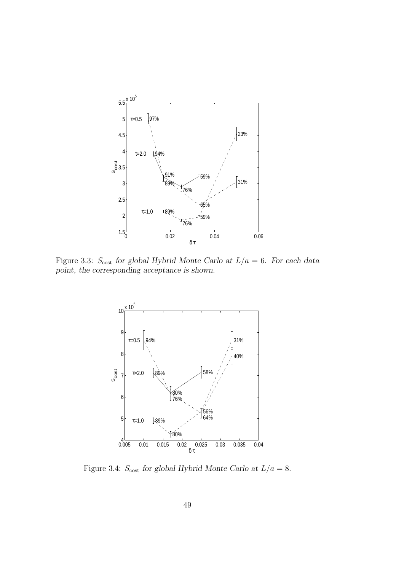

Figure 3.3:  $S_{\text{cost}}$  for global Hybrid Monte Carlo at  $L/a = 6$ . For each data point, the corresponding acceptance is shown.

<span id="page-56-0"></span>

<span id="page-56-1"></span>Figure 3.4:  $S_{\text{cost}}$  for global Hybrid Monte Carlo at  $L/a = 8$ .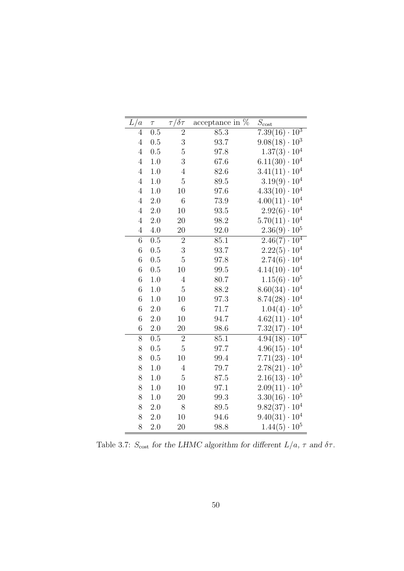| L/a              | $\tau$  | $\sqrt[\prime]{\delta\tau}$<br>$\tau$ | acceptance in $\overline{\%}$ | $S_{\text{cost}}$                |
|------------------|---------|---------------------------------------|-------------------------------|----------------------------------|
| $\overline{4}$   | 0.5     | $\overline{2}$                        | 85.3                          | $7.39(\overline{16}) \cdot 10^3$ |
| $\overline{4}$   | 0.5     | 3                                     | 93.7                          | $9.08(18)\cdot 10^3$             |
| $\overline{4}$   | 0.5     | $\overline{5}$                        | 97.8                          | $1.37(3) \cdot 10^{4}$           |
| $\overline{4}$   | 1.0     | 3                                     | 67.6                          | $6.11(30)\cdot 10^4$             |
| $\overline{4}$   | 1.0     | $\overline{4}$                        | 82.6                          | $3.41(11)\cdot 10^4$             |
| $\overline{4}$   | $1.0\,$ | $\overline{5}$                        | 89.5                          | $3.19(9) \cdot 10^4$             |
| $\overline{4}$   | $1.0\,$ | 10                                    | 97.6                          | $4.33(10)\cdot 10^4$             |
| $\overline{4}$   | 2.0     | 6                                     | 73.9                          | $4.00(11)\cdot 10^4$             |
| $\overline{4}$   | 2.0     | 10                                    | 93.5                          | $2.92(6)\cdot 10^4$              |
| $\overline{4}$   | $2.0\,$ | 20                                    | 98.2                          | $5.70(11)\cdot10^4$              |
| $\overline{4}$   | $4.0\,$ | 20                                    | 92.0                          | $2.36(9) \cdot 10^5$             |
| $\overline{6}$   | 0.5     | $\overline{2}$                        | 85.1                          | $2.46(7)\cdot 10^4$              |
| $\!6\,$          | 0.5     | 3                                     | 93.7                          | $2.22(5) \cdot 10^4$             |
| 6                | 0.5     | $\overline{5}$                        | 97.8                          | $2.74(6)\cdot 10^4$              |
| $\boldsymbol{6}$ | 0.5     | 10                                    | 99.5                          | $4.14(10)\cdot 10^4$             |
| $\overline{6}$   | 1.0     | $\overline{4}$                        | 80.7                          | $1.15(6) \cdot 10^5$             |
| $\sqrt{6}$       | 1.0     | $\bf 5$                               | 88.2                          | $8.60(34)\cdot 10^4$             |
| $\boldsymbol{6}$ | 1.0     | 10                                    | 97.3                          | $8.74(28)\cdot 10^4$             |
| $\overline{6}$   | 2.0     | 6                                     | 71.7                          | $1.04(4) \cdot 10^5$             |
| $\boldsymbol{6}$ | 2.0     | 10                                    | 94.7                          | $4.62(11)\cdot 10^4$             |
| $\boldsymbol{6}$ | $2.0\,$ | 20                                    | 98.6                          | $7.32(17) \cdot 10^4$            |
| $\overline{8}$   | 0.5     | $\overline{2}$                        | 85.1                          | $4.94(18)\cdot 10^{4}$           |
| 8                | 0.5     | $\overline{5}$                        | 97.7                          | $4.96(15)\cdot 10^4$             |
| 8                | 0.5     | 10                                    | 99.4                          | $7.71(23)\cdot 10^4$             |
| 8                | 1.0     | 4                                     | 79.7                          | $2.78(21) \cdot 10^5$            |
| 8                | 1.0     | $\overline{5}$                        | 87.5                          | $2.16(13) \cdot 10^5$            |
| 8                | 1.0     | 10                                    | 97.1                          | $2.09(11)\cdot 10^5$             |
| 8                | 1.0     | 20                                    | 99.3                          | $3.30(16)\cdot 10^5$             |
| 8                | 2.0     | 8                                     | 89.5                          | $9.82(37) \cdot 10^4$            |
| 8                | 2.0     | 10                                    | 94.6                          | $9.40(31)\cdot 10^4$             |
| 8                | 2.0     | 20                                    | 98.8                          | $1.44(5) \cdot 10^5$             |

<span id="page-57-0"></span>Table 3.7:  $S_{\rm cost}$  for the LHMC algorithm for different  $L/a,\,\tau$  and  $\delta\tau.$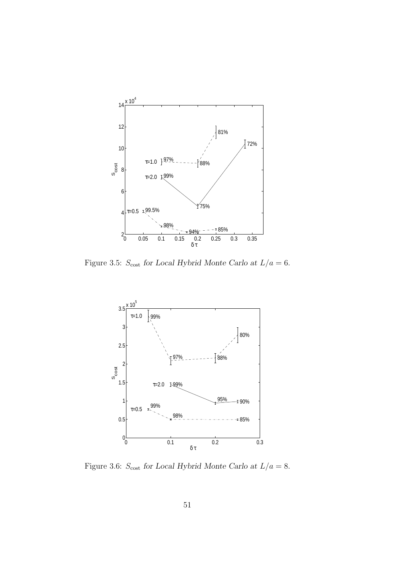

Figure 3.5:  $S_{\rm cost}$  for Local Hybrid Monte Carlo at  $L/a=6.$ 

<span id="page-58-0"></span>

<span id="page-58-1"></span>Figure 3.6:  $S_{\rm cost}$  for Local Hybrid Monte Carlo at  $L/a=8.$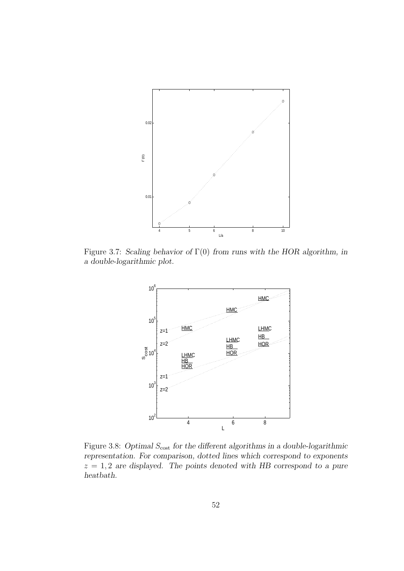

Figure 3.7: Scaling behavior of  $\Gamma(0)$  from runs with the HOR algorithm, in a double-logarithmic plot.

<span id="page-59-0"></span>

<span id="page-59-1"></span>Figure 3.8: Optimal  $S_{\text{cost}}$  for the different algorithms in a double-logarithmic representation. For comparison, dotted lines which correspond to exponents  $z = 1, 2$  are displayed. The points denoted with HB correspond to a pure heatbath.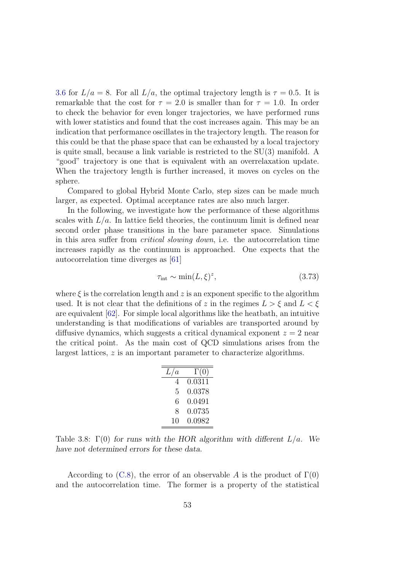[3.6](#page-58-1) for  $L/a = 8$ . For all  $L/a$ , the optimal trajectory length is  $\tau = 0.5$ . It is remarkable that the cost for  $\tau = 2.0$  is smaller than for  $\tau = 1.0$ . In order to check the behavior for even longer trajectories, we have performed runs with lower statistics and found that the cost increases again. This may be an indication that performance oscillates in the trajectory length. The reason for this could be that the phase space that can be exhausted by a local trajectory is quite small, because a link variable is restricted to the SU(3) manifold. A "good" trajectory is one that is equivalent with an overrelaxation update. When the trajectory length is further increased, it moves on cycles on the sphere.

Compared to global Hybrid Monte Carlo, step sizes can be made much larger, as expected. Optimal acceptance rates are also much larger.

In the following, we investigate how the performance of these algorithms scales with  $L/a$ . In lattice field theories, the continuum limit is defined near second order phase transitions in the bare parameter space. Simulations in this area suffer from critical slowing down, i.e. the autocorrelation time increases rapidly as the continuum is approached. One expects that the autocorrelation time diverges as [\[61\]](#page-116-10)

$$
\tau_{\text{int}} \sim \min(L,\xi)^z,\tag{3.73}
$$

where  $\xi$  is the correlation length and z is an exponent specific to the algorithm used. It is not clear that the definitions of z in the regimes  $L > \xi$  and  $L < \xi$ are equivalent [\[62\]](#page-116-11). For simple local algorithms like the heatbath, an intuitive understanding is that modifications of variables are transported around by diffusive dynamics, which suggests a critical dynamical exponent  $z = 2$  near the critical point. As the main cost of QCD simulations arises from the largest lattices, z is an important parameter to characterize algorithms.

| L/a | $\Gamma(0)$ |
|-----|-------------|
| 4   | 0.0311      |
| 5   | 0.0378      |
| 6   | 0.0491      |
| 8   | 0.0735      |
| 10  | 0.0982      |

<span id="page-60-0"></span>Table 3.8:  $\Gamma(0)$  for runs with the HOR algorithm with different  $L/a$ . We have not determined errors for these data.

According to [\(C.8\)](#page-109-0), the error of an observable A is the product of  $\Gamma(0)$ and the autocorrelation time. The former is a property of the statistical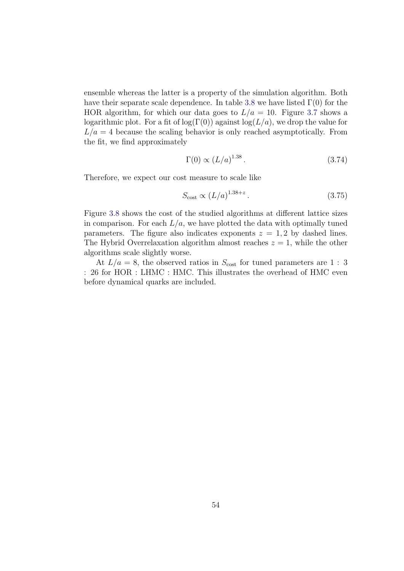ensemble whereas the latter is a property of the simulation algorithm. Both have their separate scale dependence. In table [3.8](#page-60-0) we have listed  $\Gamma(0)$  for the HOR algorithm, for which our data goes to  $L/a = 10$ . Figure [3.7](#page-59-0) shows a logarithmic plot. For a fit of log( $\Gamma(0)$ ) against log( $L/a$ ), we drop the value for  $L/a = 4$  because the scaling behavior is only reached asymptotically. From the fit, we find approximately

$$
\Gamma(0) \propto (L/a)^{1.38}.\tag{3.74}
$$

Therefore, we expect our cost measure to scale like

$$
S_{\text{cost}} \propto (L/a)^{1.38+z} \,. \tag{3.75}
$$

Figure [3.8](#page-59-1) shows the cost of the studied algorithms at different lattice sizes in comparison. For each  $L/a$ , we have plotted the data with optimally tuned parameters. The figure also indicates exponents  $z = 1, 2$  by dashed lines. The Hybrid Overrelaxation algorithm almost reaches  $z = 1$ , while the other algorithms scale slightly worse.

At  $L/a = 8$ , the observed ratios in  $S_{\text{cost}}$  for tuned parameters are 1 : 3 : 26 for HOR : LHMC : HMC. This illustrates the overhead of HMC even before dynamical quarks are included.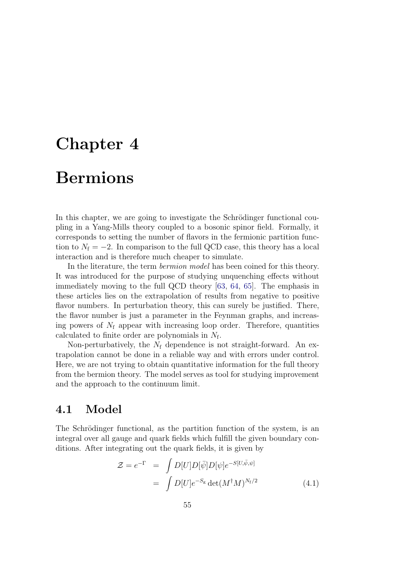# <span id="page-62-0"></span>Chapter 4 Bermions

In this chapter, we are going to investigate the Schrödinger functional coupling in a Yang-Mills theory coupled to a bosonic spinor field. Formally, it corresponds to setting the number of flavors in the fermionic partition function to  $N_f = -2$ . In comparison to the full QCD case, this theory has a local interaction and is therefore much cheaper to simulate.

In the literature, the term *bermion model* has been coined for this theory. It was introduced for the purpose of studying unquenching effects without immediately moving to the full QCD theory [\[63,](#page-116-12) [64,](#page-117-0) [65\]](#page-117-1). The emphasis in these articles lies on the extrapolation of results from negative to positive flavor numbers. In perturbation theory, this can surely be justified. There, the flavor number is just a parameter in the Feynman graphs, and increasing powers of  $N_f$  appear with increasing loop order. Therefore, quantities calculated to finite order are polynomials in  $N_f$ .

Non-perturbatively, the  $N_f$  dependence is not straight-forward. An extrapolation cannot be done in a reliable way and with errors under control. Here, we are not trying to obtain quantitative information for the full theory from the bermion theory. The model serves as tool for studying improvement and the approach to the continuum limit.

# 4.1 Model

The Schrödinger functional, as the partition function of the system, is an integral over all gauge and quark fields which fulfill the given boundary conditions. After integrating out the quark fields, it is given by

$$
\mathcal{Z} = e^{-\Gamma} = \int D[U]D[\bar{\psi}]D[\psi]e^{-S[U,\bar{\psi},\psi]}
$$

$$
= \int D[U]e^{-S_{\rm g}}\det(M^{\dagger}M)^{N_{\rm f}/2}
$$
(4.1)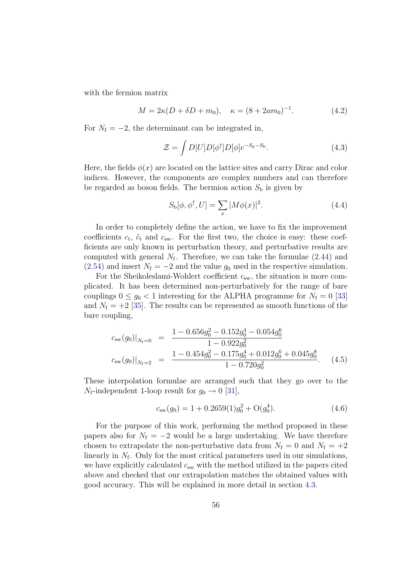with the fermion matrix

$$
M = 2\kappa (D + \delta D + m_0), \quad \kappa = (8 + 2am_0)^{-1}.
$$
 (4.2)

For  $N_f = -2$ , the determinant can be integrated in,

$$
\mathcal{Z} = \int D[U]D[\phi^{\dagger}]D[\phi]e^{-S_{\rm g}-S_{\rm b}}.\tag{4.3}
$$

Here, the fields  $\phi(x)$  are located on the lattice sites and carry Dirac and color indices. However, the components are complex numbers and can therefore be regarded as boson fields. The bermion action  $S<sub>b</sub>$  is given by

$$
S_{\mathbf{b}}[\phi, \phi^{\dagger}, U] = \sum_{x} |M\phi(x)|^2.
$$
 (4.4)

In order to completely define the action, we have to fix the improvement coefficients  $c_t$ ,  $\tilde{c}_t$  and  $c_{sw}$ . For the first two, the choice is easy: these coefficients are only known in perturbation theory, and perturbative results are computed with general  $N_f$ . Therefore, we can take the formulae  $(2.44)$  and [\(2.54\)](#page-28-0) and insert  $N_f = -2$  and the value  $g_0$  used in the respective simulation.

For the Sheikoleslami-Wohlert coefficient  $c_{sw}$ , the situation is more complicated. It has been determined non-perturbatively for the range of bare couplings  $0 \le g_0 < 1$  interesting for the ALPHA programme for  $N_f = 0$  [\[33\]](#page-114-0) and  $N_f = +2$  [\[35\]](#page-114-1). The results can be represented as smooth functions of the bare coupling,

<span id="page-63-0"></span>
$$
c_{sw}(g_0)|_{N_f=0} = \frac{1 - 0.656g_0^2 - 0.152g_0^4 - 0.054g_0^6}{1 - 0.922g_0^2}
$$
  

$$
c_{sw}(g_0)|_{N_f=2} = \frac{1 - 0.454g_0^2 - 0.175g_0^4 + 0.012g_0^6 + 0.045g_0^8}{1 - 0.720g_0^2}.
$$
 (4.5)

These interpolation formulae are arranged such that they go over to the  $N_f$ -independent 1-loop result for  $g_0 \rightarrow 0$  [\[31\]](#page-114-2),

$$
c_{sw}(g_0) = 1 + 0.2659(1)g_0^2 + O(g_0^4). \tag{4.6}
$$

For the purpose of this work, performing the method proposed in these papers also for  $N_f = -2$  would be a large undertaking. We have therefore chosen to extrapolate the non-perturbative data from  $N_f = 0$  and  $N_f = +2$ linearly in  $N_f$ . Only for the most critical parameters used in our simulations, we have explicitly calculated  $c_{sw}$  with the method utilized in the papers cited above and checked that our extrapolation matches the obtained values with good accuracy. This will be explained in more detail in section [4.3.](#page-69-0)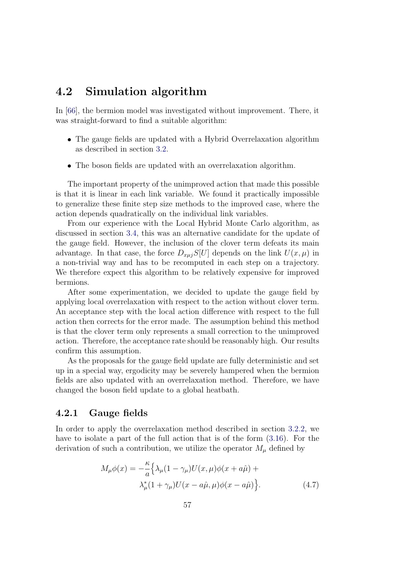# 4.2 Simulation algorithm

In [\[66\]](#page-117-2), the bermion model was investigated without improvement. There, it was straight-forward to find a suitable algorithm:

- The gauge fields are updated with a Hybrid Overrelaxation algorithm as described in section [3.2.](#page-34-0)
- The boson fields are updated with an overrelaxation algorithm.

The important property of the unimproved action that made this possible is that it is linear in each link variable. We found it practically impossible to generalize these finite step size methods to the improved case, where the action depends quadratically on the individual link variables.

From our experience with the Local Hybrid Monte Carlo algorithm, as discussed in section [3.4,](#page-51-0) this was an alternative candidate for the update of the gauge field. However, the inclusion of the clover term defeats its main advantage. In that case, the force  $D_{x\mu i}S[U]$  depends on the link  $U(x,\mu)$  in a non-trivial way and has to be recomputed in each step on a trajectory. We therefore expect this algorithm to be relatively expensive for improved bermions.

After some experimentation, we decided to update the gauge field by applying local overrelaxation with respect to the action without clover term. An acceptance step with the local action difference with respect to the full action then corrects for the error made. The assumption behind this method is that the clover term only represents a small correction to the unimproved action. Therefore, the acceptance rate should be reasonably high. Our results confirm this assumption.

As the proposals for the gauge field update are fully deterministic and set up in a special way, ergodicity may be severely hampered when the bermion fields are also updated with an overrelaxation method. Therefore, we have changed the boson field update to a global heatbath.

## 4.2.1 Gauge fields

In order to apply the overrelaxation method described in section [3.2.2,](#page-38-1) we have to isolate a part of the full action that is of the form [\(3.16\)](#page-36-0). For the derivation of such a contribution, we utilize the operator  $M_{\mu}$  defined by

$$
M_{\mu}\phi(x) = -\frac{\kappa}{a} \Big\{ \lambda_{\mu} (1 - \gamma_{\mu}) U(x, \mu) \phi(x + a\hat{\mu}) +
$$
  

$$
\lambda_{\mu}^{*} (1 + \gamma_{\mu}) U(x - a\hat{\mu}, \mu) \phi(x - a\hat{\mu}) \Big\}.
$$
 (4.7)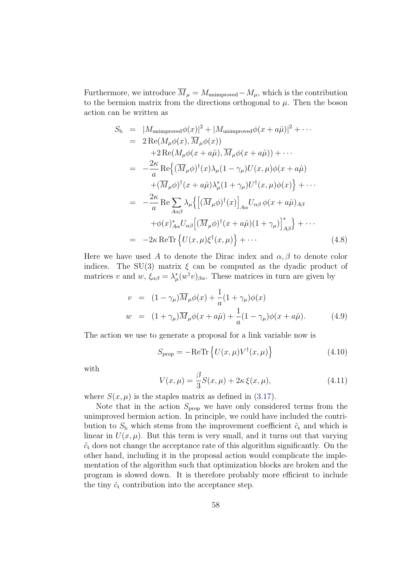Furthermore, we introduce  $\overline{M}_{\mu} = M_{\text{unimproved}} - M_{\mu}$ , which is the contribution to the bermion matrix from the directions orthogonal to  $\mu$ . Then the boson action can be written as

$$
S_{\rm b} = |M_{\rm unimproved}\phi(x)|^2 + |M_{\rm unimproved}\phi(x+a\hat{\mu})|^2 + \cdots
$$
  
\n
$$
= 2 \operatorname{Re}(M_{\mu}\phi(x), \overline{M}_{\mu}\phi(x))
$$
  
\n
$$
+ 2 \operatorname{Re}(M_{\mu}\phi(x+a\hat{\mu}), \overline{M}_{\mu}\phi(x+a\hat{\mu})) + \cdots
$$
  
\n
$$
= -\frac{2\kappa}{a} \operatorname{Re}\left\{ (\overline{M}_{\mu}\phi)^{\dagger}(x)\lambda_{\mu}(1-\gamma_{\mu})U(x,\mu)\phi(x+a\hat{\mu}) + (\overline{M}_{\mu}\phi)^{\dagger}(x+a\hat{\mu})\lambda_{\mu}^{*}(1+\gamma_{\mu})U^{\dagger}(x,\mu)\phi(x)\right\} + \cdots
$$
  
\n
$$
= -\frac{2\kappa}{a} \operatorname{Re} \sum_{A\alpha\beta} \lambda_{\mu} \left\{ \left[ (\overline{M}_{\mu}\phi)^{\dagger}(x) \right]_{A\alpha} U_{\alpha\beta} \phi(x+a\hat{\mu})_{A\beta} + \phi(x)_{A\alpha}^{*} U_{\alpha\beta} \left[ (\overline{M}_{\mu}\phi)^{\dagger}(x+a\hat{\mu})(1+\gamma_{\mu}) \right]_{A\beta}^{*} \right\} + \cdots
$$
  
\n
$$
= -2\kappa \operatorname{ReTr} \left\{ U(x,\mu)\xi^{\dagger}(x,\mu) \right\} + \cdots
$$
(4.8)

Here we have used A to denote the Dirac index and  $\alpha, \beta$  to denote color indices. The SU(3) matrix  $\xi$  can be computed as the dyadic product of matrices v and w,  $\xi_{\alpha\beta} = \lambda^*_{\mu}(w^{\dagger}v)_{\beta\alpha}$ . These matrices in turn are given by

$$
v = (1 - \gamma_{\mu}) \overline{M}_{\mu} \phi(x) + \frac{1}{a} (1 + \gamma_{\mu}) \phi(x)
$$
  
\n
$$
w = (1 + \gamma_{\mu}) \overline{M}_{\mu} \phi(x + a\hat{\mu}) + \frac{1}{a} (1 - \gamma_{\mu}) \phi(x + a\hat{\mu}).
$$
\n(4.9)

The action we use to generate a proposal for a link variable now is

<span id="page-65-1"></span>
$$
S_{\text{prop}} = -\text{ReTr}\left\{U(x,\mu)V^{\dagger}(x,\mu)\right\} \tag{4.10}
$$

with

<span id="page-65-0"></span>
$$
V(x,\mu) = \frac{\beta}{3}S(x,\mu) + 2\kappa \xi(x,\mu),
$$
\n(4.11)

where  $S(x, \mu)$  is the staples matrix as defined in [\(3.17\)](#page-37-2).

Note that in the action  $S_{\text{prop}}$  we have only considered terms from the unimproved bermion action. In principle, we could have included the contribution to  $S_{\rm b}$  which stems from the improvement coefficient  $\tilde{c}_{\rm t}$  and which is linear in  $U(x, \mu)$ . But this term is very small, and it turns out that varying  $\tilde{c}_t$  does not change the acceptance rate of this algorithm significantly. On the other hand, including it in the proposal action would complicate the implementation of the algorithm such that optimization blocks are broken and the program is slowed down. It is therefore probably more efficient to include the tiny  $\tilde{c}_t$  contribution into the acceptance step.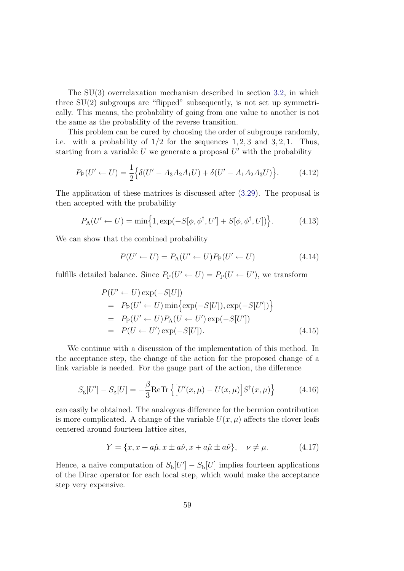The SU(3) overrelaxation mechanism described in section [3.2,](#page-34-0) in which three  $SU(2)$  subgroups are "flipped" subsequently, is not set up symmetrically. This means, the probability of going from one value to another is not the same as the probability of the reverse transition.

This problem can be cured by choosing the order of subgroups randomly, i.e. with a probability of  $1/2$  for the sequences  $1, 2, 3$  and  $3, 2, 1$ . Thus, starting from a variable  $U$  we generate a proposal  $U'$  with the probability

$$
P_{\rm P}(U' \leftarrow U) = \frac{1}{2} \Big\{ \delta(U' - A_3 A_2 A_1 U) + \delta(U' - A_1 A_2 A_3 U) \Big\}.
$$
 (4.12)

The application of these matrices is discussed after [\(3.29\)](#page-39-0). The proposal is then accepted with the probability

<span id="page-66-1"></span>
$$
P_{\mathcal{A}}(U' \leftarrow U) = \min\left\{1, \exp(-S[\phi, \phi^{\dagger}, U'] + S[\phi, \phi^{\dagger}, U])\right\}.
$$
 (4.13)

We can show that the combined probability

$$
P(U' \leftarrow U) = P_{A}(U' \leftarrow U)P_{P}(U' \leftarrow U)
$$
\n(4.14)

fulfills detailed balance. Since  $P_{P}(U \leftarrow U) = P_{P}(U \leftarrow U')$ , we transform

$$
P(U' \leftarrow U) \exp(-S[U])
$$
  
=  $P_P(U' \leftarrow U) \min \{ \exp(-S[U]), \exp(-S[U']) \}$   
=  $P_P(U' \leftarrow U) P_A(U \leftarrow U') \exp(-S[U'])$   
=  $P(U \leftarrow U') \exp(-S[U]).$  (4.15)

We continue with a discussion of the implementation of this method. In the acceptance step, the change of the action for the proposed change of a link variable is needed. For the gauge part of the action, the difference

<span id="page-66-0"></span>
$$
S_{\mathbf{g}}[U'] - S_{\mathbf{g}}[U] = -\frac{\beta}{3} \text{ReTr}\left\{ \left[ U'(x,\mu) - U(x,\mu) \right] S^{\dagger}(x,\mu) \right\} \tag{4.16}
$$

can easily be obtained. The analogous difference for the bermion contribution is more complicated. A change of the variable  $U(x, \mu)$  affects the clover leafs centered around fourteen lattice sites,

$$
Y = \{x, x + a\hat{\mu}, x \pm a\hat{\nu}, x + a\hat{\mu} \pm a\hat{\nu}\}, \quad \nu \neq \mu. \tag{4.17}
$$

Hence, a naive computation of  $S_{\text{b}}[U] - S_{\text{b}}[U]$  implies fourteen applications of the Dirac operator for each local step, which would make the acceptance step very expensive.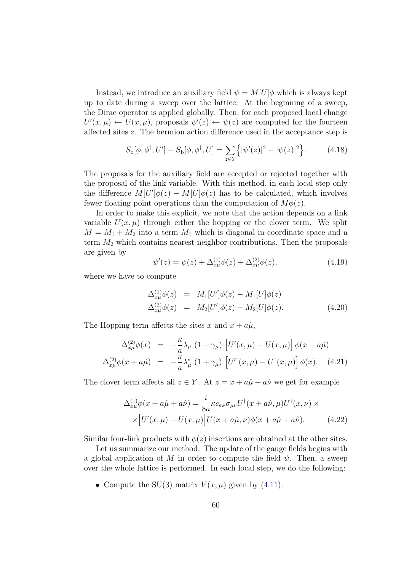Instead, we introduce an auxiliary field  $\psi = M[U]\phi$  which is always kept up to date during a sweep over the lattice. At the beginning of a sweep, the Dirac operator is applied globally. Then, for each proposed local change  $U'(x,\mu) \leftarrow U(x,\mu)$ , proposals  $\psi'(z) \leftarrow \psi(z)$  are computed for the fourteen affected sites z. The bermion action difference used in the acceptance step is

<span id="page-67-1"></span>
$$
S_{\rm b}[\phi,\phi^{\dagger},U'] - S_{\rm b}[\phi,\phi^{\dagger},U] = \sum_{z \in Y} \{ |\psi'(z)|^2 - |\psi(z)|^2 \}.
$$
 (4.18)

The proposals for the auxiliary field are accepted or rejected together with the proposal of the link variable. With this method, in each local step only the difference  $M[U']\phi(z) - M[U]\phi(z)$  has to be calculated, which involves fewer floating point operations than the computation of  $M\phi(z)$ .

In order to make this explicit, we note that the action depends on a link variable  $U(x, \mu)$  through either the hopping or the clover term. We split  $M = M_1 + M_2$  into a term  $M_1$  which is diagonal in coordinate space and a term  $M_2$  which contains nearest-neighbor contributions. Then the proposals are given by

<span id="page-67-0"></span>
$$
\psi'(z) = \psi(z) + \Delta_{x\mu}^{(1)}\phi(z) + \Delta_{x\mu}^{(2)}\phi(z),\tag{4.19}
$$

where we have to compute

$$
\Delta_{x\mu}^{(1)}\phi(z) = M_1[U']\phi(z) - M_1[U]\phi(z)
$$
  
\n
$$
\Delta_{x\mu}^{(2)}\phi(z) = M_2[U']\phi(z) - M_2[U]\phi(z).
$$
\n(4.20)

The Hopping term affects the sites x and  $x + a\hat{\mu}$ ,

$$
\Delta_{x\mu}^{(2)}\phi(x) = -\frac{\kappa}{a}\lambda_{\mu} (1 - \gamma_{\mu}) \left[ U'(x,\mu) - U(x,\mu) \right] \phi(x + a\hat{\mu})
$$
  

$$
\Delta_{x\mu}^{(2)}\phi(x + a\hat{\mu}) = -\frac{\kappa}{a}\lambda_{\mu}^{*} (1 + \gamma_{\mu}) \left[ U'^{\dagger}(x,\mu) - U^{\dagger}(x,\mu) \right] \phi(x). \quad (4.21)
$$

The clover term affects all  $z \in Y$ . At  $z = x + a\hat{\mu} + a\hat{\nu}$  we get for example

$$
\Delta_{x\mu}^{(1)}\phi(x+a\hat{\mu}+a\hat{\nu}) = \frac{i}{8a}\kappa c_{\rm sw}\sigma_{\mu\nu}U^{\dagger}(x+a\hat{\nu},\mu)U^{\dagger}(x,\nu) \times
$$

$$
\times \left[U'(x,\mu) - U(x,\mu)\right]U(x+a\hat{\mu},\nu)\phi(x+a\hat{\mu}+a\hat{\nu}). \tag{4.22}
$$

Similar four-link products with  $\phi(z)$  insertions are obtained at the other sites.

Let us summarize our method. The update of the gauge fields begins with a global application of M in order to compute the field  $\psi$ . Then, a sweep over the whole lattice is performed. In each local step, we do the following:

• Compute the SU(3) matrix  $V(x, \mu)$  given by [\(4.11\)](#page-65-0).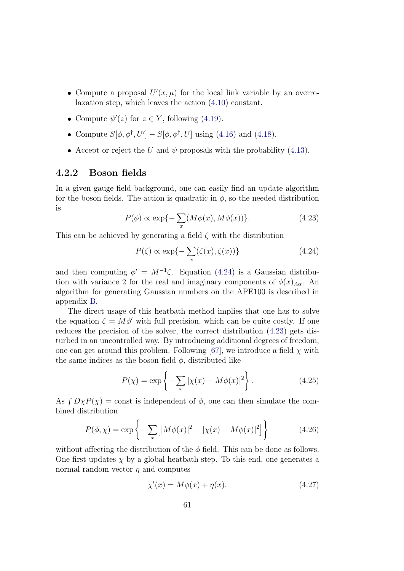- Compute a proposal  $U'(x, \mu)$  for the local link variable by an overrelaxation step, which leaves the action [\(4.10\)](#page-65-1) constant.
- Compute  $\psi'(z)$  for  $z \in Y$ , following [\(4.19\)](#page-67-0).
- Compute  $S[\phi, \phi^{\dagger}, U'] S[\phi, \phi^{\dagger}, U]$  using [\(4.16\)](#page-66-0) and [\(4.18\)](#page-67-1).
- Accept or reject the U and  $\psi$  proposals with the probability [\(4.13\)](#page-66-1).

## 4.2.2 Boson fields

In a given gauge field background, one can easily find an update algorithm for the boson fields. The action is quadratic in  $\phi$ , so the needed distribution is

<span id="page-68-1"></span>
$$
P(\phi) \propto \exp\{-\sum_{x} (M\phi(x), M\phi(x))\}.
$$
 (4.23)

This can be achieved by generating a field  $\zeta$  with the distribution

<span id="page-68-0"></span>
$$
P(\zeta) \propto \exp\{-\sum_{x}(\zeta(x), \zeta(x))\}\tag{4.24}
$$

and then computing  $\phi' = M^{-1}\zeta$ . Equation [\(4.24\)](#page-68-0) is a Gaussian distribution with variance 2 for the real and imaginary components of  $\phi(x)_{A\alpha}$ . An algorithm for generating Gaussian numbers on the APE100 is described in appendix [B.](#page-105-0)

The direct usage of this heatbath method implies that one has to solve the equation  $\zeta = M\phi'$  with full precision, which can be quite costly. If one reduces the precision of the solver, the correct distribution [\(4.23\)](#page-68-1) gets disturbed in an uncontrolled way. By introducing additional degrees of freedom, one can get around this problem. Following [\[67\]](#page-117-3), we introduce a field  $\chi$  with the same indices as the boson field  $\phi$ , distributed like

$$
P(\chi) = \exp\left\{-\sum_{x} |\chi(x) - M\phi(x)|^2\right\}.
$$
 (4.25)

As  $\int D\chi P(\chi)$  = const is independent of  $\phi$ , one can then simulate the combined distribution

$$
P(\phi, \chi) = \exp\left\{-\sum_{x} [ |M\phi(x)|^2 - |\chi(x) - M\phi(x)|^2] \right\}
$$
 (4.26)

without affecting the distribution of the  $\phi$  field. This can be done as follows. One first updates  $\chi$  by a global heatbath step. To this end, one generates a normal random vector  $\eta$  and computes

$$
\chi'(x) = M\phi(x) + \eta(x). \tag{4.27}
$$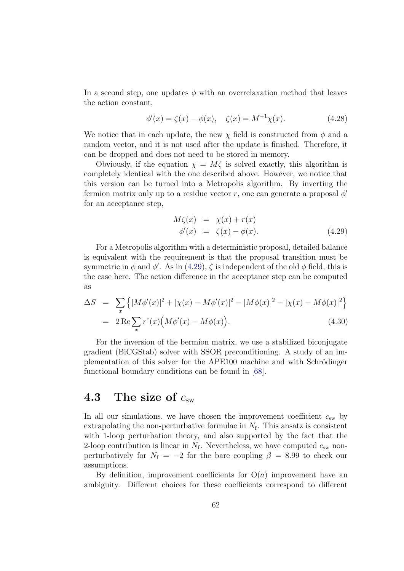In a second step, one updates  $\phi$  with an overrelaxation method that leaves the action constant,

$$
\phi'(x) = \zeta(x) - \phi(x), \quad \zeta(x) = M^{-1}\chi(x). \tag{4.28}
$$

We notice that in each update, the new  $\chi$  field is constructed from  $\phi$  and a random vector, and it is not used after the update is finished. Therefore, it can be dropped and does not need to be stored in memory.

Obviously, if the equation  $\chi = M\zeta$  is solved exactly, this algorithm is completely identical with the one described above. However, we notice that this version can be turned into a Metropolis algorithm. By inverting the fermion matrix only up to a residue vector r, one can generate a proposal  $\phi'$ for an acceptance step,

<span id="page-69-1"></span>
$$
M\zeta(x) = \chi(x) + r(x)
$$
  
\n
$$
\phi'(x) = \zeta(x) - \phi(x).
$$
\n(4.29)

For a Metropolis algorithm with a deterministic proposal, detailed balance is equivalent with the requirement is that the proposal transition must be symmetric in  $\phi$  and  $\phi'$ . As in [\(4.29\)](#page-69-1),  $\zeta$  is independent of the old  $\phi$  field, this is the case here. The action difference in the acceptance step can be computed as

$$
\Delta S = \sum_{x} \left\{ |M\phi'(x)|^2 + |\chi(x) - M\phi'(x)|^2 - |M\phi(x)|^2 - |\chi(x) - M\phi(x)|^2 \right\}
$$
  
=  $2 \text{Re} \sum_{x} r^{\dagger}(x) \Big( M\phi'(x) - M\phi(x) \Big).$  (4.30)

For the inversion of the bermion matrix, we use a stabilized biconjugate gradient (BiCGStab) solver with SSOR preconditioning. A study of an implementation of this solver for the APE100 machine and with Schrödinger functional boundary conditions can be found in [\[68\]](#page-117-4).

# <span id="page-69-0"></span>4.3 The size of  $c_{\rm sw}$

In all our simulations, we have chosen the improvement coefficient  $c_{sw}$  by extrapolating the non-perturbative formulae in  $N_f$ . This ansatz is consistent with 1-loop perturbation theory, and also supported by the fact that the 2-loop contribution is linear in  $N_f$ . Nevertheless, we have computed  $c_{sw}$  nonperturbatively for  $N_f = -2$  for the bare coupling  $\beta = 8.99$  to check our assumptions.

By definition, improvement coefficients for  $O(a)$  improvement have an ambiguity. Different choices for these coefficients correspond to different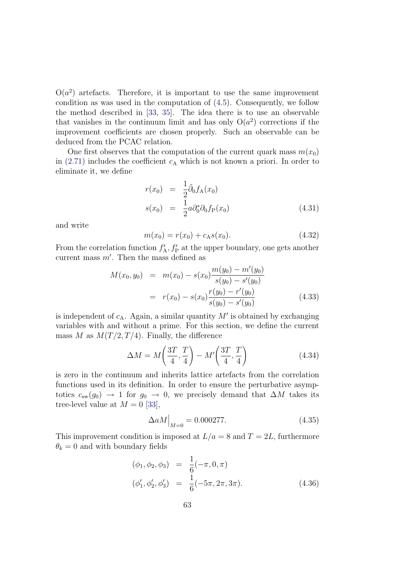$O(a^2)$  artefacts. Therefore, it is important to use the same improvement condition as was used in the computation of [\(4.5\)](#page-63-0). Consequently, we follow the method described in [\[33,](#page-114-0) [35\]](#page-114-1). The idea there is to use an observable that vanishes in the continuum limit and has only  $O(a^2)$  corrections if the improvement coefficients are chosen properly. Such an observable can be deduced from the PCAC relation.

One first observes that the computation of the current quark mass  $m(x_0)$ in  $(2.71)$  includes the coefficient  $c_A$  which is not known a priori. In order to eliminate it, we define

$$
r(x_0) = \frac{1}{2}\tilde{\partial}_0 f_A(x_0)
$$
  
\n
$$
s(x_0) = \frac{1}{2}a\partial_0^*\partial_0 f_P(x_0)
$$
\n(4.31)

and write

$$
m(x_0) = r(x_0) + c_A s(x_0). \tag{4.32}
$$

From the correlation function  $f'_{A}$ ,  $f'_{P}$  at the upper boundary, one gets another current mass  $m'$ . Then the mass defined as

$$
M(x_0, y_0) = m(x_0) - s(x_0) \frac{m(y_0) - m'(y_0)}{s(y_0) - s'(y_0)}
$$
  
= 
$$
r(x_0) - s(x_0) \frac{r(y_0) - r'(y_0)}{s(y_0) - s'(y_0)}
$$
(4.33)

is independent of  $c_A$ . Again, a similar quantity  $M'$  is obtained by exchanging variables with and without a prime. For this section, we define the current mass M as  $M(T/2, T/4)$ . Finally, the difference

$$
\Delta M = M\left(\frac{3T}{4}, \frac{T}{4}\right) - M'\left(\frac{3T}{4}, \frac{T}{4}\right) \tag{4.34}
$$

is zero in the continuum and inherits lattice artefacts from the correlation functions used in its definition. In order to ensure the perturbative asymptotics  $c_{sw}(g_0) \rightarrow 1$  for  $g_0 \rightarrow 0$ , we precisely demand that  $\Delta M$  takes its tree-level value at  $M = 0$  [\[33\]](#page-114-0),

<span id="page-70-0"></span>
$$
\Delta aM \Big|_{M=0} = 0.000277. \tag{4.35}
$$

This improvement condition is imposed at  $L/a = 8$  and  $T = 2L$ , furthermore  $\theta_k = 0$  and with boundary fields

$$
(\phi_1, \phi_2, \phi_3) = \frac{1}{6}(-\pi, 0, \pi)
$$
  
\n
$$
(\phi'_1, \phi'_2, \phi'_3) = \frac{1}{6}(-5\pi, 2\pi, 3\pi).
$$
 (4.36)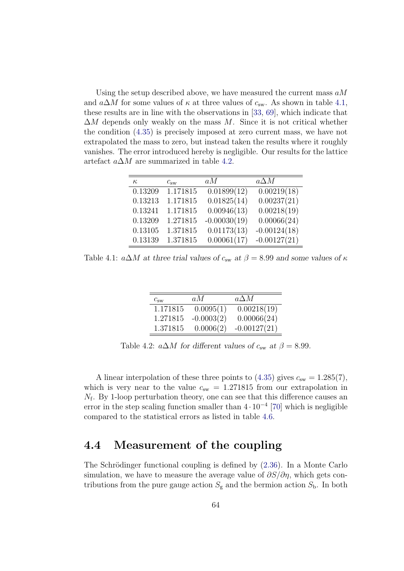Using the setup described above, we have measured the current mass  $aM$ and  $a\Delta M$  for some values of  $\kappa$  at three values of  $c_{sw}$ . As shown in table [4.1,](#page-71-0) these results are in line with the observations in [\[33,](#page-114-0) [69\]](#page-117-5), which indicate that  $\Delta M$  depends only weakly on the mass M. Since it is not critical whether the condition [\(4.35\)](#page-70-0) is precisely imposed at zero current mass, we have not extrapolated the mass to zero, but instead taken the results where it roughly vanishes. The error introduced hereby is negligible. Our results for the lattice artefact  $a\Delta M$  are summarized in table [4.2.](#page-71-1)

| $\kappa$ | $c_{\rm sw}$ | a M            | $a\Delta M$              |
|----------|--------------|----------------|--------------------------|
| 0.13209  | 1.171815     | 0.01899(12)    | $0.002\overline{19(18)}$ |
| 0.13213  | 1.171815     | 0.01825(14)    | 0.00237(21)              |
| 0.13241  | 1.171815     | 0.00946(13)    | 0.00218(19)              |
| 0.13209  | 1.271815     | $-0.00030(19)$ | 0.00066(24)              |
| 0.13105  | 1.371815     | 0.01173(13)    | $-0.00124(18)$           |
| 0.13139  | 1.371815     | 0.00061(17)    | $-0.00127(21)$           |

<span id="page-71-0"></span>Table 4.1:  $a\Delta M$  at three trial values of  $c_{sw}$  at  $\beta = 8.99$  and some values of  $\kappa$ 

| $c_{\rm sw}$ | a M          | $a\Delta M$    |
|--------------|--------------|----------------|
| 1.171815     | 0.0095(1)    | 0.00218(19)    |
| 1.271815     | $-0.0003(2)$ | 0.00066(24)    |
| 1.371815     | 0.0006(2)    | $-0.00127(21)$ |

<span id="page-71-1"></span>Table 4.2:  $a\Delta M$  for different values of  $c_{sw}$  at  $\beta = 8.99$ .

A linear interpolation of these three points to  $(4.35)$  gives  $c_{sw} = 1.285(7)$ , which is very near to the value  $c_{sw} = 1.271815$  from our extrapolation in  $N_f$ . By 1-loop perturbation theory, one can see that this difference causes an error in the step scaling function smaller than  $4 \cdot 10^{-4}$  [\[70\]](#page-117-6) which is negligible compared to the statistical errors as listed in table [4.6.](#page-81-0)

# 4.4 Measurement of the coupling

The Schrödinger functional coupling is defined by  $(2.36)$ . In a Monte Carlo simulation, we have to measure the average value of  $\partial S/\partial \eta$ , which gets contributions from the pure gauge action  $S_g$  and the bermion action  $S_b$ . In both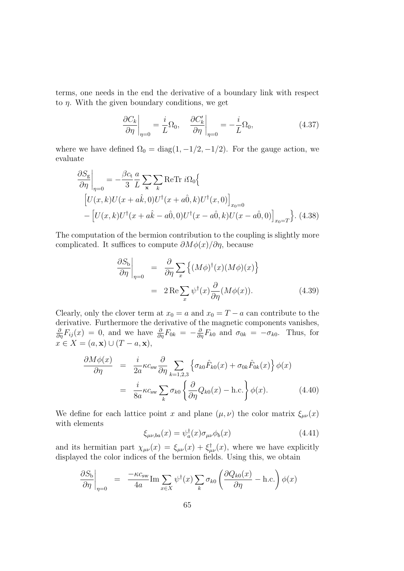terms, one needs in the end the derivative of a boundary link with respect to  $\eta$ . With the given boundary conditions, we get

$$
\left. \frac{\partial C_k}{\partial \eta} \right|_{\eta=0} = \frac{i}{L} \Omega_0, \quad \left. \frac{\partial C'_k}{\partial \eta} \right|_{\eta=0} = -\frac{i}{L} \Omega_0,\tag{4.37}
$$

where we have defined  $\Omega_0 = \text{diag}(1, -1/2, -1/2)$ . For the gauge action, we evaluate

$$
\frac{\partial S_{\rm g}}{\partial \eta}\Big|_{\eta=0} = -\frac{\beta c_{\rm t}}{3} \frac{a}{L} \sum_{\mathbf{x}} \sum_{k} \text{ReTr} \, i\Omega_{0} \Big\{\n\left[U(x,k)U(x+a\hat{k},0)U^{\dagger}(x+a\hat{0},k)U^{\dagger}(x,0)\right]_{x_{0}=0}\n-\left[U(x,k)U^{\dagger}(x+a\hat{k}-a\hat{0},0)U^{\dagger}(x-a\hat{0},k)U(x-a\hat{0},0)\right]_{x_{0}=T}\n\Big\}.\n\tag{4.38}
$$

The computation of the bermion contribution to the coupling is slightly more complicated. It suffices to compute  $\partial M\phi(x)/\partial\eta$ , because

$$
\frac{\partial S_{\rm b}}{\partial \eta}\Big|_{\eta=0} = \frac{\partial}{\partial \eta} \sum_{x} \left\{ (M\phi)^{\dagger}(x)(M\phi)(x) \right\}
$$

$$
= 2 \operatorname{Re} \sum_{x} \psi^{\dagger}(x) \frac{\partial}{\partial \eta} (M\phi(x)). \tag{4.39}
$$

Clearly, only the clover term at  $x_0 = a$  and  $x_0 = T - a$  can contribute to the derivative. Furthermore the derivative of the magnetic components vanishes,  $\frac{\partial}{\partial \eta}F_{ij}(x) = 0$ , and we have  $\frac{\partial}{\partial \eta}F_{0k} = -\frac{\partial}{\partial \eta}F_{k0}$  and  $\sigma_{0k} = -\sigma_{k0}$ . Thus, for  $x \in X = (a, \mathbf{x}) \cup (T - a, \mathbf{x}),$ 

$$
\frac{\partial M\phi(x)}{\partial \eta} = \frac{i}{2a} \kappa c_{\rm sw} \frac{\partial}{\partial \eta} \sum_{k=1,2,3} \left\{ \sigma_{k0} \hat{F}_{k0}(x) + \sigma_{0k} \hat{F}_{0k}(x) \right\} \phi(x)
$$

$$
= \frac{i}{8a} \kappa c_{\rm sw} \sum_{k} \sigma_{k0} \left\{ \frac{\partial}{\partial \eta} Q_{k0}(x) - \text{h.c.} \right\} \phi(x). \tag{4.40}
$$

We define for each lattice point x and plane  $(\mu, \nu)$  the color matrix  $\xi_{\mu\nu}(x)$ with elements

$$
\xi_{\mu\nu,ba}(x) = \psi_a^{\dagger}(x)\sigma_{\mu\nu}\phi_b(x) \tag{4.41}
$$

and its hermitian part  $\chi_{\mu\nu}(x) = \xi_{\mu\nu}(x) + \xi_{\mu\nu}^{\dagger}(x)$ , where we have explicitly displayed the color indices of the bermion fields. Using this, we obtain

$$
\left. \frac{\partial S_{\rm b}}{\partial \eta} \right|_{\eta=0} = \left. \frac{-\kappa c_{\rm sw}}{4a} \text{Im} \sum_{x \in X} \psi^{\dagger}(x) \sum_{k} \sigma_{k0} \left( \frac{\partial Q_{k0}(x)}{\partial \eta} - \text{h.c.} \right) \phi(x) \right.
$$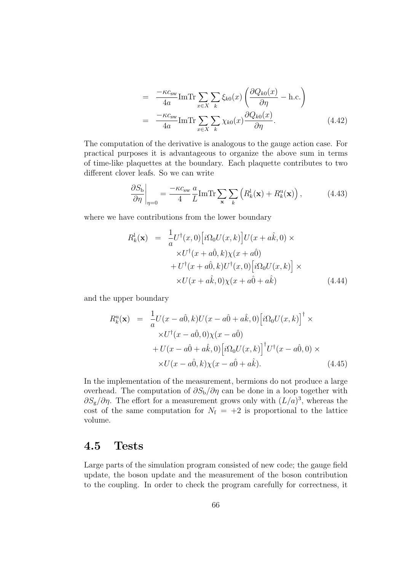$$
= \frac{-\kappa c_{\rm sw}}{4a} \text{ImTr} \sum_{x \in X} \sum_{k} \xi_{k0}(x) \left( \frac{\partial Q_{k0}(x)}{\partial \eta} - \text{h.c.} \right)
$$

$$
= \frac{-\kappa c_{\rm sw}}{4a} \text{ImTr} \sum_{x \in X} \sum_{k} \chi_{k0}(x) \frac{\partial Q_{k0}(x)}{\partial \eta}.
$$
(4.42)

The computation of the derivative is analogous to the gauge action case. For practical purposes it is advantageous to organize the above sum in terms of time-like plaquettes at the boundary. Each plaquette contributes to two different clover leafs. So we can write

$$
\frac{\partial S_{\rm b}}{\partial \eta}\bigg|_{\eta=0} = \frac{-\kappa c_{\rm sw}}{4} \frac{a}{L} \text{Im} \text{Tr} \sum_{\mathbf{x}} \sum_{k} \left( R_{k}^{1}(\mathbf{x}) + R_{k}^{u}(\mathbf{x}) \right), \tag{4.43}
$$

where we have contributions from the lower boundary

$$
R_k^1(\mathbf{x}) = \frac{1}{a} U^{\dagger}(x,0) \Big[ i\Omega_0 U(x,k) \Big] U(x+a\hat{k},0) \times
$$
  
 
$$
\times U^{\dagger}(x+a\hat{0},k) \chi(x+a\hat{0})
$$
  
 
$$
+ U^{\dagger}(x+a\hat{0},k) U^{\dagger}(x,0) \Big[ i\Omega_0 U(x,k) \Big] \times
$$
  
 
$$
\times U(x+a\hat{k},0) \chi(x+a\hat{0}+a\hat{k}) \tag{4.44}
$$

and the upper boundary

$$
R_k^{\mathrm{u}}(\mathbf{x}) = \frac{1}{a} U(x - a\hat{0}, k) U(x - a\hat{0} + a\hat{k}, 0) \left[ i\Omega_0 U(x, k) \right]^{\dagger} \times
$$
  
 
$$
\times U^{\dagger} (x - a\hat{0}, 0) \chi(x - a\hat{0})
$$
  
 
$$
+ U(x - a\hat{0} + a\hat{k}, 0) \left[ i\Omega_0 U(x, k) \right]^{\dagger} U^{\dagger} (x - a\hat{0}, 0) \times
$$
  
 
$$
\times U(x - a\hat{0}, k) \chi(x - a\hat{0} + a\hat{k}). \tag{4.45}
$$

In the implementation of the measurement, bermions do not produce a large overhead. The computation of  $\partial S_{\rm b}/\partial \eta$  can be done in a loop together with  $\partial S_{\rm g}/\partial \eta$ . The effort for a measurement grows only with  $(L/a)^3$ , whereas the cost of the same computation for  $N_f = +2$  is proportional to the lattice volume.

#### 4.5 Tests

Large parts of the simulation program consisted of new code; the gauge field update, the boson update and the measurement of the boson contribution to the coupling. In order to check the program carefully for correctness, it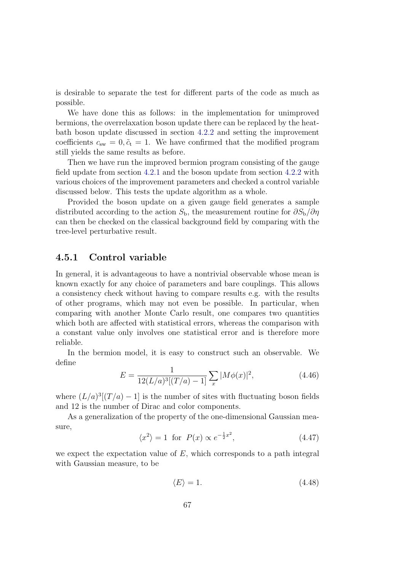is desirable to separate the test for different parts of the code as much as possible.

We have done this as follows: in the implementation for unimproved bermions, the overrelaxation boson update there can be replaced by the heatbath boson update discussed in section [4.2.2](#page-68-0) and setting the improvement coefficients  $c_{sw} = 0, \tilde{c}_t = 1$ . We have confirmed that the modified program still yields the same results as before.

Then we have run the improved bermion program consisting of the gauge field update from section [4.2.1](#page-64-0) and the boson update from section [4.2.2](#page-68-0) with various choices of the improvement parameters and checked a control variable discussed below. This tests the update algorithm as a whole.

Provided the boson update on a given gauge field generates a sample distributed according to the action  $S_{\rm b}$ , the measurement routine for  $\partial S_{\rm b}/\partial \eta$ can then be checked on the classical background field by comparing with the tree-level perturbative result.

#### 4.5.1 Control variable

In general, it is advantageous to have a nontrivial observable whose mean is known exactly for any choice of parameters and bare couplings. This allows a consistency check without having to compare results e.g. with the results of other programs, which may not even be possible. In particular, when comparing with another Monte Carlo result, one compares two quantities which both are affected with statistical errors, whereas the comparison with a constant value only involves one statistical error and is therefore more reliable.

In the bermion model, it is easy to construct such an observable. We define

$$
E = \frac{1}{12(L/a)^3[(T/a) - 1]} \sum_{x} |M\phi(x)|^2,
$$
\n(4.46)

where  $(L/a)^3[(T/a) - 1]$  is the number of sites with fluctuating boson fields and 12 is the number of Dirac and color components.

As a generalization of the property of the one-dimensional Gaussian measure,

$$
\langle x^2 \rangle = 1 \quad \text{for} \quad P(x) \propto e^{-\frac{1}{2}x^2},\tag{4.47}
$$

we expect the expectation value of  $E$ , which corresponds to a path integral with Gaussian measure, to be

$$
\langle E \rangle = 1. \tag{4.48}
$$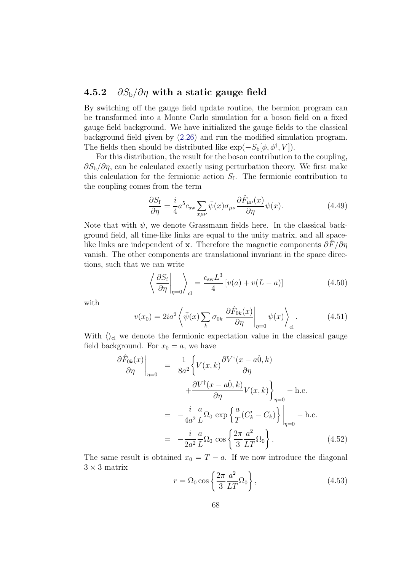#### 4.5.2  $\partial S_{\rm b}/\partial \eta$  with a static gauge field

By switching off the gauge field update routine, the bermion program can be transformed into a Monte Carlo simulation for a boson field on a fixed gauge field background. We have initialized the gauge fields to the classical background field given by [\(2.26\)](#page-23-0) and run the modified simulation program. The fields then should be distributed like  $\exp(-S_{\rm b}[\phi, \phi^{\dagger}, V])$ .

For this distribution, the result for the boson contribution to the coupling,  $\partial S_{\rm b}/\partial \eta$ , can be calculated exactly using perturbation theory. We first make this calculation for the fermionic action  $S_f$ . The fermionic contribution to the coupling comes from the term

$$
\frac{\partial S_{\rm f}}{\partial \eta} = \frac{i}{4} a^5 c_{\rm sw} \sum_{x\mu\nu} \bar{\psi}(x) \sigma_{\mu\nu} \frac{\partial \hat{F}_{\mu\nu}(x)}{\partial \eta} \psi(x). \tag{4.49}
$$

Note that with  $\psi$ , we denote Grassmann fields here. In the classical background field, all time-like links are equal to the unity matrix, and all spacelike links are independent of x. Therefore the magnetic components  $\partial \overline{F}/\partial \eta$ vanish. The other components are translational invariant in the space directions, such that we can write

$$
\left\langle \frac{\partial S_f}{\partial \eta} \right|_{\eta=0} \right\rangle_{\text{cl}} = \frac{c_{\text{sw}} L^3}{4} \left[ v(a) + v(L-a) \right] \tag{4.50}
$$

with

$$
v(x_0) = 2ia^2 \left\langle \bar{\psi}(x) \sum_k \sigma_{0k} \left. \frac{\partial \hat{F}_{0k}(x)}{\partial \eta} \right|_{\eta=0} \psi(x) \right\rangle_{\text{cl}}.
$$
 (4.51)

With  $\langle \rangle_{\rm cl}$  we denote the fermionic expectation value in the classical gauge field background. For  $x_0 = a$ , we have

$$
\frac{\partial \hat{F}_{0k}(x)}{\partial \eta}\Big|_{\eta=0} = \frac{1}{8a^2} \Biggl\{ V(x,k) \frac{\partial V^{\dagger}(x-a\hat{0},k)}{\partial \eta} + \frac{\partial V^{\dagger}(x-a\hat{0},k)}{\partial \eta} V(x,k) \Biggr\}_{\eta=0} - \text{h.c.}
$$

$$
= -\frac{i}{4a^2} \frac{a}{L} \Omega_0 \exp \Biggl\{ \frac{a}{T} (C_k' - C_k) \Biggr\}_{\eta=0} - \text{h.c.}
$$

$$
= -\frac{i}{2a^2} \frac{a}{L} \Omega_0 \cos \Biggl\{ \frac{2\pi}{3} \frac{a^2}{LT} \Omega_0 \Biggr\} . \tag{4.52}
$$

The same result is obtained  $x_0 = T - a$ . If we now introduce the diagonal  $3 \times 3$  matrix

$$
r = \Omega_0 \cos\left\{\frac{2\pi}{3} \frac{a^2}{LT} \Omega_0\right\},\tag{4.53}
$$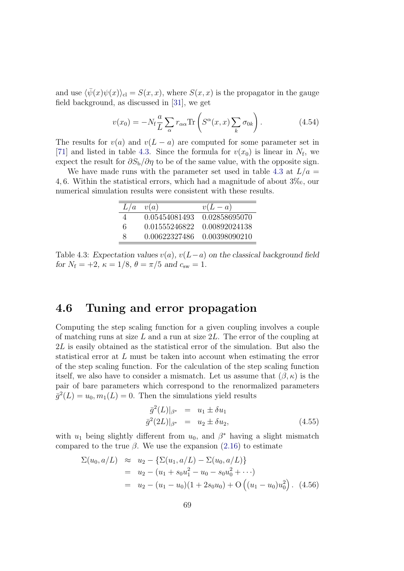and use  $\langle \bar{\psi}(x)\psi(x)\rangle_{\text{cl}} = S(x, x)$ , where  $S(x, x)$  is the propagator in the gauge field background, as discussed in [\[31\]](#page-114-0), we get

$$
v(x_0) = -N_f \frac{a}{L} \sum_{\alpha} r_{\alpha \alpha} \text{Tr} \left( S^{\alpha}(x, x) \sum_{k} \sigma_{0k} \right). \tag{4.54}
$$

The results for  $v(a)$  and  $v(L - a)$  are computed for some parameter set in [\[71\]](#page-117-0) and listed in table [4.3.](#page-76-0) Since the formula for  $v(x_0)$  is linear in  $N_f$ , we expect the result for  $\partial S_b/\partial \eta$  to be of the same value, with the opposite sign.

We have made runs with the parameter set used in table [4.3](#page-76-0) at  $L/a =$ 4, 6. Within the statistical errors, which had a magnitude of about  $3\%$ , our numerical simulation results were consistent with these results.

| L/a | v(a)          | $v(L-a)$      |
|-----|---------------|---------------|
| 4   | 0.05454081493 | 0.02858695070 |
| 6   | 0.01555246822 | 0.00892024138 |
| x   | 0.00622327486 | 0.00398090210 |

<span id="page-76-0"></span>Table 4.3: Expectation values  $v(a)$ ,  $v(L-a)$  on the classical background field for  $N_f = +2$ ,  $\kappa = 1/8$ ,  $\theta = \pi/5$  and  $c_{sw} = 1$ .

### <span id="page-76-1"></span>4.6 Tuning and error propagation

Computing the step scaling function for a given coupling involves a couple of matching runs at size  $L$  and a run at size  $2L$ . The error of the coupling at 2L is easily obtained as the statistical error of the simulation. But also the statistical error at L must be taken into account when estimating the error of the step scaling function. For the calculation of the step scaling function itself, we also have to consider a mismatch. Let us assume that  $(\beta, \kappa)$  is the pair of bare parameters which correspond to the renormalized parameters  $\bar{g}^2(L) = u_0, m_1(L) = 0$ . Then the simulations yield results

$$
\bar{g}^{2}(L)|_{\beta^{*}} = u_{1} \pm \delta u_{1}
$$
  
\n
$$
\bar{g}^{2}(2L)|_{\beta^{*}} = u_{2} \pm \delta u_{2},
$$
\n(4.55)

with  $u_1$  being slightly different from  $u_0$ , and  $\beta^*$  having a slight mismatch compared to the true  $\beta$ . We use the expansion [\(2.16\)](#page-19-0) to estimate

$$
\Sigma(u_0, a/L) \approx u_2 - \{\Sigma(u_1, a/L) - \Sigma(u_0, a/L)\}
$$
  
=  $u_2 - (u_1 + s_0 u_1^2 - u_0 - s_0 u_0^2 + \cdots)$   
=  $u_2 - (u_1 - u_0)(1 + 2s_0 u_0) + O((u_1 - u_0) u_0^2)$ . (4.56)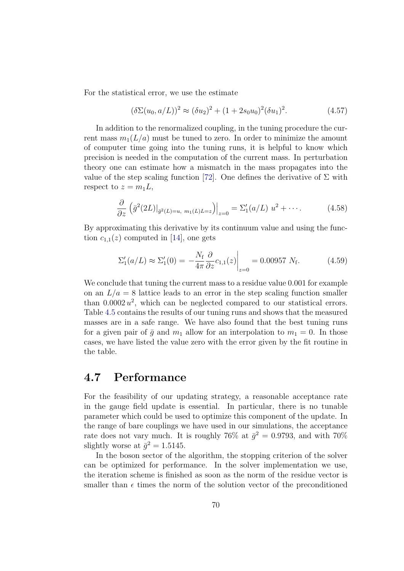For the statistical error, we use the estimate

$$
(\delta \Sigma(u_0, a/L))^2 \approx (\delta u_2)^2 + (1 + 2s_0 u_0)^2 (\delta u_1)^2. \tag{4.57}
$$

In addition to the renormalized coupling, in the tuning procedure the current mass  $m_1(L/a)$  must be tuned to zero. In order to minimize the amount of computer time going into the tuning runs, it is helpful to know which precision is needed in the computation of the current mass. In perturbation theory one can estimate how a mismatch in the mass propagates into the value of the step scaling function [\[72\]](#page-117-1). One defines the derivative of  $\Sigma$  with respect to  $z = m_1L$ ,

$$
\frac{\partial}{\partial z} \left( \bar{g}^2 (2L)|_{\bar{g}^2(L)=u, m_1(L) L=z} \right) \Big|_{z=0} = \Sigma_1' (a/L) u^2 + \cdots. \tag{4.58}
$$

By approximating this derivative by its continuum value and using the function  $c_{1,1}(z)$  computed in [\[14\]](#page-113-0), one gets

$$
\Sigma_1'(a/L) \approx \Sigma_1'(0) = -\frac{N_f}{4\pi} \frac{\partial}{\partial z} c_{1,1}(z) \Big|_{z=0} = 0.00957 \ N_f. \tag{4.59}
$$

We conclude that tuning the current mass to a residue value 0.001 for example on an  $L/a = 8$  lattice leads to an error in the step scaling function smaller than  $0.0002 u^2$ , which can be neglected compared to our statistical errors. Table [4.5](#page-81-0) contains the results of our tuning runs and shows that the measured masses are in a safe range. We have also found that the best tuning runs for a given pair of  $\bar{g}$  and  $m_1$  allow for an interpolation to  $m_1 = 0$ . In those cases, we have listed the value zero with the error given by the fit routine in the table.

### 4.7 Performance

For the feasibility of our updating strategy, a reasonable acceptance rate in the gauge field update is essential. In particular, there is no tunable parameter which could be used to optimize this component of the update. In the range of bare couplings we have used in our simulations, the acceptance rate does not vary much. It is roughly 76% at  $\bar{g}^2 = 0.9793$ , and with 70% slightly worse at  $\bar{g}^2 = 1.5145$ .

In the boson sector of the algorithm, the stopping criterion of the solver can be optimized for performance. In the solver implementation we use, the iteration scheme is finished as soon as the norm of the residue vector is smaller than  $\epsilon$  times the norm of the solution vector of the preconditioned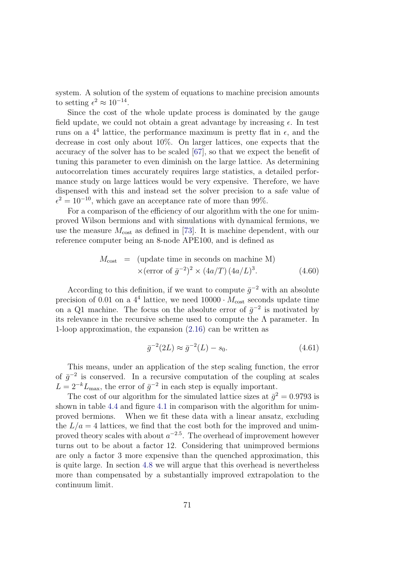system. A solution of the system of equations to machine precision amounts to setting  $\epsilon^2 \approx 10^{-14}$ .

Since the cost of the whole update process is dominated by the gauge field update, we could not obtain a great advantage by increasing  $\epsilon$ . In test runs on a  $4^4$  lattice, the performance maximum is pretty flat in  $\epsilon$ , and the decrease in cost only about 10%. On larger lattices, one expects that the accuracy of the solver has to be scaled [\[67\]](#page-117-2), so that we expect the benefit of tuning this parameter to even diminish on the large lattice. As determining autocorrelation times accurately requires large statistics, a detailed performance study on large lattices would be very expensive. Therefore, we have dispensed with this and instead set the solver precision to a safe value of  $\epsilon^2 = 10^{-10}$ , which gave an acceptance rate of more than 99%.

For a comparison of the efficiency of our algorithm with the one for unimproved Wilson bermions and with simulations with dynamical fermions, we use the measure  $M_{\text{cost}}$  as defined in [\[73\]](#page-117-3). It is machine dependent, with our reference computer being an 8-node APE100, and is defined as

$$
M_{\text{cost}} = (\text{update time in seconds on machine M})
$$
  
×(error of  $\bar{g}^{-2}$ )<sup>2</sup> × (4a/T) (4a/L)<sup>3</sup>. (4.60)

According to this definition, if we want to compute  $\bar{g}^{-2}$  with an absolute precision of 0.01 on a  $4^4$  lattice, we need  $10000 \cdot M_{\text{cost}}$  seconds update time on a Q1 machine. The focus on the absolute error of  $\bar{g}^{-2}$  is motivated by its relevance in the recursive scheme used to compute the  $\Lambda$  parameter. In 1-loop approximation, the expansion [\(2.16\)](#page-19-0) can be written as

$$
\bar{g}^{-2}(2L) \approx \bar{g}^{-2}(L) - s_0. \tag{4.61}
$$

This means, under an application of the step scaling function, the error of  $\bar{g}^{-2}$  is conserved. In a recursive computation of the coupling at scales  $L = 2^{-k} L_{\text{max}}$ , the error of  $\bar{g}^{-2}$  in each step is equally important.

The cost of our algorithm for the simulated lattice sizes at  $\bar{g}^2 = 0.9793$  is shown in table [4.4](#page-79-0) and figure [4.1](#page-79-1) in comparison with the algorithm for unimproved bermions. When we fit these data with a linear ansatz, excluding the  $L/a = 4$  lattices, we find that the cost both for the improved and unimproved theory scales with about  $a^{-2.5}$ . The overhead of improvement however turns out to be about a factor 12. Considering that unimproved bermions are only a factor 3 more expensive than the quenched approximation, this is quite large. In section [4.8](#page-80-0) we will argue that this overhead is nevertheless more than compensated by a substantially improved extrapolation to the continuum limit.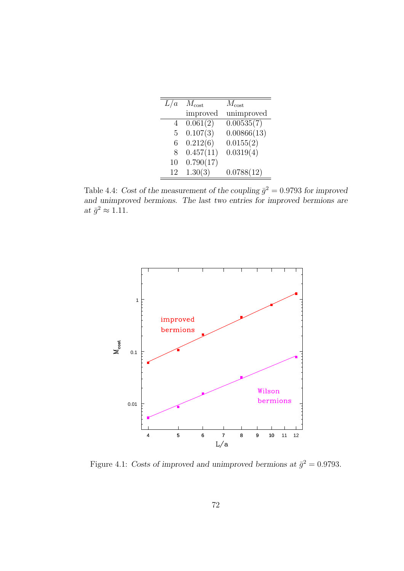| L/a | $M_{\rm cost}$ | $M_{\rm cost}$ |  |
|-----|----------------|----------------|--|
|     | improved       | unimproved     |  |
| 4   | 0.061(2)       | 0.00535(7)     |  |
| 5   | 0.107(3)       | 0.00866(13)    |  |
| 6   | 0.212(6)       | 0.0155(2)      |  |
| 8   | 0.457(11)      | 0.0319(4)      |  |
| 10  | 0.790(17)      |                |  |
| 12  | 1.30(3)        | 0.0788(12)     |  |

<span id="page-79-0"></span>Table 4.4: Cost of the measurement of the coupling  $\bar{g}^2 = 0.9793$  for improved and unimproved bermions. The last two entries for improved bermions are at  $\bar{g}^2 \approx 1.11$ .



<span id="page-79-1"></span>Figure 4.1: Costs of improved and unimproved bermions at  $\bar{g}^2 = 0.9793$ .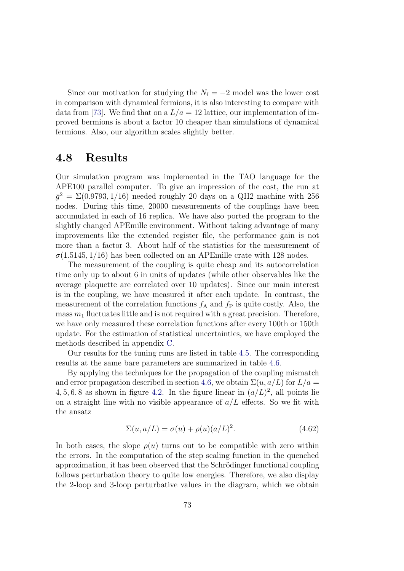Since our motivation for studying the  $N_f = -2$  model was the lower cost in comparison with dynamical fermions, it is also interesting to compare with data from [\[73\]](#page-117-3). We find that on a  $L/a = 12$  lattice, our implementation of improved bermions is about a factor 10 cheaper than simulations of dynamical fermions. Also, our algorithm scales slightly better.

#### <span id="page-80-0"></span>4.8 Results

Our simulation program was implemented in the TAO language for the APE100 parallel computer. To give an impression of the cost, the run at  $\bar{g}^2 = \Sigma(0.9793, 1/16)$  needed roughly 20 days on a QH2 machine with 256 nodes. During this time, 20000 measurements of the couplings have been accumulated in each of 16 replica. We have also ported the program to the slightly changed APEmille environment. Without taking advantage of many improvements like the extended register file, the performance gain is not more than a factor 3. About half of the statistics for the measurement of  $\sigma(1.5145, 1/16)$  has been collected on an APEmille crate with 128 nodes.

The measurement of the coupling is quite cheap and its autocorrelation time only up to about 6 in units of updates (while other observables like the average plaquette are correlated over 10 updates). Since our main interest is in the coupling, we have measured it after each update. In contrast, the measurement of the correlation functions  $f_A$  and  $f_P$  is quite costly. Also, the mass  $m_1$  fluctuates little and is not required with a great precision. Therefore, we have only measured these correlation functions after every 100th or 150th update. For the estimation of statistical uncertainties, we have employed the methods described in appendix [C.](#page-107-0)

Our results for the tuning runs are listed in table [4.5.](#page-81-0) The corresponding results at the same bare parameters are summarized in table [4.6.](#page-81-1)

By applying the techniques for the propagation of the coupling mismatch and error propagation described in section [4.6,](#page-76-1) we obtain  $\Sigma(u, a/L)$  for  $L/a =$ 4, 5, 6, 8 as shown in figure [4.2.](#page-82-0) In the figure linear in  $(a/L)^2$ , all points lie on a straight line with no visible appearance of  $a/L$  effects. So we fit with the ansatz

$$
\Sigma(u, a/L) = \sigma(u) + \rho(u)(a/L)^2.
$$
\n(4.62)

In both cases, the slope  $\rho(u)$  turns out to be compatible with zero within the errors. In the computation of the step scaling function in the quenched approximation, it has been observed that the Schrödinger functional coupling follows perturbation theory to quite low energies. Therefore, we also display the 2-loop and 3-loop perturbative values in the diagram, which we obtain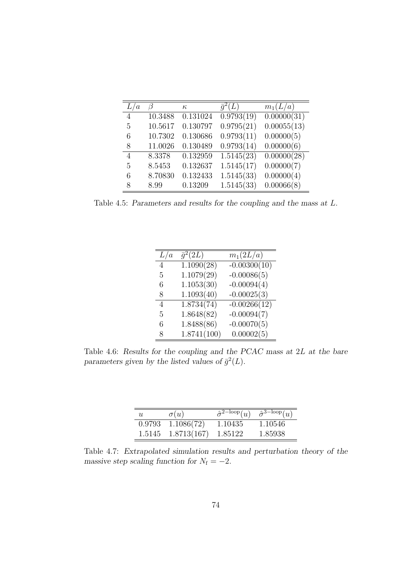| $\boldsymbol{a}$ |         | $\kappa$ | $\bar{q}^2(L)$ | $m_1(L/a)$  |
|------------------|---------|----------|----------------|-------------|
| $\overline{4}$   | 10.3488 | 0.131024 | 0.9793(19)     | 0.00000(31) |
| 5                | 10.5617 | 0.130797 | 0.9795(21)     | 0.00055(13) |
| 6                | 10.7302 | 0.130686 | 0.9793(11)     | 0.00000(5)  |
| 8                | 11.0026 | 0.130489 | 0.9793(14)     | 0.00000(6)  |
| 4                | 8.3378  | 0.132959 | 1.5145(23)     | 0.00000(28) |
| 5                | 8.5453  | 0.132637 | 1.5145(17)     | 0.00000(7)  |
| 6                | 8.70830 | 0.132433 | 1.5145(33)     | 0.00000(4)  |
| 8                | 8.99    | 0.13209  | 1.5145(33)     | 0.00066(8)  |

<span id="page-81-0"></span>Table 4.5: Parameters and results for the coupling and the mass at L.

| L/a | $\overline{g^2(2L)}$    | $m_1(2L/a)$    |
|-----|-------------------------|----------------|
| 4   | 1.1090(28)              | $-0.00300(10)$ |
| 5   | 1.1079(29)              | $-0.00086(5)$  |
| 6   | 1.1053(30)              | $-0.00094(4)$  |
| 8   | 1.1093(40)              | $-0.00025(3)$  |
| 4   | $1.873\overline{4(74)}$ | $-0.00266(12)$ |
| 5   | 1.8648(82)              | $-0.00094(7)$  |
| 6   | 1.8488(86)              | $-0.00070(5)$  |
| 8   | 1.8741(100)             | 0.00002(5)     |

<span id="page-81-1"></span>Table 4.6: Results for the coupling and the PCAC mass at 2L at the bare parameters given by the listed values of  $\bar{g}^2(L)$ .

| $\boldsymbol{u}$ | $\sigma(u)$ | $\hat{\sigma}^{\text{2-loop}}(u)$ | $\hat{\sigma}^{\text{3-loop}}(u)$ |
|------------------|-------------|-----------------------------------|-----------------------------------|
| 0.9793           | 1.1086(72)  | 1.10435                           | 1.10546                           |
| 1.5145           | 1.8713(167) | 1.85122                           | 1.85938                           |

<span id="page-81-2"></span>Table 4.7: Extrapolated simulation results and perturbation theory of the massive step scaling function for  $N_f = -2$ .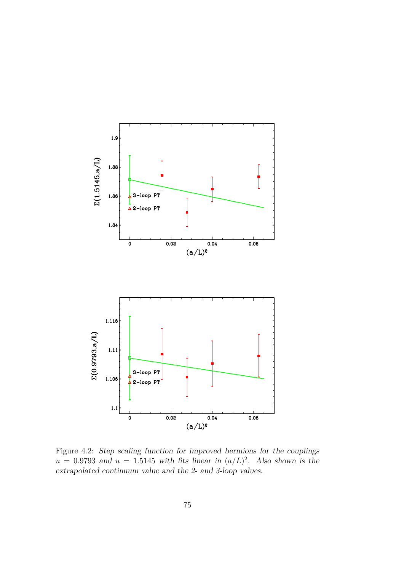

<span id="page-82-0"></span>Figure 4.2: Step scaling function for improved bermions for the couplings  $u = 0.9793$  and  $u = 1.5145$  with fits linear in  $(a/L)^2$ . Also shown is the extrapolated continuum value and the 2- and 3-loop values.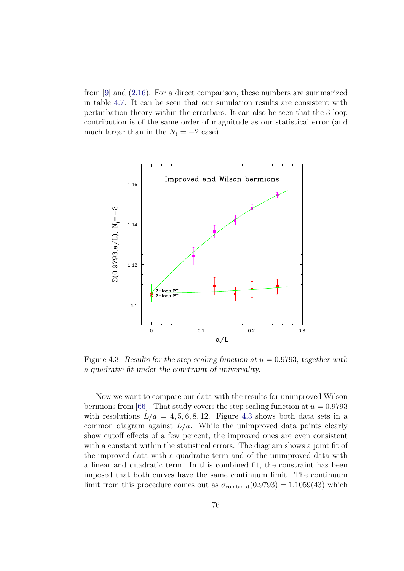from [\[9\]](#page-112-0) and [\(2.16\)](#page-19-0). For a direct comparison, these numbers are summarized in table [4.7.](#page-81-2) It can be seen that our simulation results are consistent with perturbation theory within the errorbars. It can also be seen that the 3-loop contribution is of the same order of magnitude as our statistical error (and much larger than in the  $N_f = +2$  case).



<span id="page-83-0"></span>Figure 4.3: Results for the step scaling function at  $u = 0.9793$ , together with a quadratic fit under the constraint of universality.

Now we want to compare our data with the results for unimproved Wilson bermions from [\[66\]](#page-117-4). That study covers the step scaling function at  $u = 0.9793$ with resolutions  $L/a = 4, 5, 6, 8, 12$ . Figure [4.3](#page-83-0) shows both data sets in a common diagram against  $L/a$ . While the unimproved data points clearly show cutoff effects of a few percent, the improved ones are even consistent with a constant within the statistical errors. The diagram shows a joint fit of the improved data with a quadratic term and of the unimproved data with a linear and quadratic term. In this combined fit, the constraint has been imposed that both curves have the same continuum limit. The continuum limit from this procedure comes out as  $\sigma_{\text{combined}}(0.9793) = 1.1059(43)$  which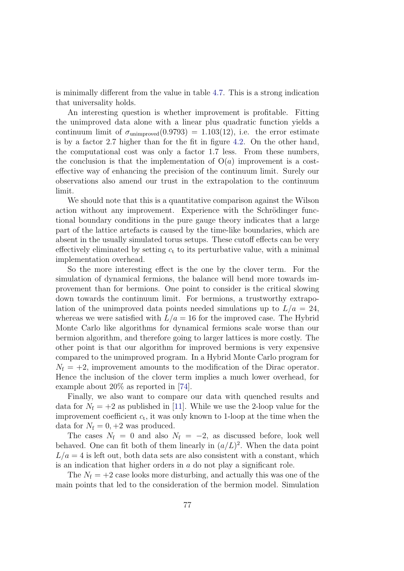is minimally different from the value in table [4.7.](#page-81-2) This is a strong indication that universality holds.

An interesting question is whether improvement is profitable. Fitting the unimproved data alone with a linear plus quadratic function yields a continuum limit of  $\sigma_{\text{unimproved}}(0.9793) = 1.103(12)$ , i.e. the error estimate is by a factor 2.7 higher than for the fit in figure [4.2.](#page-82-0) On the other hand, the computational cost was only a factor 1.7 less. From these numbers, the conclusion is that the implementation of  $O(a)$  improvement is a costeffective way of enhancing the precision of the continuum limit. Surely our observations also amend our trust in the extrapolation to the continuum limit.

We should note that this is a quantitative comparison against the Wilson action without any improvement. Experience with the Schrödinger functional boundary conditions in the pure gauge theory indicates that a large part of the lattice artefacts is caused by the time-like boundaries, which are absent in the usually simulated torus setups. These cutoff effects can be very effectively eliminated by setting  $c<sub>t</sub>$  to its perturbative value, with a minimal implementation overhead.

So the more interesting effect is the one by the clover term. For the simulation of dynamical fermions, the balance will bend more towards improvement than for bermions. One point to consider is the critical slowing down towards the continuum limit. For bermions, a trustworthy extrapolation of the unimproved data points needed simulations up to  $L/a = 24$ , whereas we were satisfied with  $L/a = 16$  for the improved case. The Hybrid Monte Carlo like algorithms for dynamical fermions scale worse than our bermion algorithm, and therefore going to larger lattices is more costly. The other point is that our algorithm for improved bermions is very expensive compared to the unimproved program. In a Hybrid Monte Carlo program for  $N_f = +2$ , improvement amounts to the modification of the Dirac operator. Hence the inclusion of the clover term implies a much lower overhead, for example about 20% as reported in [\[74\]](#page-117-5).

Finally, we also want to compare our data with quenched results and data for  $N_f = +2$  as published in [\[11\]](#page-113-1). While we use the 2-loop value for the improvement coefficient  $c_t$ , it was only known to 1-loop at the time when the data for  $N_f = 0, +2$  was produced.

The cases  $N_f = 0$  and also  $N_f = -2$ , as discussed before, look well behaved. One can fit both of them linearly in  $(a/L)^2$ . When the data point  $L/a = 4$  is left out, both data sets are also consistent with a constant, which is an indication that higher orders in  $a$  do not play a significant role.

The  $N_f = +2$  case looks more disturbing, and actually this was one of the main points that led to the consideration of the bermion model. Simulation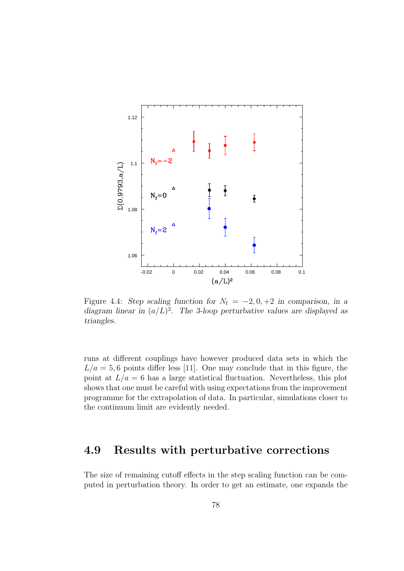

Figure 4.4: Step scaling function for  $N_f = -2, 0, +2$  in comparison, in a diagram linear in  $(a/L)^2$ . The 3-loop perturbative values are displayed as triangles.

runs at different couplings have however produced data sets in which the  $L/a = 5, 6$  points differ less [\[11\]](#page-113-1). One may conclude that in this figure, the point at  $L/a = 6$  has a large statistical fluctuation. Nevertheless, this plot shows that one must be careful with using expectations from the improvement programme for the extrapolation of data. In particular, simulations closer to the continuum limit are evidently needed.

### <span id="page-85-0"></span>4.9 Results with perturbative corrections

The size of remaining cutoff effects in the step scaling function can be computed in perturbation theory. In order to get an estimate, one expands the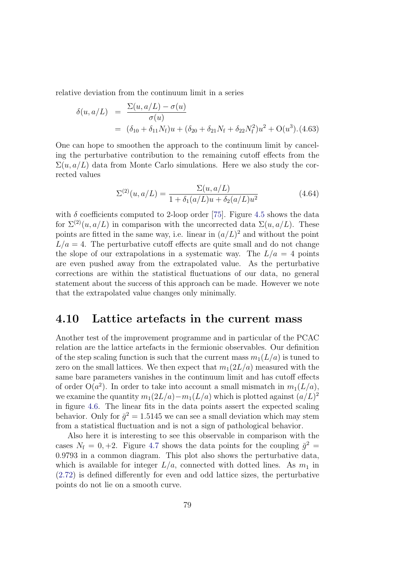relative deviation from the continuum limit in a series

<span id="page-86-0"></span>
$$
\delta(u, a/L) = \frac{\Sigma(u, a/L) - \sigma(u)}{\sigma(u)}
$$
  
=  $(\delta_{10} + \delta_{11}N_{\rm f})u + (\delta_{20} + \delta_{21}N_{\rm f} + \delta_{22}N_{\rm f}^2)u^2 + O(u^3)$ . (4.63)

One can hope to smoothen the approach to the continuum limit by canceling the perturbative contribution to the remaining cutoff effects from the  $\Sigma(u, a/L)$  data from Monte Carlo simulations. Here we also study the corrected values

$$
\Sigma^{(2)}(u, a/L) = \frac{\Sigma(u, a/L)}{1 + \delta_1(a/L)u + \delta_2(a/L)u^2}
$$
(4.64)

with  $\delta$  coefficients computed to 2-loop order [\[75\]](#page-117-6). Figure [4.5](#page-87-0) shows the data for  $\Sigma^{(2)}(u, a/L)$  in comparison with the uncorrected data  $\Sigma(u, a/L)$ . These points are fitted in the same way, i.e. linear in  $(a/L)^2$  and without the point  $L/a = 4$ . The perturbative cutoff effects are quite small and do not change the slope of our extrapolations in a systematic way. The  $L/a = 4$  points are even pushed away from the extrapolated value. As the perturbative corrections are within the statistical fluctuations of our data, no general statement about the success of this approach can be made. However we note that the extrapolated value changes only minimally.

#### 4.10 Lattice artefacts in the current mass

Another test of the improvement programme and in particular of the PCAC relation are the lattice artefacts in the fermionic observables. Our definition of the step scaling function is such that the current mass  $m_1(L/a)$  is tuned to zero on the small lattices. We then expect that  $m_1(2L/a)$  measured with the same bare parameters vanishes in the continuum limit and has cutoff effects of order  $O(a^2)$ . In order to take into account a small mismatch in  $m_1(L/a)$ , we examine the quantity  $m_1(2L/a) - m_1(L/a)$  which is plotted against  $(a/L)^2$ in figure [4.6.](#page-88-0) The linear fits in the data points assert the expected scaling behavior. Only for  $\bar{g}^2 = 1.5145$  we can see a small deviation which may stem from a statistical fluctuation and is not a sign of pathological behavior.

Also here it is interesting to see this observable in comparison with the cases  $N_f = 0, +2$ . Figure [4.7](#page-89-0) shows the data points for the coupling  $\bar{g}^2 =$ 0.9793 in a common diagram. This plot also shows the perturbative data, which is available for integer  $L/a$ , connected with dotted lines. As  $m_1$  in [\(2.72\)](#page-31-0) is defined differently for even and odd lattice sizes, the perturbative points do not lie on a smooth curve.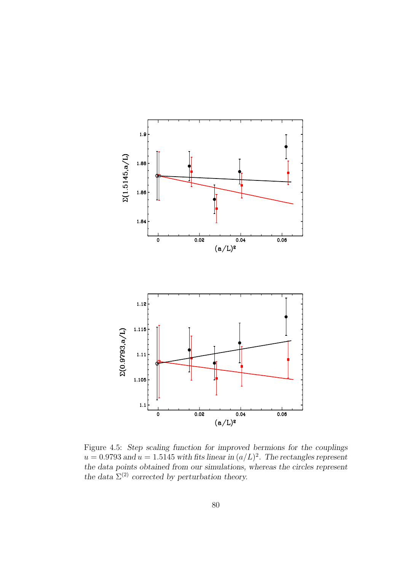

<span id="page-87-0"></span>Figure 4.5: Step scaling function for improved bermions for the couplings  $u = 0.9793$  and  $u = 1.5145$  with fits linear in  $(a/L)^2$ . The rectangles represent the data points obtained from our simulations, whereas the circles represent the data  $\Sigma^{(2)}$  corrected by perturbation theory.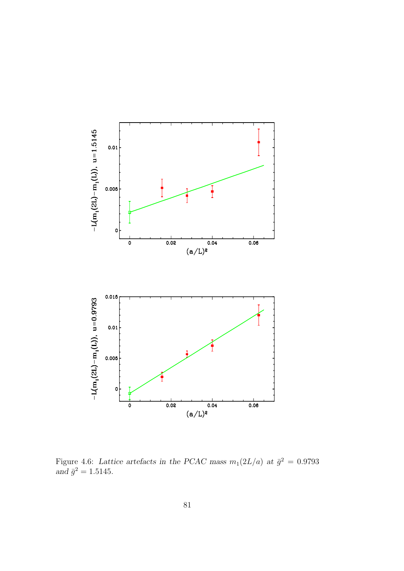

<span id="page-88-0"></span>Figure 4.6: Lattice artefacts in the PCAC mass  $m_1(2L/a)$  at  $\bar{g}^2 = 0.9793$ and  $\bar{g}^2 = 1.5145$ .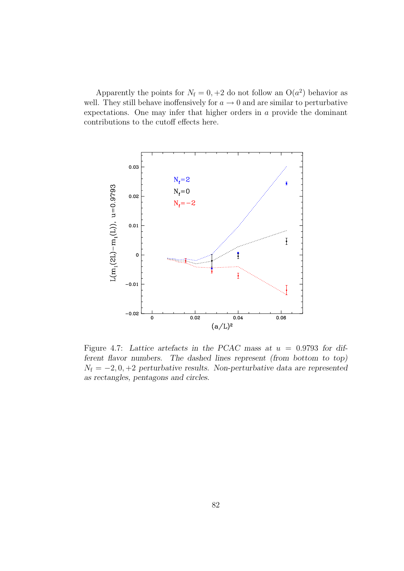Apparently the points for  $N_f = 0, +2$  do not follow an  $O(a^2)$  behavior as well. They still behave inoffensively for  $a \to 0$  and are similar to perturbative expectations. One may infer that higher orders in a provide the dominant contributions to the cutoff effects here.



<span id="page-89-0"></span>Figure 4.7: Lattice artefacts in the PCAC mass at  $u = 0.9793$  for different flavor numbers. The dashed lines represent (from bottom to top)  $N_f = -2, 0, +2$  perturbative results. Non-perturbative data are represented as rectangles, pentagons and circles.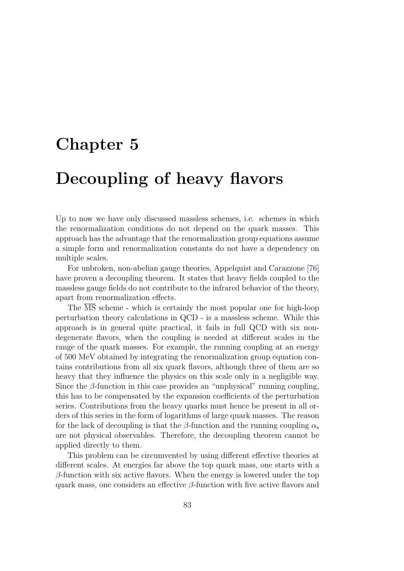# <span id="page-90-0"></span>Chapter 5

# Decoupling of heavy flavors

Up to now we have only discussed massless schemes, i.e. schemes in which the renormalization conditions do not depend on the quark masses. This approach has the advantage that the renormalization group equations assume a simple form and renormalization constants do not have a dependency on multiple scales.

For unbroken, non-abelian gauge theories, Appelquist and Carazzone [\[76\]](#page-117-7) have proven a decoupling theorem. It states that heavy fields coupled to the massless gauge fields do not contribute to the infrared behavior of the theory, apart from renormalization effects.

The  $\overline{\text{MS}}$  scheme - which is certainly the most popular one for high-loop perturbation theory calculations in QCD - is a massless scheme. While this approach is in general quite practical, it fails in full QCD with six nondegenerate flavors, when the coupling is needed at different scales in the range of the quark masses. For example, the running coupling at an energy of 500 MeV obtained by integrating the renormalization group equation contains contributions from all six quark flavors, although three of them are so heavy that they influence the physics on this scale only in a negligible way. Since the  $\beta$ -function in this case provides an "unphysical" running coupling, this has to be compensated by the expansion coefficients of the perturbation series. Contributions from the heavy quarks must hence be present in all orders of this series in the form of logarithms of large quark masses. The reason for the lack of decoupling is that the  $\beta$ -function and the running coupling  $\alpha_s$ are not physical observables. Therefore, the decoupling theorem cannot be applied directly to them.

This problem can be circumvented by using different effective theories at different scales. At energies far above the top quark mass, one starts with a  $\beta$ -function with six active flavors. When the energy is lowered under the top quark mass, one considers an effective  $\beta$ -function with five active flavors and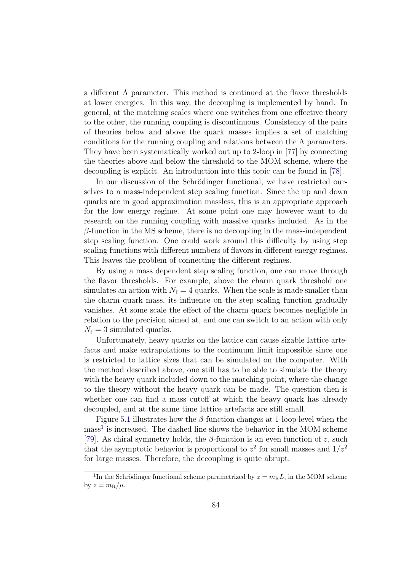a different  $\Lambda$  parameter. This method is continued at the flavor thresholds at lower energies. In this way, the decoupling is implemented by hand. In general, at the matching scales where one switches from one effective theory to the other, the running coupling is discontinuous. Consistency of the pairs of theories below and above the quark masses implies a set of matching conditions for the running coupling and relations between the  $\Lambda$  parameters. They have been systematically worked out up to 2-loop in [\[77\]](#page-117-8) by connecting the theories above and below the threshold to the MOM scheme, where the decoupling is explicit. An introduction into this topic can be found in [\[78\]](#page-118-0).

In our discussion of the Schrödinger functional, we have restricted ourselves to a mass-independent step scaling function. Since the up and down quarks are in good approximation massless, this is an appropriate approach for the low energy regime. At some point one may however want to do research on the running coupling with massive quarks included. As in the  $\beta$ -function in the  $\overline{\text{MS}}$  scheme, there is no decoupling in the mass-independent step scaling function. One could work around this difficulty by using step scaling functions with different numbers of flavors in different energy regimes. This leaves the problem of connecting the different regimes.

By using a mass dependent step scaling function, one can move through the flavor thresholds. For example, above the charm quark threshold one simulates an action with  $N_f = 4$  quarks. When the scale is made smaller than the charm quark mass, its influence on the step scaling function gradually vanishes. At some scale the effect of the charm quark becomes negligible in relation to the precision aimed at, and one can switch to an action with only  $N_f = 3$  simulated quarks.

Unfortunately, heavy quarks on the lattice can cause sizable lattice artefacts and make extrapolations to the continuum limit impossible since one is restricted to lattice sizes that can be simulated on the computer. With the method described above, one still has to be able to simulate the theory with the heavy quark included down to the matching point, where the change to the theory without the heavy quark can be made. The question then is whether one can find a mass cutoff at which the heavy quark has already decoupled, and at the same time lattice artefacts are still small.

Figure [5.1](#page-92-0) illustrates how the  $\beta$ -function changes at 1-loop level when the mass<sup>[1](#page-91-0)</sup> is increased. The dashed line shows the behavior in the MOM scheme [\[79\]](#page-118-1). As chiral symmetry holds, the  $\beta$ -function is an even function of z, such that the asymptotic behavior is proportional to  $z^2$  for small masses and  $1/z^2$ for large masses. Therefore, the decoupling is quite abrupt.

<span id="page-91-0"></span><sup>&</sup>lt;sup>1</sup>In the Schrödinger functional scheme parametrized by  $z = m<sub>R</sub>L$ , in the MOM scheme by  $z = m_R/\mu$ .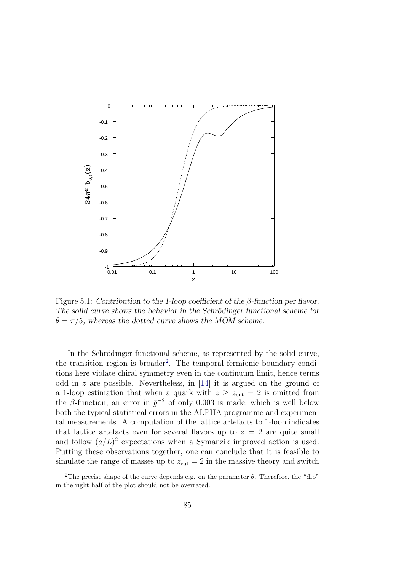

<span id="page-92-0"></span>Figure 5.1: Contribution to the 1-loop coefficient of the  $\beta$ -function per flavor. The solid curve shows the behavior in the Schrödinger functional scheme for  $\theta = \pi/5$ , whereas the dotted curve shows the MOM scheme.

In the Schrödinger functional scheme, as represented by the solid curve, the transition region is broader<sup>[2](#page-92-1)</sup>. The temporal fermionic boundary conditions here violate chiral symmetry even in the continuum limit, hence terms odd in  $z$  are possible. Nevertheless, in [\[14\]](#page-113-0) it is argued on the ground of a 1-loop estimation that when a quark with  $z \ge z<sub>cut</sub> = 2$  is omitted from the  $\beta$ -function, an error in  $\bar{g}^{-2}$  of only 0.003 is made, which is well below both the typical statistical errors in the ALPHA programme and experimental measurements. A computation of the lattice artefacts to 1-loop indicates that lattice artefacts even for several flavors up to  $z = 2$  are quite small and follow  $(a/L)^2$  expectations when a Symanzik improved action is used. Putting these observations together, one can conclude that it is feasible to simulate the range of masses up to  $z_{\text{cut}} = 2$  in the massive theory and switch

<span id="page-92-1"></span><sup>&</sup>lt;sup>2</sup>The precise shape of the curve depends e.g. on the parameter  $\theta$ . Therefore, the "dip" in the right half of the plot should not be overrated.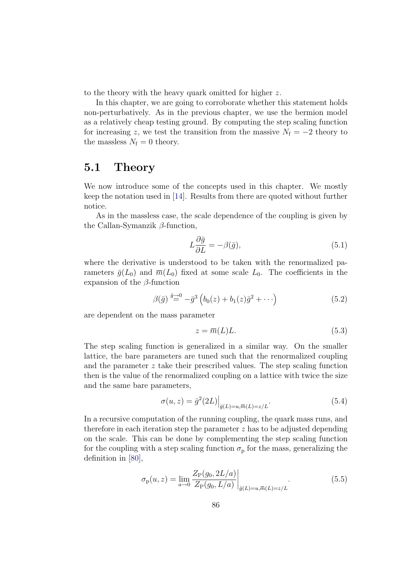to the theory with the heavy quark omitted for higher z.

In this chapter, we are going to corroborate whether this statement holds non-perturbatively. As in the previous chapter, we use the bermion model as a relatively cheap testing ground. By computing the step scaling function for increasing z, we test the transition from the massive  $N_f = -2$  theory to the massless  $N_f = 0$  theory.

### 5.1 Theory

We now introduce some of the concepts used in this chapter. We mostly keep the notation used in [\[14\]](#page-113-0). Results from there are quoted without further notice.

As in the massless case, the scale dependence of the coupling is given by the Callan-Symanzik  $\beta$ -function,

$$
L\frac{\partial \bar{g}}{\partial L} = -\beta(\bar{g}),\tag{5.1}
$$

where the derivative is understood to be taken with the renormalized parameters  $\bar{g}(L_0)$  and  $\bar{m}(L_0)$  fixed at some scale  $L_0$ . The coefficients in the expansion of the  $\beta$ -function

$$
\beta(\bar{g}) \stackrel{\bar{g}\to 0}{=} -\bar{g}^3 \left( b_0(z) + b_1(z)\bar{g}^2 + \cdots \right) \tag{5.2}
$$

are dependent on the mass parameter

$$
z = \overline{m}(L)L.
$$
\n<sup>(5.3)</sup>

The step scaling function is generalized in a similar way. On the smaller lattice, the bare parameters are tuned such that the renormalized coupling and the parameter  $z$  take their prescribed values. The step scaling function then is the value of the renormalized coupling on a lattice with twice the size and the same bare parameters,

$$
\sigma(u,z) = \bar{g}^2(2L)\Big|_{\bar{g}(L)=u,\bar{m}(L)=z/L}.\tag{5.4}
$$

In a recursive computation of the running coupling, the quark mass runs, and therefore in each iteration step the parameter z has to be adjusted depending on the scale. This can be done by complementing the step scaling function for the coupling with a step scaling function  $\sigma_{\rm p}$  for the mass, generalizing the definition in [\[80\]](#page-118-2),

$$
\sigma_{\mathbf{p}}(u,z) = \lim_{a \to 0} \frac{Z_{\mathbf{P}}(g_0, 2L/a)}{Z_{\mathbf{P}}(g_0, L/a)} \bigg|_{\bar{g}(L) = u, \bar{m}(L) = z/L}.
$$
\n(5.5)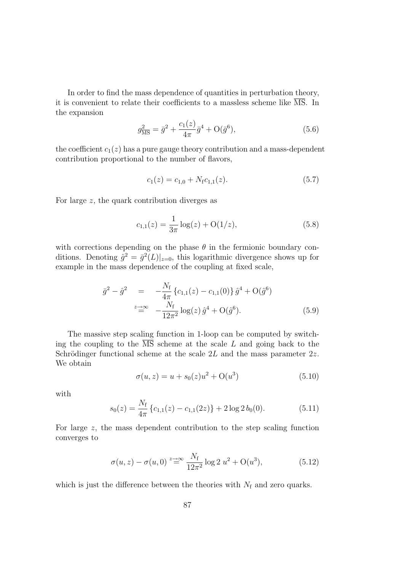In order to find the mass dependence of quantities in perturbation theory, it is convenient to relate their coefficients to a massless scheme like MS. In the expansion

$$
g_{\overline{\rm MS}}^2 = \bar{g}^2 + \frac{c_1(z)}{4\pi} \bar{g}^4 + \mathcal{O}(\bar{g}^6),\tag{5.6}
$$

the coefficient  $c_1(z)$  has a pure gauge theory contribution and a mass-dependent contribution proportional to the number of flavors,

$$
c_1(z) = c_{1,0} + N_{\rm f}c_{1,1}(z). \tag{5.7}
$$

For large z, the quark contribution diverges as

$$
c_{1,1}(z) = \frac{1}{3\pi} \log(z) + \mathcal{O}(1/z),\tag{5.8}
$$

with corrections depending on the phase  $\theta$  in the fermionic boundary conditions. Denoting  $\hat{g}^2 = \bar{g}^2(L)|_{z=0}$ , this logarithmic divergence shows up for example in the mass dependence of the coupling at fixed scale,

$$
\bar{g}^2 - \hat{g}^2 = -\frac{N_f}{4\pi} \{c_{1,1}(z) - c_{1,1}(0)\} \hat{g}^4 + O(\hat{g}^6)
$$
  

$$
\stackrel{z \to \infty}{=} -\frac{N_f}{12\pi^2} \log(z) \hat{g}^4 + O(\hat{g}^6). \tag{5.9}
$$

The massive step scaling function in 1-loop can be computed by switching the coupling to the  $\overline{\text{MS}}$  scheme at the scale L and going back to the Schrödinger functional scheme at the scale  $2L$  and the mass parameter  $2z$ . We obtain

$$
\sigma(u, z) = u + s_0(z)u^2 + O(u^3)
$$
\n(5.10)

with

$$
s_0(z) = \frac{N_f}{4\pi} \left\{ c_{1,1}(z) - c_{1,1}(2z) \right\} + 2 \log 2 b_0(0). \tag{5.11}
$$

For large z, the mass dependent contribution to the step scaling function converges to

$$
\sigma(u, z) - \sigma(u, 0) \stackrel{z \to \infty}{=} \frac{N_f}{12\pi^2} \log 2 u^2 + O(u^3), \tag{5.12}
$$

which is just the difference between the theories with  $N_f$  and zero quarks.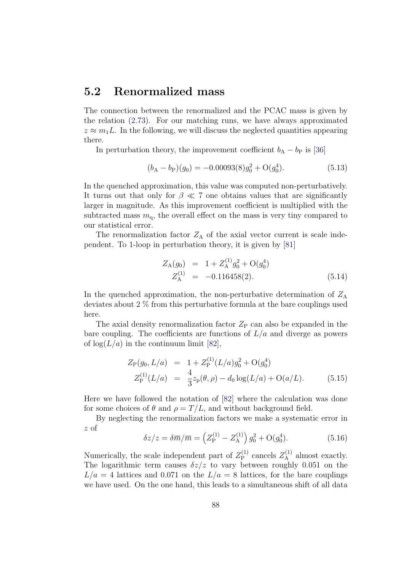### 5.2 Renormalized mass

The connection between the renormalized and the PCAC mass is given by the relation [\(2.73\)](#page-31-1). For our matching runs, we have always approximated  $z \approx m_1 L$ . In the following, we will discuss the neglected quantities appearing there.

In perturbation theory, the improvement coefficient  $b_A - b_P$  is [\[36\]](#page-114-1)

$$
(b_A - b_P)(g_0) = -0.00093(8)g_0^2 + O(g_0^4). \tag{5.13}
$$

In the quenched approximation, this value was computed non-perturbatively. It turns out that only for  $\beta \ll 7$  one obtains values that are significantly larger in magnitude. As this improvement coefficient is multiplied with the subtracted mass  $m_q$ , the overall effect on the mass is very tiny compared to our statistical error.

The renormalization factor  $Z_A$  of the axial vector current is scale independent. To 1-loop in perturbation theory, it is given by [\[81\]](#page-118-3)

$$
Z_{A}(g_{0}) = 1 + Z_{A}^{(1)}g_{0}^{2} + O(g_{0}^{4})
$$
  
\n
$$
Z_{A}^{(1)} = -0.116458(2).
$$
\n(5.14)

In the quenched approximation, the non-perturbative determination of  $Z_A$ deviates about 2 % from this perturbative formula at the bare couplings used here.

The axial density renormalization factor  $Z_{\rm P}$  can also be expanded in the bare coupling. The coefficients are functions of  $L/a$  and diverge as powers of  $\log(L/a)$  in the continuum limit [\[82\]](#page-118-4),

$$
Z_{\rm P}(g_0, L/a) = 1 + Z_{\rm P}^{(1)}(L/a)g_0^2 + O(g_0^4)
$$
  
\n
$$
Z_{\rm P}^{(1)}(L/a) = \frac{4}{3}z_{\rm P}(\theta, \rho) - d_0 \log(L/a) + O(a/L). \tag{5.15}
$$

Here we have followed the notation of [\[82\]](#page-118-4) where the calculation was done for some choices of  $\theta$  and  $\rho = T/L$ , and without background field.

By neglecting the renormalization factors we make a systematic error in z of

$$
\delta z/z = \delta \overline{m}/\overline{m} = \left( Z_{\mathcal{P}}^{(1)} - Z_{\mathcal{A}}^{(1)} \right) g_0^2 + \mathcal{O}(g_0^4). \tag{5.16}
$$

Numerically, the scale independent part of  $Z_{\rm P}^{(1)}$  $Z_{\rm A}^{(1)}$  cancels  $Z_{\rm A}^{(1)}$  almost exactly. The logarithmic term causes  $\delta z/z$  to vary between roughly 0.051 on the  $L/a = 4$  lattices and 0.071 on the  $L/a = 8$  lattices, for the bare couplings we have used. On the one hand, this leads to a simultaneous shift of all data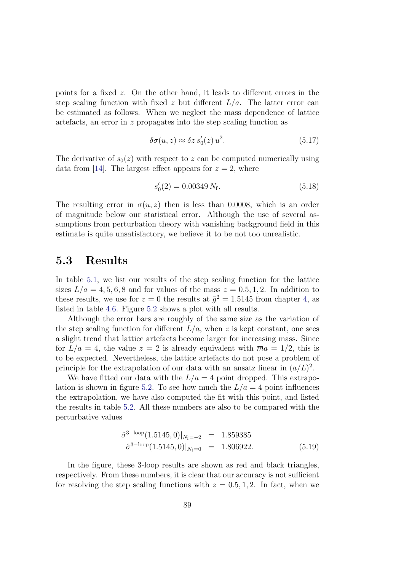points for a fixed z. On the other hand, it leads to different errors in the step scaling function with fixed z but different  $L/a$ . The latter error can be estimated as follows. When we neglect the mass dependence of lattice artefacts, an error in z propagates into the step scaling function as

$$
\delta\sigma(u,z) \approx \delta z \, s_0'(z) \, u^2. \tag{5.17}
$$

The derivative of  $s_0(z)$  with respect to z can be computed numerically using data from [\[14\]](#page-113-0). The largest effect appears for  $z = 2$ , where

$$
s_0'(2) = 0.00349 N_f. \t\t(5.18)
$$

The resulting error in  $\sigma(u, z)$  then is less than 0.0008, which is an order of magnitude below our statistical error. Although the use of several assumptions from perturbation theory with vanishing background field in this estimate is quite unsatisfactory, we believe it to be not too unrealistic.

#### 5.3 Results

In table [5.1,](#page-97-0) we list our results of the step scaling function for the lattice sizes  $L/a = 4, 5, 6, 8$  and for values of the mass  $z = 0.5, 1, 2$ . In addition to these results, we use for  $z = 0$  the results at  $\bar{g}^2 = 1.5145$  from chapter [4,](#page-62-0) as listed in table [4.6.](#page-81-1) Figure [5.2](#page-98-0) shows a plot with all results.

Although the error bars are roughly of the same size as the variation of the step scaling function for different  $L/a$ , when z is kept constant, one sees a slight trend that lattice artefacts become larger for increasing mass. Since for  $L/a = 4$ , the value  $z = 2$  is already equivalent with  $\overline{m}a = 1/2$ , this is to be expected. Nevertheless, the lattice artefacts do not pose a problem of principle for the extrapolation of our data with an ansatz linear in  $(a/L)^2$ .

We have fitted our data with the  $L/a = 4$  point dropped. This extrapo-lation is shown in figure [5.2.](#page-98-0) To see how much the  $L/a = 4$  point influences the extrapolation, we have also computed the fit with this point, and listed the results in table [5.2.](#page-97-1) All these numbers are also to be compared with the perturbative values

$$
\hat{\sigma}^{\text{3-loop}}(1.5145,0)|_{N_f=-2} = 1.859385
$$
  

$$
\hat{\sigma}^{\text{3-loop}}(1.5145,0)|_{N_f=0} = 1.806922.
$$
 (5.19)

In the figure, these 3-loop results are shown as red and black triangles, respectively. From these numbers, it is clear that our accuracy is not sufficient for resolving the step scaling functions with  $z = 0.5, 1, 2$ . In fact, when we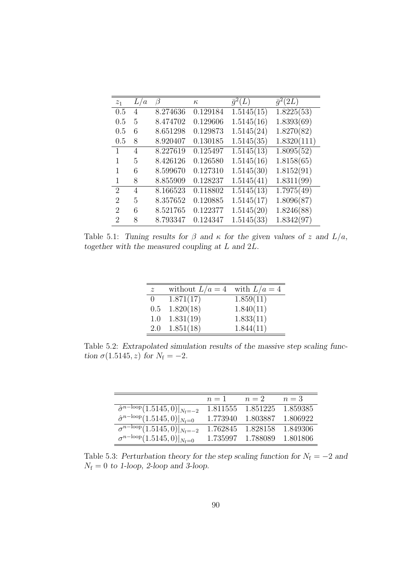| $z_1$                       | L/a | β        | $\kappa$ | $\bar{q}^2(L)$ | $\overline{q}^2(2L)$ |
|-----------------------------|-----|----------|----------|----------------|----------------------|
| 0.5                         | 4   | 8.274636 | 0.129184 | 1.5145(15)     | 1.8225(53)           |
| 0.5                         | 5   | 8.474702 | 0.129606 | 1.5145(16)     | 1.8393(69)           |
| 0.5                         | 6   | 8.651298 | 0.129873 | 1.5145(24)     | 1.8270(82)           |
| 0.5                         | 8   | 8.920407 | 0.130185 | 1.5145(35)     | 1.8320(111)          |
| 1                           | 4   | 8.227619 | 0.125497 | 1.5145(13)     | 1.8095(52)           |
|                             | 5   | 8.426126 | 0.126580 | 1.5145(16)     | 1.8158(65)           |
| 1                           | 6   | 8.599670 | 0.127310 | 1.5145(30)     | 1.8152(91)           |
| 1                           | 8   | 8.855909 | 0.128237 | 1.5145(41)     | 1.8311(99)           |
| $\mathfrak{D}$              | 4   | 8.166523 | 0.118802 | 1.5145(13)     | 1.7975(49)           |
| $\mathcal{D}_{\mathcal{A}}$ | 5   | 8.357652 | 0.120885 | 1.5145(17)     | 1.8096(87)           |
| 2                           | 6   | 8.521765 | 0.122377 | 1.5145(20)     | 1.8246(88)           |
| $\mathcal{D}_{\mathcal{L}}$ | 8   | 8.793347 | 0.124347 | 1.5145(33)     | 1.8342(97)           |

<span id="page-97-0"></span>Table 5.1: Tuning results for  $\beta$  and  $\kappa$  for the given values of z and  $L/a$ , together with the measured coupling at L and 2L.

| $\overline{z}$ | without $L/a = 4$ with $L/a = 4$ |           |
|----------------|----------------------------------|-----------|
| 0              | 1.871(17)                        | 1.859(11) |
| 0.5            | 1.820(18)                        | 1.840(11) |
|                | $1.0 \quad 1.831(19)$            | 1.833(11) |
|                | $2.0 \quad 1.851(18)$            | 1.844(11) |

<span id="page-97-1"></span>Table 5.2: Extrapolated simulation results of the massive step scaling function  $\sigma(1.5145, z)$  for  $N_f = -2$ .

|                                                                  | $n=1$    | $n=2$    | $n=3$     |
|------------------------------------------------------------------|----------|----------|-----------|
| $\overline{\hat{\sigma}^{n-\rm loop}}(1.5145,0) _{N_{\rm f}=-2}$ | 1.811555 | 1.851225 | 1.859385  |
| $\hat{\sigma}^{n-\rm loop}(1.5145,0) _{N_{\rm f}=0}$             | 1.773940 | 1.803887 | 1.806922  |
| $\overline{\sigma^{n-\rm loop}(1.5145,0)} _{N_{\rm f}=-2}$       | 1.762845 | 1.828158 | -1.849306 |
| $\sigma^{n-\text{loop}}(1.5145,0) _{N_{\text{f}}=0}$             | 1.735997 | 1.788089 | 1.801806  |

<span id="page-97-2"></span>Table 5.3: Perturbation theory for the step scaling function for  $N_f = -2$  and  $N_{\rm f}=0$  to 1-loop, 2-loop and 3-loop.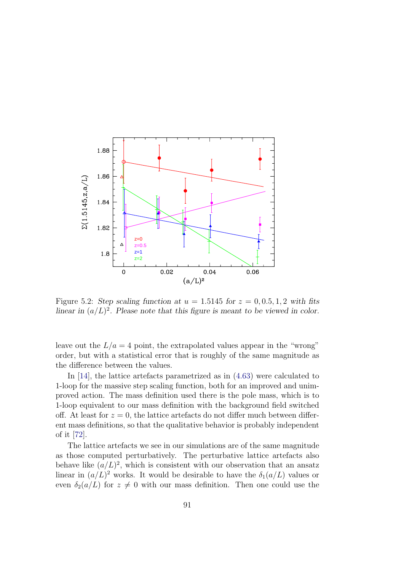

<span id="page-98-0"></span>Figure 5.2: Step scaling function at  $u = 1.5145$  for  $z = 0, 0.5, 1, 2$  with fits linear in  $(a/L)^2$ . Please note that this figure is meant to be viewed in color.

leave out the  $L/a = 4$  point, the extrapolated values appear in the "wrong" order, but with a statistical error that is roughly of the same magnitude as the difference between the values.

In [\[14\]](#page-113-0), the lattice artefacts parametrized as in [\(4.63\)](#page-86-0) were calculated to 1-loop for the massive step scaling function, both for an improved and unimproved action. The mass definition used there is the pole mass, which is to 1-loop equivalent to our mass definition with the background field switched off. At least for  $z = 0$ , the lattice artefacts do not differmuch between different mass definitions, so that the qualitative behavior is probably independent of it [\[72\]](#page-117-1).

The lattice artefacts we see in our simulations are of the same magnitude as those computed perturbatively. The perturbative lattice artefacts also behave like  $(a/L)^2$ , which is consistent with our observation that an ansatz linear in  $(a/L)^2$  works. It would be desirable to have the  $\delta_1(a/L)$  values or even  $\delta_2(a/L)$  for  $z \neq 0$  with our mass definition. Then one could use the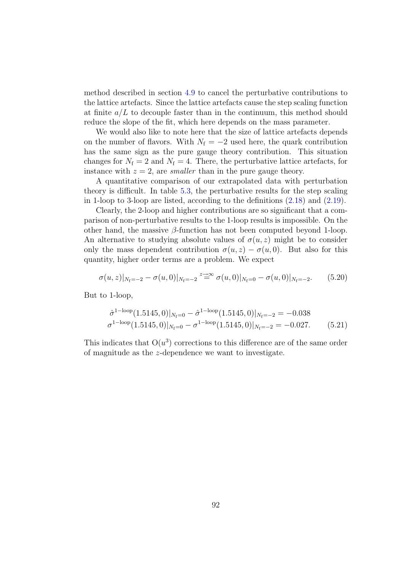method described in section [4.9](#page-85-0) to cancel the perturbative contributions to the lattice artefacts. Since the lattice artefacts cause the step scaling function at finite  $a/L$  to decouple faster than in the continuum, this method should reduce the slope of the fit, which here depends on the mass parameter.

We would also like to note here that the size of lattice artefacts depends on the number of flavors. With  $N_f = -2$  used here, the quark contribution has the same sign as the pure gauge theory contribution. This situation changes for  $N_f = 2$  and  $N_f = 4$ . There, the perturbative lattice artefacts, for instance with  $z = 2$ , are *smaller* than in the pure gauge theory.

A quantitative comparison of our extrapolated data with perturbation theory is difficult. In table [5.3,](#page-97-2) the perturbative results for the step scaling in 1-loop to 3-loop are listed, according to the definitions [\(2.18\)](#page-20-0) and [\(2.19\)](#page-20-1).

Clearly, the 2-loop and higher contributions are so significant that a comparison of non-perturbative results to the 1-loop results is impossible. On the other hand, the massive  $\beta$ -function has not been computed beyond 1-loop. An alternative to studying absolute values of  $\sigma(u, z)$  might be to consider only the mass dependent contribution  $\sigma(u, z) - \sigma(u, 0)$ . But also for this quantity, higher order terms are a problem. We expect

$$
\sigma(u, z)|_{N_f=-2} - \sigma(u, 0)|_{N_f=-2} \stackrel{z \to \infty}{=} \sigma(u, 0)|_{N_f=0} - \sigma(u, 0)|_{N_f=-2}.\tag{5.20}
$$

But to 1-loop,

$$
\hat{\sigma}^{1-\text{loop}}(1.5145,0)|_{N_{\text{f}}=0} - \hat{\sigma}^{1-\text{loop}}(1.5145,0)|_{N_{\text{f}}=-2} = -0.038
$$
  

$$
\sigma^{1-\text{loop}}(1.5145,0)|_{N_{\text{f}}=0} - \sigma^{1-\text{loop}}(1.5145,0)|_{N_{\text{f}}=-2} = -0.027.
$$
 (5.21)

This indicates that  $O(u^3)$  corrections to this difference are of the same order of magnitude as the z-dependence we want to investigate.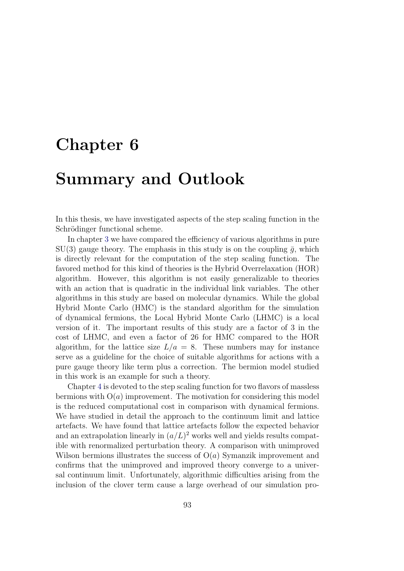# Chapter 6

# Summary and Outlook

In this thesis, we have investigated aspects of the step scaling function in the Schrödinger functional scheme.

In chapter [3](#page-32-0) we have compared the efficiency of various algorithms in pure  $SU(3)$  gauge theory. The emphasis in this study is on the coupling  $\bar{q}$ , which is directly relevant for the computation of the step scaling function. The favored method for this kind of theories is the Hybrid Overrelaxation (HOR) algorithm. However, this algorithm is not easily generalizable to theories with an action that is quadratic in the individual link variables. The other algorithms in this study are based on molecular dynamics. While the global Hybrid Monte Carlo (HMC) is the standard algorithm for the simulation of dynamical fermions, the Local Hybrid Monte Carlo (LHMC) is a local version of it. The important results of this study are a factor of 3 in the cost of LHMC, and even a factor of 26 for HMC compared to the HOR algorithm, for the lattice size  $L/a = 8$ . These numbers may for instance serve as a guideline for the choice of suitable algorithms for actions with a pure gauge theory like term plus a correction. The bermion model studied in this work is an example for such a theory.

Chapter [4](#page-62-0) is devoted to the step scaling function for two flavors of massless bermions with  $O(a)$  improvement. The motivation for considering this model is the reduced computational cost in comparison with dynamical fermions. We have studied in detail the approach to the continuum limit and lattice artefacts. We have found that lattice artefacts follow the expected behavior and an extrapolation linearly in  $(a/L)^2$  works well and yields results compatible with renormalized perturbation theory. A comparison with unimproved Wilson bermions illustrates the success of  $O(a)$  Symanzik improvement and confirms that the unimproved and improved theory converge to a universal continuum limit. Unfortunately, algorithmic difficulties arising from the inclusion of the clover term cause a large overhead of our simulation pro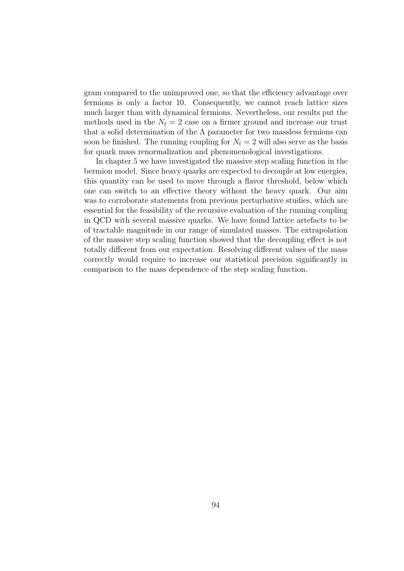gram compared to the unimproved one, so that the efficiency advantage over fermions is only a factor 10. Consequently, we cannot reach lattice sizes much larger than with dynamical fermions. Nevertheless, our results put the methods used in the  $N_f = 2$  case on a firmer ground and increase our trust that a solid determination of the  $\Lambda$  parameter for two massless fermions can soon be finished. The running coupling for  $N_f = 2$  will also serve as the basis for quark mass renormalization and phenomenological investigations.

In chapter [5](#page-90-0) we have investigated the massive step scaling function in the bermion model. Since heavy quarks are expected to decouple at low energies, this quantity can be used to move through a flavor threshold, below which one can switch to an effective theory without the heavy quark. Our aim was to corroborate statements from previous perturbative studies, which are essential for the feasibility of the recursive evaluation of the running coupling in QCD with several massive quarks. We have found lattice artefacts to be of tractable magnitude in our range of simulated masses. The extrapolation of the massive step scaling function showed that the decoupling effect is not totally different from our expectation. Resolving different values of the mass correctly would require to increase our statistical precision significantly in comparison to the mass dependence of the step scaling function.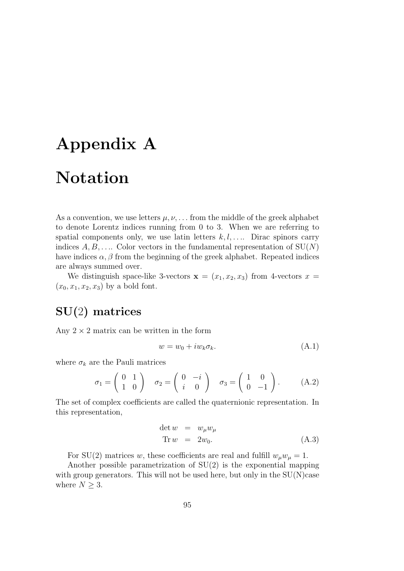# Appendix A

# Notation

As a convention, we use letters  $\mu, \nu, \ldots$  from the middle of the greek alphabet to denote Lorentz indices running from 0 to 3. When we are referring to spatial components only, we use latin letters  $k, l, \ldots$  Dirac spinors carry indices  $A, B, \ldots$ . Color vectors in the fundamental representation of  $SU(N)$ have indices  $\alpha, \beta$  from the beginning of the greek alphabet. Repeated indices are always summed over.

We distinguish space-like 3-vectors  $\mathbf{x} = (x_1, x_2, x_3)$  from 4-vectors  $x =$  $(x_0, x_1, x_2, x_3)$  by a bold font.

# SU(2) matrices

Any  $2 \times 2$  matrix can be written in the form

$$
w = w_0 + i w_k \sigma_k. \tag{A.1}
$$

where  $\sigma_k$  are the Pauli matrices

$$
\sigma_1 = \begin{pmatrix} 0 & 1 \\ 1 & 0 \end{pmatrix} \quad \sigma_2 = \begin{pmatrix} 0 & -i \\ i & 0 \end{pmatrix} \quad \sigma_3 = \begin{pmatrix} 1 & 0 \\ 0 & -1 \end{pmatrix}.
$$
 (A.2)

The set of complex coefficients are called the quaternionic representation. In this representation,

$$
\det w = w_{\mu} w_{\mu}
$$
  
Tr  $w = 2w_0$ . (A.3)

For SU(2) matrices w, these coefficients are real and fulfill  $w_\mu w_\mu = 1$ .

Another possible parametrization of SU(2) is the exponential mapping with group generators. This will not be used here, but only in the  $SU(N)$  case where  $N \geq 3$ .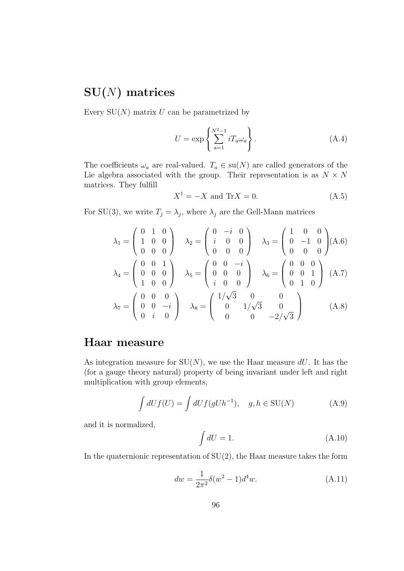## $SU(N)$  matrices

Every  $SU(N)$  matrix U can be parametrized by

$$
U = \exp\left\{\sum_{a=1}^{N^2 - 1} iT_a \omega_a\right\}.
$$
 (A.4)

The coefficients  $\omega_a$  are real-valued.  $T_a \in \text{su}(N)$  are called generators of the Lie algebra associated with the group. Their representation is as  $N \times N$ matrices. They fulfill

$$
X^{\dagger} = -X \text{ and } \text{Tr}X = 0. \tag{A.5}
$$

For SU(3), we write  $T_j = \lambda_j$ , where  $\lambda_j$  are the Gell-Mann matrices

$$
\lambda_1 = \begin{pmatrix} 0 & 1 & 0 \\ 1 & 0 & 0 \\ 0 & 0 & 0 \end{pmatrix} \quad \lambda_2 = \begin{pmatrix} 0 & -i & 0 \\ i & 0 & 0 \\ 0 & 0 & 0 \end{pmatrix} \quad \lambda_3 = \begin{pmatrix} 1 & 0 & 0 \\ 0 & -1 & 0 \\ 0 & 0 & 0 \end{pmatrix} (A.6)
$$

$$
\lambda_4 = \begin{pmatrix} 0 & 0 & 1 \\ 0 & 0 & 0 \\ 1 & 0 & 0 \end{pmatrix} \quad \lambda_5 = \begin{pmatrix} 0 & 0 & -i \\ 0 & 0 & 0 \\ i & 0 & 0 \end{pmatrix} \quad \lambda_6 = \begin{pmatrix} 0 & 0 & 0 \\ 0 & 0 & 1 \\ 0 & 1 & 0 \end{pmatrix} (A.7)
$$

$$
\lambda_7 = \begin{pmatrix} 0 & 0 & 0 \\ 0 & 0 & -i \\ 0 & i & 0 \end{pmatrix} \quad \lambda_8 = \begin{pmatrix} 1/\sqrt{3} & 0 & 0 \\ 0 & 1/\sqrt{3} & 0 \\ 0 & 0 & -2/\sqrt{3} \end{pmatrix} \quad (A.8)
$$

### Haar measure

As integration measure for  $SU(N)$ , we use the Haar measure dU. It has the (for a gauge theory natural) property of being invariant under left and right multiplication with group elements,

$$
\int dU f(U) = \int dU f(gUh^{-1}), \quad g, h \in SU(N)
$$
\n(A.9)

and it is normalized,

$$
\int dU = 1. \tag{A.10}
$$

In the quaternionic representation of  $SU(2)$ , the Haar measure takes the form

$$
dw = \frac{1}{2\pi^2} \delta(w^2 - 1) d^4 w.
$$
 (A.11)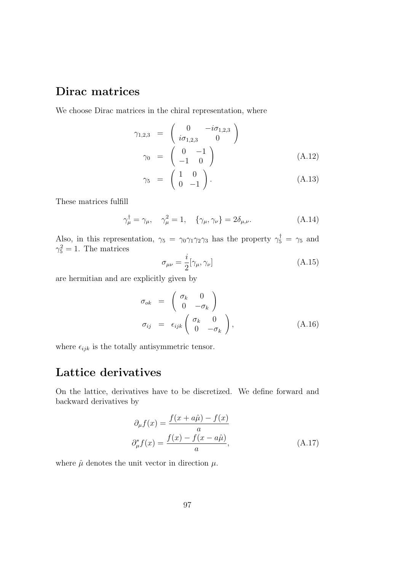## Dirac matrices

We choose Dirac matrices in the chiral representation, where

$$
\gamma_{1,2,3} = \begin{pmatrix} 0 & -i\sigma_{1,2,3} \\ i\sigma_{1,2,3} & 0 \end{pmatrix}
$$
  
\n
$$
\gamma_0 = \begin{pmatrix} 0 & -1 \\ -1 & 0 \end{pmatrix}
$$
 (A.12)

$$
\gamma_5 = \begin{pmatrix} 1 & 0 \\ 0 & -1 \end{pmatrix} . \tag{A.13}
$$

These matrices fulfill

$$
\gamma_{\mu}^{\dagger} = \gamma_{\mu}, \quad \gamma_{\mu}^{2} = 1, \quad \{\gamma_{\mu}, \gamma_{\nu}\} = 2\delta_{\mu, \nu}.
$$
\n(A.14)

Also, in this representation,  $\gamma_5 = \gamma_0 \gamma_1 \gamma_2 \gamma_3$  has the property  $\gamma_5^{\dagger} = \gamma_5$  and  $\gamma_5^2 = 1$ . The matrices i

$$
\sigma_{\mu\nu} = \frac{i}{2} [\gamma_{\mu}, \gamma_{\nu}] \tag{A.15}
$$

are hermitian and are explicitly given by

$$
\sigma_{ok} = \begin{pmatrix} \sigma_k & 0 \\ 0 & -\sigma_k \end{pmatrix}
$$
  
\n
$$
\sigma_{ij} = \epsilon_{ijk} \begin{pmatrix} \sigma_k & 0 \\ 0 & -\sigma_k \end{pmatrix},
$$
 (A.16)

where  $\epsilon_{ijk}$  is the totally antisymmetric tensor.

## Lattice derivatives

On the lattice, derivatives have to be discretized. We define forward and backward derivatives by

$$
\partial_{\mu}f(x) = \frac{f(x+a\hat{\mu}) - f(x)}{a}
$$

$$
\partial_{\mu}^{*}f(x) = \frac{f(x) - f(x-a\hat{\mu})}{a},
$$
(A.17)

where  $\hat{\mu}$  denotes the unit vector in direction  $\mu$ .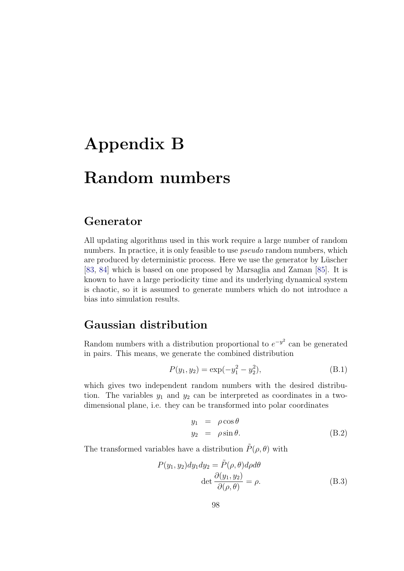# Appendix B Random numbers

### Generator

All updating algorithms used in this work require a large number of random numbers. In practice, it is only feasible to use *pseudo* random numbers, which are produced by deterministic process. Here we use the generator by Lüscher [\[83,](#page-118-5) [84\]](#page-118-6) which is based on one proposed by Marsaglia and Zaman [\[85\]](#page-118-7). It is known to have a large periodicity time and its underlying dynamical system is chaotic, so it is assumed to generate numbers which do not introduce a bias into simulation results.

## Gaussian distribution

Random numbers with a distribution proportional to  $e^{-y^2}$  can be generated in pairs. This means, we generate the combined distribution

$$
P(y_1, y_2) = \exp(-y_1^2 - y_2^2),
$$
 (B.1)

which gives two independent random numbers with the desired distribution. The variables  $y_1$  and  $y_2$  can be interpreted as coordinates in a twodimensional plane, i.e. they can be transformed into polar coordinates

$$
y_1 = \rho \cos \theta
$$
  
\n
$$
y_2 = \rho \sin \theta.
$$
 (B.2)

The transformed variables have a distribution  $\tilde{P}(\rho, \theta)$  with

$$
P(y_1, y_2)dy_1dy_2 = \tilde{P}(\rho, \theta)d\rho d\theta
$$
  
det  $\frac{\partial(y_1, y_2)}{\partial(\rho, \theta)} = \rho$ . (B.3)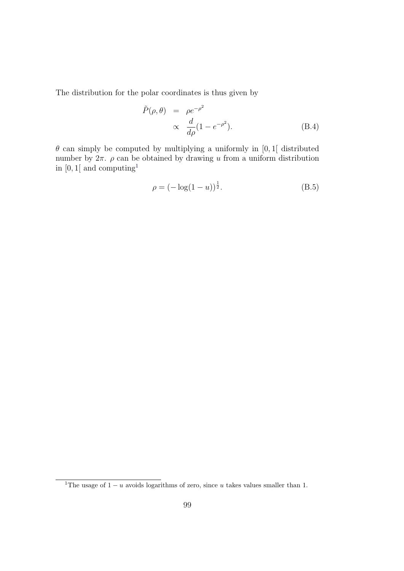The distribution for the polar coordinates is thus given by

$$
\tilde{P}(\rho,\theta) = \rho e^{-\rho^2} \n\propto \frac{d}{d\rho}(1 - e^{-\rho^2}).
$$
\n(B.4)

 $\theta$  can simply be computed by multiplying a uniformly in [0, 1] distributed number by  $2\pi$ .  $\rho$  can be obtained by drawing u from a uniform distribution in  $[0, 1]$  $[0, 1]$  $[0, 1]$  and computing<sup>1</sup>

$$
\rho = (-\log(1 - u))^{\frac{1}{2}}.\tag{B.5}
$$

<span id="page-106-0"></span><sup>&</sup>lt;sup>1</sup>The usage of  $1 - u$  avoids logarithms of zero, since u takes values smaller than 1.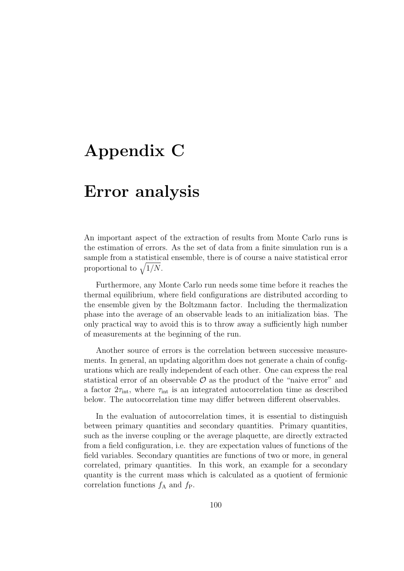# <span id="page-107-0"></span>Appendix C

# Error analysis

An important aspect of the extraction of results from Monte Carlo runs is the estimation of errors. As the set of data from a finite simulation run is a sample from a statistical ensemble, there is of course a naive statistical error proportional to  $\sqrt{1/N}$ .

Furthermore, any Monte Carlo run needs some time before it reaches the thermal equilibrium, where field configurations are distributed according to the ensemble given by the Boltzmann factor. Including the thermalization phase into the average of an observable leads to an initialization bias. The only practical way to avoid this is to throw away a sufficiently high number of measurements at the beginning of the run.

Another source of errors is the correlation between successive measurements. In general, an updating algorithm does not generate a chain of configurations which are really independent of each other. One can express the real statistical error of an observable  $\mathcal O$  as the product of the "naive error" and a factor  $2\tau_{\text{int}}$ , where  $\tau_{\text{int}}$  is an integrated autocorrelation time as described below. The autocorrelation time may differ between different observables.

In the evaluation of autocorrelation times, it is essential to distinguish between primary quantities and secondary quantities. Primary quantities, such as the inverse coupling or the average plaquette, are directly extracted from a field configuration, i.e. they are expectation values of functions of the field variables. Secondary quantities are functions of two or more, in general correlated, primary quantities. In this work, an example for a secondary quantity is the current mass which is calculated as a quotient of fermionic correlation functions  $f_A$  and  $f_P$ .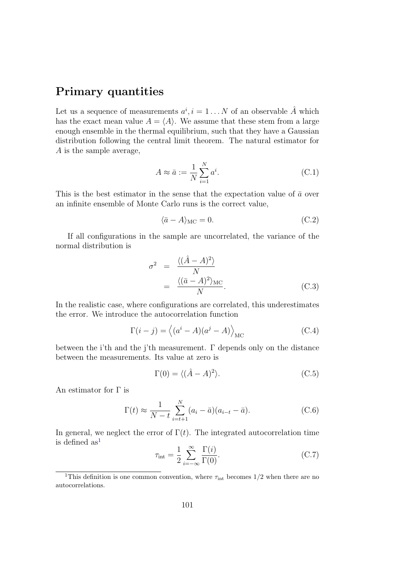#### Primary quantities

Let us a sequence of measurements  $a^i, i = 1 \dots N$  of an observable  $\hat{A}$  which has the exact mean value  $A = \langle A \rangle$ . We assume that these stem from a large enough ensemble in the thermal equilibrium, such that they have a Gaussian distribution following the central limit theorem. The natural estimator for A is the sample average,

$$
A \approx \bar{a} := \frac{1}{N} \sum_{i=1}^{N} a^i.
$$
 (C.1)

This is the best estimator in the sense that the expectation value of  $\bar{a}$  over an infinite ensemble of Monte Carlo runs is the correct value,

<span id="page-108-2"></span>
$$
\langle \bar{a} - A \rangle_{\text{MC}} = 0. \tag{C.2}
$$

If all configurations in the sample are uncorrelated, the variance of the normal distribution is

<span id="page-108-1"></span>
$$
\sigma^2 = \frac{\langle (\hat{A} - A)^2 \rangle}{N}
$$
  
= 
$$
\frac{\langle (\bar{a} - A)^2 \rangle_{\text{MC}}}{N}.
$$
 (C.3)

In the realistic case, where configurations are correlated, this underestimates the error. We introduce the autocorrelation function

$$
\Gamma(i-j) = \langle (a^i - A)(a^j - A) \rangle_{\text{MC}}
$$
\n(C.4)

between the i'th and the j'th measurement. Γ depends only on the distance between the measurements. Its value at zero is

$$
\Gamma(0) = \langle (\hat{A} - A)^2 \rangle.
$$
 (C.5)

An estimator for Γ is

<span id="page-108-3"></span>
$$
\Gamma(t) \approx \frac{1}{N - t} \sum_{i=t+1}^{N} (a_i - \bar{a})(a_{i-t} - \bar{a}).
$$
 (C.6)

In general, we neglect the error of  $\Gamma(t)$ . The integrated autocorrelation time is defined  $as<sup>1</sup>$  $as<sup>1</sup>$  $as<sup>1</sup>$ 

$$
\tau_{\text{int}} = \frac{1}{2} \sum_{i = -\infty}^{\infty} \frac{\Gamma(i)}{\Gamma(0)}.
$$
 (C.7)

<span id="page-108-0"></span><sup>&</sup>lt;sup>1</sup>This definition is one common convention, where  $\tau_{\text{int}}$  becomes 1/2 when there are no autocorrelations.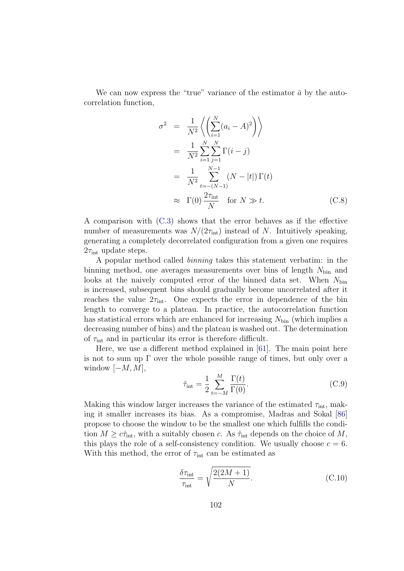We can now express the "true" variance of the estimator  $\bar{a}$  by the autocorrelation function,

$$
\sigma^2 = \frac{1}{N^2} \left\langle \left( \sum_{i=1}^N (a_i - A)^2 \right) \right\rangle
$$
  
\n
$$
= \frac{1}{N^2} \sum_{i=1}^N \sum_{j=1}^N \Gamma(i - j)
$$
  
\n
$$
= \frac{1}{N^2} \sum_{t=-(N-1)}^{N-1} (N - |t|) \Gamma(t)
$$
  
\n
$$
\approx \Gamma(0) \frac{2\tau_{\text{int}}}{N} \quad \text{for } N \gg t. \tag{C.8}
$$

A comparison with [\(C.3\)](#page-108-1) shows that the error behaves as if the effective number of measurements was  $N/(2\tau_{\rm int})$  instead of N. Intuitively speaking, generating a completely decorrelated configuration from a given one requires  $2\tau_{\text{int}}$  update steps.

A popular method called binning takes this statement verbatim: in the binning method, one averages measurements over bins of length  $N_{\text{bin}}$  and looks at the naively computed error of the binned data set. When  $N_{\text{bin}}$ is increased, subsequent bins should gradually become uncorrelated after it reaches the value  $2\tau_{\text{int}}$ . One expects the error in dependence of the bin length to converge to a plateau. In practice, the autocorrelation function has statistical errors which are enhanced for increasing  $N_{\text{bin}}$  (which implies a decreasing number of bins) and the plateau is washed out. The determination of  $\tau_{\text{int}}$  and in particular its error is therefore difficult.

Here, we use a different method explained in [\[61\]](#page-116-0). The main point here is not to sum up Γ over the whole possible range of times, but only over a window  $[-M, M]$ ,

$$
\hat{\tau}_{\text{int}} = \frac{1}{2} \sum_{t=-M}^{M} \frac{\Gamma(t)}{\Gamma(0)}.
$$
\n(C.9)

Making this window larger increases the variance of the estimated  $\tau_{\text{int}}$ , making it smaller increases its bias. As a compromise, Madras and Sokal [\[86\]](#page-118-0) propose to choose the window to be the smallest one which fulfills the condition  $M \geq c\hat{\tau}_{\text{int}}$ , with a suitably chosen c. As  $\hat{\tau}_{\text{int}}$  depends on the choice of M, this plays the role of a self-consistency condition. We usually choose  $c = 6$ . With this method, the error of  $\tau_{\text{int}}$  can be estimated as

$$
\frac{\delta \tau_{\text{int}}}{\tau_{\text{int}}} = \sqrt{\frac{2(2M+1)}{N}}.
$$
\n(C.10)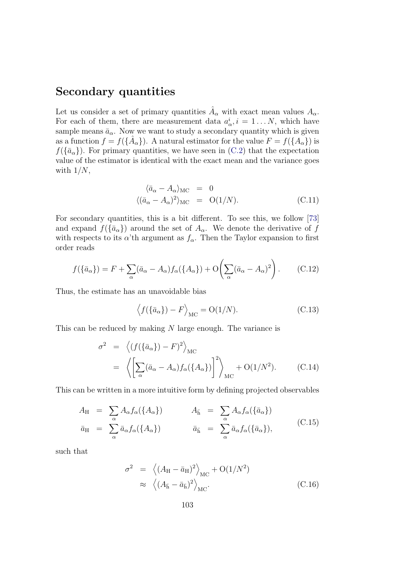#### Secondary quantities

Let us consider a set of primary quantities  $\hat{A}_{\alpha}$  with exact mean values  $A_{\alpha}$ . For each of them, there are measurement data  $a^i_\alpha$ ,  $i = 1...N$ , which have sample means  $\bar{a}_{\alpha}$ . Now we want to study a secondary quantity which is given as a function  $f = f(\{\hat{A}_{\alpha}\})$ . A natural estimator for the value  $F = f(\{A_{\alpha}\})$  is  $f({\bar a_{\alpha}})$ . For primary quantities, we have seen in [\(C.2\)](#page-108-2) that the expectation value of the estimator is identical with the exact mean and the variance goes with  $1/N$ ,

$$
\langle \bar{a}_{\alpha} - A_{\alpha} \rangle_{\text{MC}} = 0
$$
  

$$
\langle (\bar{a}_{\alpha} - A_{\alpha})^2 \rangle_{\text{MC}} = O(1/N).
$$
 (C.11)

For secondary quantities, this is a bit different. To see this, we follow [\[73\]](#page-117-0) and expand  $f(\lbrace \bar{a}_{\alpha}\rbrace)$  around the set of  $A_{\alpha}$ . We denote the derivative of f with respects to its  $\alpha'$ th argument as  $f_{\alpha}$ . Then the Taylor expansion to first order reads

$$
f(\{\bar{a}_{\alpha}\}) = F + \sum_{\alpha} (\bar{a}_{\alpha} - A_{\alpha}) f_{\alpha}(\{A_{\alpha}\}) + \mathcal{O}\left(\sum_{\alpha} (\bar{a}_{\alpha} - A_{\alpha})^2\right). \tag{C.12}
$$

Thus, the estimate has an unavoidable bias

$$
\langle f(\{\bar{a}_{\alpha}\}) - F \rangle_{\text{MC}} = O(1/N). \tag{C.13}
$$

This can be reduced by making N large enough. The variance is

$$
\sigma^2 = \left\langle (f(\{\bar{a}_{\alpha}\}) - F)^2 \right\rangle_{\text{MC}}
$$
  
= 
$$
\left\langle \left[ \sum_{\alpha} (\bar{a}_{\alpha} - A_{\alpha}) f_{\alpha}(\{A_{\alpha}\}) \right]^2 \right\rangle_{\text{MC}} + \text{O}(1/N^2). \qquad \text{(C.14)}
$$

This can be written in a more intuitive form by defining projected observables

$$
A_{\rm H} = \sum_{\alpha} A_{\alpha} f_{\alpha}(\{A_{\alpha}\}) \qquad A_{\bar{\rm h}} = \sum_{\alpha} A_{\alpha} f_{\alpha}(\{\bar{a}_{\alpha}\})
$$
  
\n
$$
\bar{a}_{\rm H} = \sum_{\alpha} \bar{a}_{\alpha} f_{\alpha}(\{A_{\alpha}\}) \qquad \bar{a}_{\bar{\rm h}} = \sum_{\alpha} \bar{a}_{\alpha} f_{\alpha}(\{\bar{a}_{\alpha}\}), \qquad (C.15)
$$

such that

$$
\sigma^2 = \left\langle (A_{\rm H} - \bar{a}_{\rm H})^2 \right\rangle_{\rm MC} + \mathcal{O}(1/N^2)
$$
  

$$
\approx \left\langle (A_{\bar{\rm h}} - \bar{a}_{\bar{\rm h}})^2 \right\rangle_{\rm MC}.
$$
 (C.16)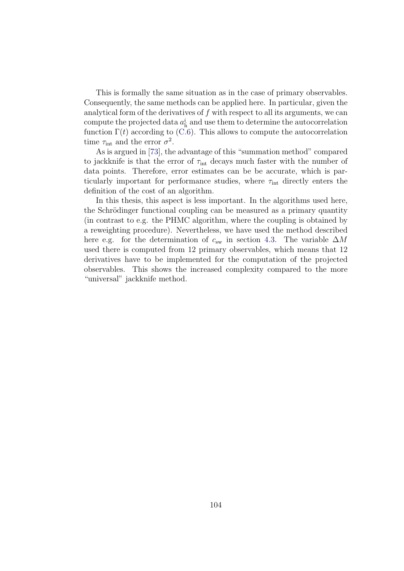This is formally the same situation as in the case of primary observables. Consequently, the same methods can be applied here. In particular, given the analytical form of the derivatives of  $f$  with respect to all its arguments, we can compute the projected data  $a<sub>h</sub><sup>i</sup>$  and use them to determine the autocorrelation function  $\Gamma(t)$  according to [\(C.6\)](#page-108-3). This allows to compute the autocorrelation time  $\tau_{\text{int}}$  and the error  $\sigma^2$ .

As is argued in [\[73\]](#page-117-0), the advantage of this "summation method" compared to jackknife is that the error of  $\tau_{\text{int}}$  decays much faster with the number of data points. Therefore, error estimates can be be accurate, which is particularly important for performance studies, where  $\tau_{\text{int}}$  directly enters the definition of the cost of an algorithm.

In this thesis, this aspect is less important. In the algorithms used here, the Schrödinger functional coupling can be measured as a primary quantity (in contrast to e.g. the PHMC algorithm, where the coupling is obtained by a reweighting procedure). Nevertheless, we have used the method described here e.g. for the determination of  $c_{sw}$  in section [4.3.](#page-69-0) The variable  $\Delta M$ used there is computed from 12 primary observables, which means that 12 derivatives have to be implemented for the computation of the projected observables. This shows the increased complexity compared to the more "universal" jackknife method.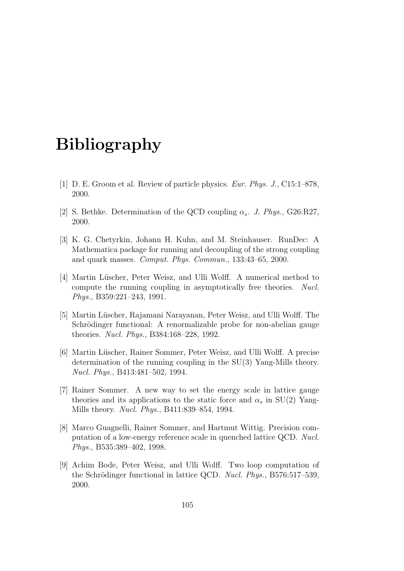### Bibliography

- [1] D. E. Groom et al. Review of particle physics. Eur. Phys. J., C15:1–878, 2000.
- [2] S. Bethke. Determination of the QCD coupling  $\alpha_s$ . J. Phys., G26:R27, 2000.
- [3] K. G. Chetyrkin, Johann H. Kuhn, and M. Steinhauser. RunDec: A Mathematica package for running and decoupling of the strong coupling and quark masses. Comput. Phys. Commun., 133:43–65, 2000.
- [4] Martin Lüscher, Peter Weisz, and Ulli Wolff. A numerical method to compute the running coupling in asymptotically free theories. Nucl. Phys., B359:221–243, 1991.
- [5] Martin Lüscher, Rajamani Narayanan, Peter Weisz, and Ulli Wolff. The Schrödinger functional: A renormalizable probe for non-abelian gauge theories. Nucl. Phys., B384:168–228, 1992.
- [6] Martin L¨uscher, Rainer Sommer, Peter Weisz, and Ulli Wolff. A precise determination of the running coupling in the SU(3) Yang-Mills theory. Nucl. Phys., B413:481–502, 1994.
- [7] Rainer Sommer. A new way to set the energy scale in lattice gauge theories and its applications to the static force and  $\alpha_s$  in SU(2) Yang-Mills theory. Nucl. Phys., B411:839–854, 1994.
- [8] Marco Guagnelli, Rainer Sommer, and Hartmut Wittig. Precision computation of a low-energy reference scale in quenched lattice QCD. Nucl. Phys., B535:389–402, 1998.
- [9] Achim Bode, Peter Weisz, and Ulli Wolff. Two loop computation of the Schrödinger functional in lattice QCD. Nucl. Phys.,  $B576:517-539$ , 2000.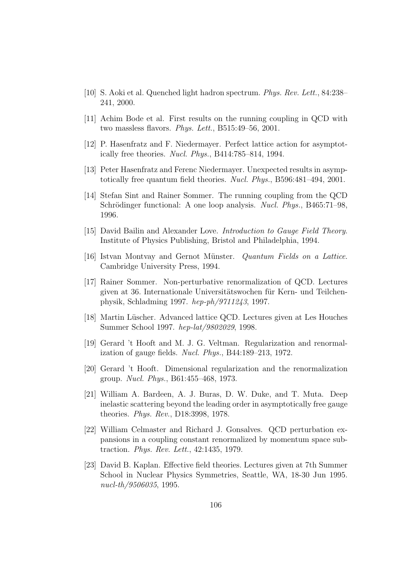- [10] S. Aoki et al. Quenched light hadron spectrum. Phys. Rev. Lett., 84:238– 241, 2000.
- [11] Achim Bode et al. First results on the running coupling in QCD with two massless flavors. Phys. Lett., B515:49–56, 2001.
- [12] P. Hasenfratz and F. Niedermayer. Perfect lattice action for asymptotically free theories. Nucl. Phys., B414:785–814, 1994.
- [13] Peter Hasenfratz and Ferenc Niedermayer. Unexpected results in asymptotically free quantum field theories. Nucl. Phys., B596:481–494, 2001.
- [14] Stefan Sint and Rainer Sommer. The running coupling from the QCD Schrödinger functional: A one loop analysis. Nucl. Phys., B465:71-98, 1996.
- [15] David Bailin and Alexander Love. *Introduction to Gauge Field Theory*. Institute of Physics Publishing, Bristol and Philadelphia, 1994.
- [16] Istvan Montvay and Gernot Münster. Quantum Fields on a Lattice. Cambridge University Press, 1994.
- [17] Rainer Sommer. Non-perturbative renormalization of QCD. Lectures given at 36. Internationale Universitätswochen für Kern- und Teilchenphysik, Schladming 1997. hep-ph/9711243, 1997.
- [18] Martin Lüscher. Advanced lattice QCD. Lectures given at Les Houches Summer School 1997. hep-lat/9802029, 1998.
- [19] Gerard 't Hooft and M. J. G. Veltman. Regularization and renormalization of gauge fields. Nucl. Phys., B44:189–213, 1972.
- [20] Gerard 't Hooft. Dimensional regularization and the renormalization group. Nucl. Phys., B61:455–468, 1973.
- [21] William A. Bardeen, A. J. Buras, D. W. Duke, and T. Muta. Deep inelastic scattering beyond the leading order in asymptotically free gauge theories. Phys. Rev., D18:3998, 1978.
- [22] William Celmaster and Richard J. Gonsalves. QCD perturbation expansions in a coupling constant renormalized by momentum space subtraction. Phys. Rev. Lett., 42:1435, 1979.
- [23] David B. Kaplan. Effective field theories. Lectures given at 7th Summer School in Nuclear Physics Symmetries, Seattle, WA, 18-30 Jun 1995. nucl-th/9506035, 1995.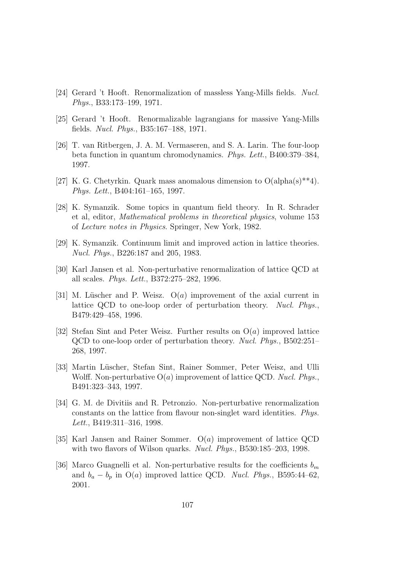- [24] Gerard 't Hooft. Renormalization of massless Yang-Mills fields. Nucl. Phys., B33:173–199, 1971.
- [25] Gerard 't Hooft. Renormalizable lagrangians for massive Yang-Mills fields. Nucl. Phys., B35:167–188, 1971.
- [26] T. van Ritbergen, J. A. M. Vermaseren, and S. A. Larin. The four-loop beta function in quantum chromodynamics. Phys. Lett., B400:379–384, 1997.
- [27] K. G. Chetyrkin. Quark mass anomalous dimension to  $O(\text{alpha}(s) * 4)$ . Phys. Lett., B404:161–165, 1997.
- [28] K. Symanzik. Some topics in quantum field theory. In R. Schrader et al, editor, Mathematical problems in theoretical physics, volume 153 of Lecture notes in Physics. Springer, New York, 1982.
- [29] K. Symanzik. Continuum limit and improved action in lattice theories. Nucl. Phys., B226:187 and 205, 1983.
- [30] Karl Jansen et al. Non-perturbative renormalization of lattice QCD at all scales. Phys. Lett., B372:275–282, 1996.
- [31] M. Lüscher and P. Weisz.  $O(a)$  improvement of the axial current in lattice QCD to one-loop order of perturbation theory. Nucl. Phys., B479:429–458, 1996.
- [32] Stefan Sint and Peter Weisz. Further results on  $O(a)$  improved lattice QCD to one-loop order of perturbation theory. Nucl. Phys., B502:251– 268, 1997.
- [33] Martin Lüscher, Stefan Sint, Rainer Sommer, Peter Weisz, and Ulli Wolff. Non-perturbative  $O(a)$  improvement of lattice QCD. Nucl. Phys., B491:323–343, 1997.
- [34] G. M. de Divitiis and R. Petronzio. Non-perturbative renormalization constants on the lattice from flavour non-singlet ward identities. Phys. Lett., B419:311–316, 1998.
- [35] Karl Jansen and Rainer Sommer.  $O(a)$  improvement of lattice QCD with two flavors of Wilson quarks. *Nucl. Phys.*, B530:185–203, 1998.
- [36] Marco Guagnelli et al. Non-perturbative results for the coefficients  $b_m$ and  $b_a - b_p$  in O(a) improved lattice QCD. Nucl. Phys., B595:44–62, 2001.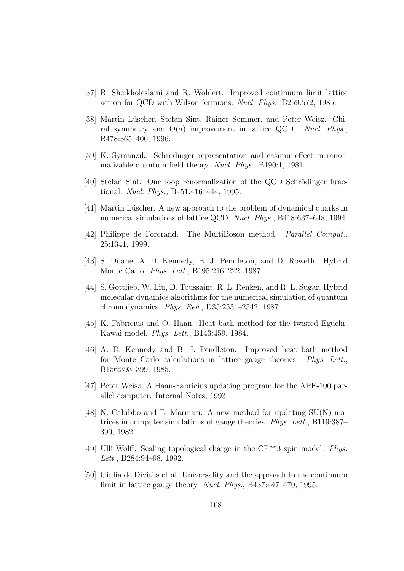- [37] B. Sheikholeslami and R. Wohlert. Improved continuum limit lattice action for QCD with Wilson fermions. Nucl. Phys., B259:572, 1985.
- [38] Martin Lüscher, Stefan Sint, Rainer Sommer, and Peter Weisz. Chiral symmetry and  $O(a)$  improvement in lattice QCD. Nucl. Phys., B478:365–400, 1996.
- [39] K. Symanzik. Schrödinger representation and casimir effect in renormalizable quantum field theory. Nucl. Phys., B190:1, 1981.
- [40] Stefan Sint. One loop renormalization of the QCD Schrödinger functional. Nucl. Phys., B451:416–444, 1995.
- [41] Martin Lüscher. A new approach to the problem of dynamical quarks in numerical simulations of lattice QCD. Nucl. Phys., B418:637–648, 1994.
- [42] Philippe de Forcrand. The MultiBoson method. Parallel Comput., 25:1341, 1999.
- [43] S. Duane, A. D. Kennedy, B. J. Pendleton, and D. Roweth. Hybrid Monte Carlo. Phys. Lett., B195:216–222, 1987.
- [44] S. Gottlieb, W. Liu, D. Toussaint, R. L. Renken, and R. L. Sugar. Hybrid molecular dynamics algorithms for the numerical simulation of quantum chromodynamics. Phys. Rev., D35:2531–2542, 1987.
- [45] K. Fabricius and O. Haan. Heat bath method for the twisted Eguchi-Kawai model. Phys. Lett., B143:459, 1984.
- [46] A. D. Kennedy and B. J. Pendleton. Improved heat bath method for Monte Carlo calculations in lattice gauge theories. Phys. Lett., B156:393–399, 1985.
- [47] Peter Weisz. A Haan-Fabricius updating program for the APE-100 parallel computer. Internal Notes, 1993.
- [48] N. Cabibbo and E. Marinari. A new method for updating  $SU(N)$  matrices in computer simulations of gauge theories. Phys. Lett., B119:387– 390, 1982.
- [49] Ulli Wolff. Scaling topological charge in the CP\*\*3 spin model. Phys. Lett., B284:94–98, 1992.
- [50] Giulia de Divitiis et al. Universality and the approach to the continuum limit in lattice gauge theory. Nucl. Phys., B437:447–470, 1995.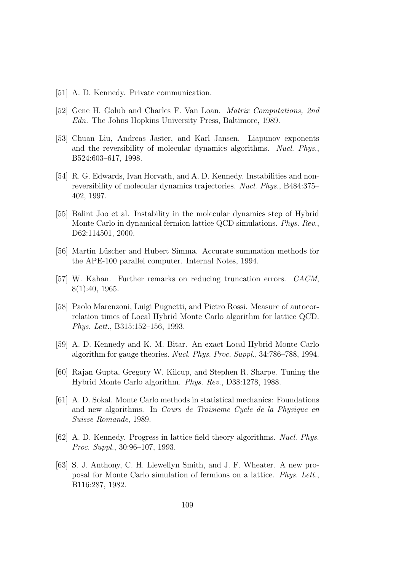- [51] A. D. Kennedy. Private communication.
- [52] Gene H. Golub and Charles F. Van Loan. Matrix Computations, 2nd Edn. The Johns Hopkins University Press, Baltimore, 1989.
- [53] Chuan Liu, Andreas Jaster, and Karl Jansen. Liapunov exponents and the reversibility of molecular dynamics algorithms. Nucl. Phys., B524:603–617, 1998.
- [54] R. G. Edwards, Ivan Horvath, and A. D. Kennedy. Instabilities and nonreversibility of molecular dynamics trajectories. Nucl. Phys., B484:375– 402, 1997.
- [55] Balint Joo et al. Instability in the molecular dynamics step of Hybrid Monte Carlo in dynamical fermion lattice QCD simulations. Phys. Rev., D62:114501, 2000.
- [56] Martin Lüscher and Hubert Simma. Accurate summation methods for the APE-100 parallel computer. Internal Notes, 1994.
- [57] W. Kahan. Further remarks on reducing truncation errors. CACM, 8(1):40, 1965.
- [58] Paolo Marenzoni, Luigi Pugnetti, and Pietro Rossi. Measure of autocorrelation times of Local Hybrid Monte Carlo algorithm for lattice QCD. Phys. Lett., B315:152–156, 1993.
- [59] A. D. Kennedy and K. M. Bitar. An exact Local Hybrid Monte Carlo algorithm for gauge theories. Nucl. Phys. Proc. Suppl., 34:786–788, 1994.
- [60] Rajan Gupta, Gregory W. Kilcup, and Stephen R. Sharpe. Tuning the Hybrid Monte Carlo algorithm. Phys. Rev., D38:1278, 1988.
- <span id="page-116-0"></span>[61] A. D. Sokal. Monte Carlo methods in statistical mechanics: Foundations and new algorithms. In Cours de Troisieme Cycle de la Physique en Suisse Romande, 1989.
- [62] A. D. Kennedy. Progress in lattice field theory algorithms. Nucl. Phys. Proc. Suppl., 30:96–107, 1993.
- [63] S. J. Anthony, C. H. Llewellyn Smith, and J. F. Wheater. A new proposal for Monte Carlo simulation of fermions on a lattice. Phys. Lett., B116:287, 1982.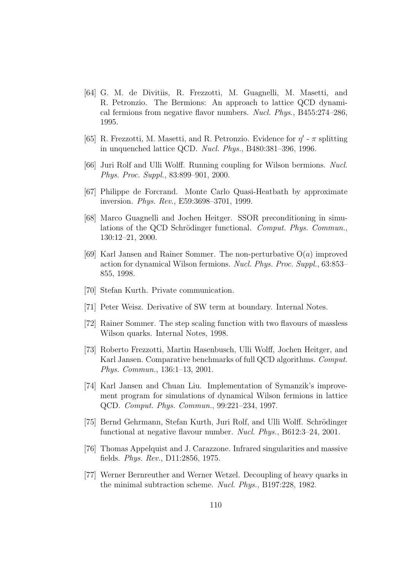- [64] G. M. de Divitiis, R. Frezzotti, M. Guagnelli, M. Masetti, and R. Petronzio. The Bermions: An approach to lattice QCD dynamical fermions from negative flavor numbers. Nucl. Phys., B455:274–286, 1995.
- [65] R. Frezzotti, M. Masetti, and R. Petronzio. Evidence for  $\eta'$   $\pi$  splitting in unquenched lattice QCD. Nucl. Phys., B480:381–396, 1996.
- [66] Juri Rolf and Ulli Wolff. Running coupling for Wilson bermions. Nucl. Phys. Proc. Suppl., 83:899–901, 2000.
- [67] Philippe de Forcrand. Monte Carlo Quasi-Heatbath by approximate inversion. Phys. Rev., E59:3698–3701, 1999.
- [68] Marco Guagnelli and Jochen Heitger. SSOR preconditioning in simulations of the QCD Schrödinger functional. Comput. Phys. Commun., 130:12–21, 2000.
- [69] Karl Jansen and Rainer Sommer. The non-perturbative  $O(a)$  improved action for dynamical Wilson fermions. Nucl. Phys. Proc. Suppl., 63:853– 855, 1998.
- [70] Stefan Kurth. Private communication.
- [71] Peter Weisz. Derivative of SW term at boundary. Internal Notes.
- [72] Rainer Sommer. The step scaling function with two flavours of massless Wilson quarks. Internal Notes, 1998.
- <span id="page-117-0"></span>[73] Roberto Frezzotti, Martin Hasenbusch, Ulli Wolff, Jochen Heitger, and Karl Jansen. Comparative benchmarks of full QCD algorithms. Comput. Phys. Commun., 136:1–13, 2001.
- [74] Karl Jansen and Chuan Liu. Implementation of Symanzik's improvement program for simulations of dynamical Wilson fermions in lattice QCD. Comput. Phys. Commun., 99:221–234, 1997.
- [75] Bernd Gehrmann, Stefan Kurth, Juri Rolf, and Ulli Wolff. Schrödinger functional at negative flavour number. Nucl. Phys., B612:3–24, 2001.
- [76] Thomas Appelquist and J. Carazzone. Infrared singularities and massive fields. Phys. Rev., D11:2856, 1975.
- [77] Werner Bernreuther and Werner Wetzel. Decoupling of heavy quarks in the minimal subtraction scheme. Nucl. Phys., B197:228, 1982.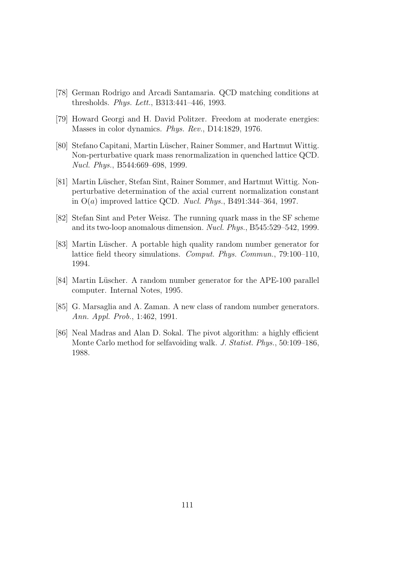- [78] German Rodrigo and Arcadi Santamaria. QCD matching conditions at thresholds. Phys. Lett., B313:441–446, 1993.
- [79] Howard Georgi and H. David Politzer. Freedom at moderate energies: Masses in color dynamics. Phys. Rev., D14:1829, 1976.
- [80] Stefano Capitani, Martin Lüscher, Rainer Sommer, and Hartmut Wittig. Non-perturbative quark mass renormalization in quenched lattice QCD. Nucl. Phys., B544:669–698, 1999.
- [81] Martin Lüscher, Stefan Sint, Rainer Sommer, and Hartmut Wittig. Nonperturbative determination of the axial current normalization constant in  $O(a)$  improved lattice QCD. *Nucl. Phys.*, B491:344-364, 1997.
- [82] Stefan Sint and Peter Weisz. The running quark mass in the SF scheme and its two-loop anomalous dimension. Nucl. Phys., B545:529–542, 1999.
- [83] Martin Lüscher. A portable high quality random number generator for lattice field theory simulations. Comput. Phys. Commun., 79:100–110, 1994.
- [84] Martin Lüscher. A random number generator for the APE-100 parallel computer. Internal Notes, 1995.
- [85] G. Marsaglia and A. Zaman. A new class of random number generators. Ann. Appl. Prob., 1:462, 1991.
- <span id="page-118-0"></span>[86] Neal Madras and Alan D. Sokal. The pivot algorithm: a highly efficient Monte Carlo method for selfavoiding walk. J. Statist. Phys., 50:109–186, 1988.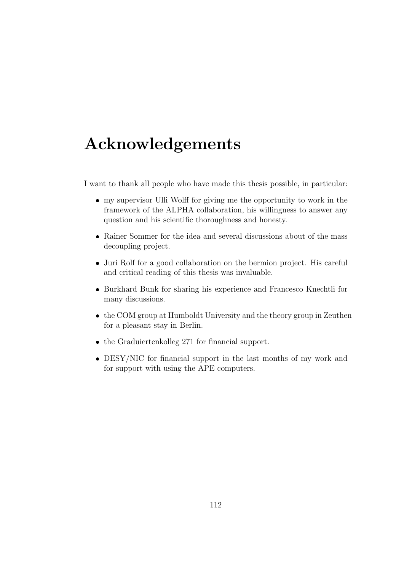## Acknowledgements

I want to thank all people who have made this thesis possible, in particular:

- my supervisor Ulli Wolff for giving me the opportunity to work in the framework of the ALPHA collaboration, his willingness to answer any question and his scientific thoroughness and honesty.
- Rainer Sommer for the idea and several discussions about of the mass decoupling project.
- Juri Rolf for a good collaboration on the bermion project. His careful and critical reading of this thesis was invaluable.
- Burkhard Bunk for sharing his experience and Francesco Knechtli for many discussions.
- the COM group at Humboldt University and the theory group in Zeuthen for a pleasant stay in Berlin.
- the Graduiertenkolleg 271 for financial support.
- DESY/NIC for financial support in the last months of my work and for support with using the APE computers.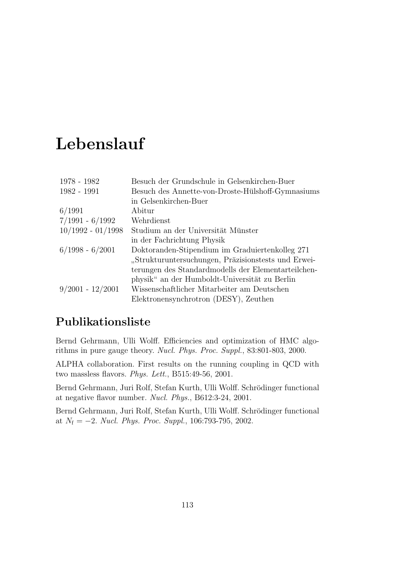## Lebenslauf

| 1978 - 1982         | Besuch der Grundschule in Gelsenkirchen-Buer        |
|---------------------|-----------------------------------------------------|
| 1982 - 1991         | Besuch des Annette-von-Droste-Hülshoff-Gymnasiums   |
|                     | in Gelsenkirchen-Buer                               |
| 6/1991              | Abitur                                              |
| $7/1991 - 6/1992$   | Wehrdienst                                          |
| $10/1992 - 01/1998$ | Studium an der Universität Münster                  |
|                     | in der Fachrichtung Physik                          |
| $6/1998 - 6/2001$   | Doktoranden-Stipendium im Graduiertenkolleg 271     |
|                     | "Strukturuntersuchungen, Präzisionstests und Erwei- |
|                     | terungen des Standardmodells der Elementarteilchen- |
|                     | physik" an der Humboldt-Universität zu Berlin       |
| $9/2001 - 12/2001$  | Wissenschaftlicher Mitarbeiter am Deutschen         |
|                     | Elektronensynchrotron (DESY), Zeuthen               |

#### Publikationsliste

Bernd Gehrmann, Ulli Wolff. Efficiencies and optimization of HMC algorithms in pure gauge theory. Nucl. Phys. Proc. Suppl., 83:801-803, 2000.

ALPHA collaboration. First results on the running coupling in QCD with two massless flavors. Phys. Lett., B515:49-56, 2001.

Bernd Gehrmann, Juri Rolf, Stefan Kurth, Ulli Wolff. Schrödinger functional at negative flavor number. Nucl. Phys., B612:3-24, 2001.

Bernd Gehrmann, Juri Rolf, Stefan Kurth, Ulli Wolff. Schrödinger functional at  $N_f = -2$ . Nucl. Phys. Proc. Suppl., 106:793-795, 2002.